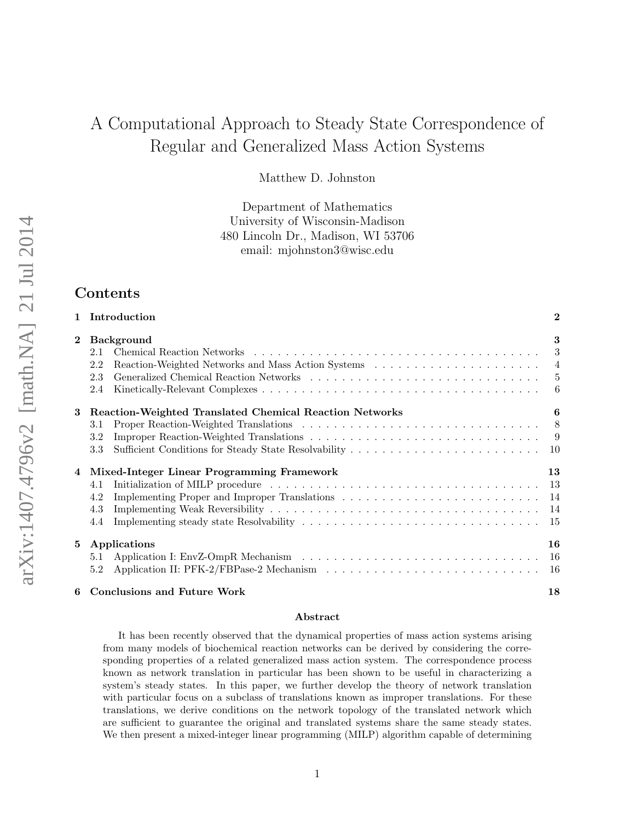# A Computational Approach to Steady State Correspondence of Regular and Generalized Mass Action Systems

Matthew D. Johnston

Department of Mathematics University of Wisconsin-Madison 480 Lincoln Dr., Madison, WI 53706 email: mjohnston3@wisc.edu

## Contents

|                | 1 Introduction                                                                      | $\boldsymbol{2}$ |
|----------------|-------------------------------------------------------------------------------------|------------------|
| $\overline{2}$ | <b>Background</b><br>2.1<br>2.2<br>2.3<br>2.4                                       | 3<br>3<br>6      |
| 3              | <b>Reaction-Weighted Translated Chemical Reaction Networks</b><br>3.1<br>3.2<br>3.3 | 6                |
| 4              | Mixed-Integer Linear Programming Framework<br>4.1<br>4.2<br>4.3<br>4.4              | 13               |
| 5              | Applications<br>5.1<br>5.2                                                          | 16               |
|                | 6 Conclusions and Future Work                                                       | 18               |

#### Abstract

It has been recently observed that the dynamical properties of mass action systems arising from many models of biochemical reaction networks can be derived by considering the corresponding properties of a related generalized mass action system. The correspondence process known as network translation in particular has been shown to be useful in characterizing a system's steady states. In this paper, we further develop the theory of network translation with particular focus on a subclass of translations known as improper translations. For these translations, we derive conditions on the network topology of the translated network which are sufficient to guarantee the original and translated systems share the same steady states. We then present a mixed-integer linear programming (MILP) algorithm capable of determining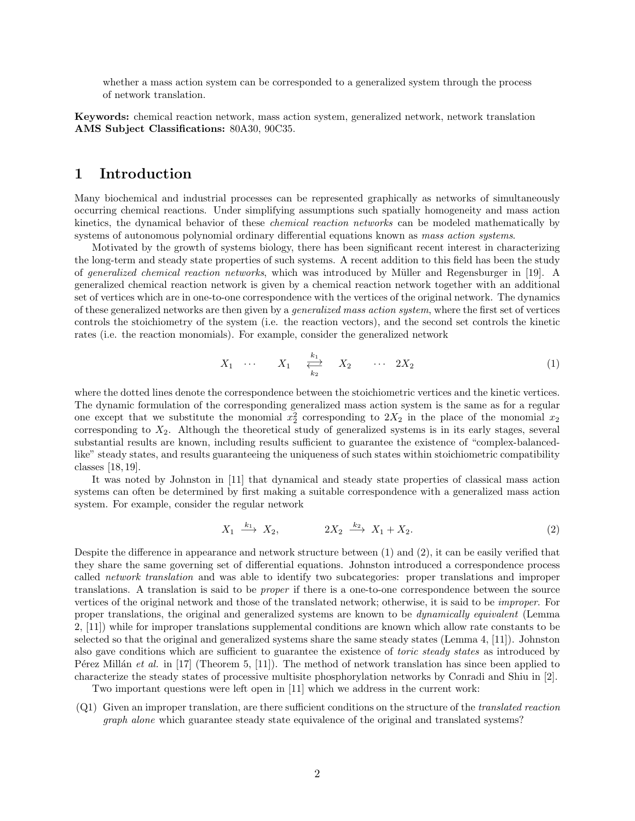whether a mass action system can be corresponded to a generalized system through the process of network translation.

Keywords: chemical reaction network, mass action system, generalized network, network translation AMS Subject Classifications: 80A30, 90C35.

### 1 Introduction

Many biochemical and industrial processes can be represented graphically as networks of simultaneously occurring chemical reactions. Under simplifying assumptions such spatially homogeneity and mass action kinetics, the dynamical behavior of these *chemical reaction networks* can be modeled mathematically by systems of autonomous polynomial ordinary differential equations known as mass action systems.

Motivated by the growth of systems biology, there has been significant recent interest in characterizing the long-term and steady state properties of such systems. A recent addition to this field has been the study of generalized chemical reaction networks, which was introduced by Müller and Regensburger in [19]. A generalized chemical reaction network is given by a chemical reaction network together with an additional set of vertices which are in one-to-one correspondence with the vertices of the original network. The dynamics of these generalized networks are then given by a generalized mass action system, where the first set of vertices controls the stoichiometry of the system (i.e. the reaction vectors), and the second set controls the kinetic rates (i.e. the reaction monomials). For example, consider the generalized network

$$
X_1 \quad \cdots \qquad X_1 \quad \underset{k_2}{\overset{k_1}{\longleftrightarrow}} \qquad X_2 \qquad \cdots \quad 2X_2 \tag{1}
$$

where the dotted lines denote the correspondence between the stoichiometric vertices and the kinetic vertices. The dynamic formulation of the corresponding generalized mass action system is the same as for a regular one except that we substitute the monomial  $x_2^2$  corresponding to  $2X_2$  in the place of the monomial  $x_2$ corresponding to  $X_2$ . Although the theoretical study of generalized systems is in its early stages, several substantial results are known, including results sufficient to guarantee the existence of "complex-balancedlike" steady states, and results guaranteeing the uniqueness of such states within stoichiometric compatibility classes [18, 19].

It was noted by Johnston in [11] that dynamical and steady state properties of classical mass action systems can often be determined by first making a suitable correspondence with a generalized mass action system. For example, consider the regular network

$$
X_1 \xrightarrow{k_1} X_2, \qquad 2X_2 \xrightarrow{k_2} X_1 + X_2. \tag{2}
$$

Despite the difference in appearance and network structure between (1) and (2), it can be easily verified that they share the same governing set of differential equations. Johnston introduced a correspondence process called network translation and was able to identify two subcategories: proper translations and improper translations. A translation is said to be proper if there is a one-to-one correspondence between the source vertices of the original network and those of the translated network; otherwise, it is said to be improper. For proper translations, the original and generalized systems are known to be dynamically equivalent (Lemma 2, [11]) while for improper translations supplemental conditions are known which allow rate constants to be selected so that the original and generalized systems share the same steady states (Lemma 4, [11]). Johnston also gave conditions which are sufficient to guarantee the existence of *toric steady states* as introduced by P'erez Millán et al. in [17] (Theorem 5, [11]). The method of network translation has since been applied to characterize the steady states of processive multisite phosphorylation networks by Conradi and Shiu in [2].

Two important questions were left open in [11] which we address in the current work:

(Q1) Given an improper translation, are there sufficient conditions on the structure of the translated reaction graph alone which guarantee steady state equivalence of the original and translated systems?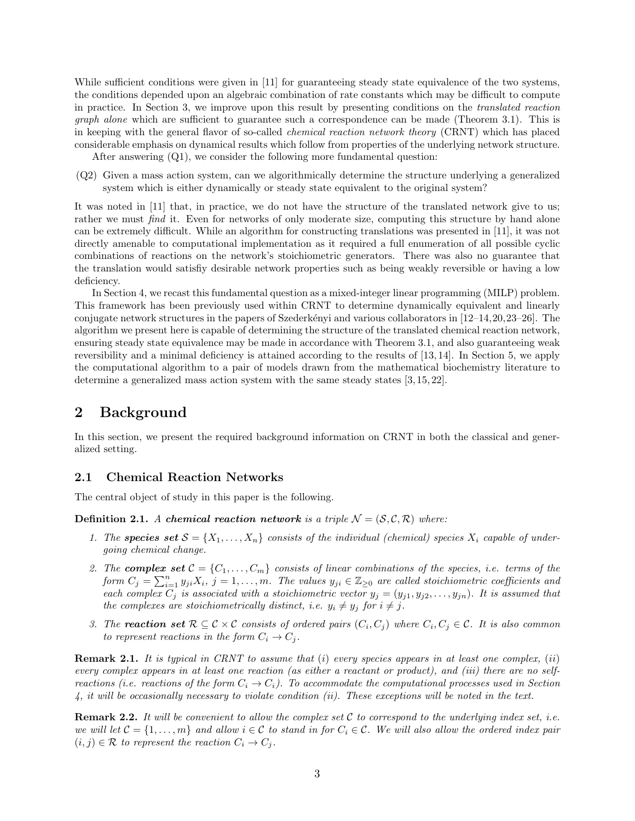While sufficient conditions were given in [11] for guaranteeing steady state equivalence of the two systems, the conditions depended upon an algebraic combination of rate constants which may be difficult to compute in practice. In Section 3, we improve upon this result by presenting conditions on the translated reaction graph alone which are sufficient to guarantee such a correspondence can be made (Theorem 3.1). This is in keeping with the general flavor of so-called chemical reaction network theory (CRNT) which has placed considerable emphasis on dynamical results which follow from properties of the underlying network structure.

After answering  $(Q1)$ , we consider the following more fundamental question:

(Q2) Given a mass action system, can we algorithmically determine the structure underlying a generalized system which is either dynamically or steady state equivalent to the original system?

It was noted in [11] that, in practice, we do not have the structure of the translated network give to us; rather we must find it. Even for networks of only moderate size, computing this structure by hand alone can be extremely difficult. While an algorithm for constructing translations was presented in [11], it was not directly amenable to computational implementation as it required a full enumeration of all possible cyclic combinations of reactions on the network's stoichiometric generators. There was also no guarantee that the translation would satisfiy desirable network properties such as being weakly reversible or having a low deficiency.

In Section 4, we recast this fundamental question as a mixed-integer linear programming (MILP) problem. This framework has been previously used within CRNT to determine dynamically equivalent and linearly conjugate network structures in the papers of Szederkényi and various collaborators in  $[12-14, 20, 23-26]$ . The algorithm we present here is capable of determining the structure of the translated chemical reaction network, ensuring steady state equivalence may be made in accordance with Theorem 3.1, and also guaranteeing weak reversibility and a minimal deficiency is attained according to the results of [13, 14]. In Section 5, we apply the computational algorithm to a pair of models drawn from the mathematical biochemistry literature to determine a generalized mass action system with the same steady states [3, 15, 22].

# 2 Background

In this section, we present the required background information on CRNT in both the classical and generalized setting.

### 2.1 Chemical Reaction Networks

The central object of study in this paper is the following.

**Definition 2.1.** A chemical reaction network is a triple  $\mathcal{N} = (\mathcal{S}, \mathcal{C}, \mathcal{R})$  where:

- 1. The species set  $S = \{X_1, \ldots, X_n\}$  consists of the individual (chemical) species  $X_i$  capable of undergoing chemical change.
- 2. The **complex set**  $C = \{C_1, \ldots, C_m\}$  consists of linear combinations of the species, i.e. terms of the form  $C_j = \sum_{i=1}^n y_{ji}X_i$ ,  $j = 1, \ldots, m$ . The values  $y_{ji} \in \mathbb{Z}_{\geq 0}$  are called stoichiometric coefficients and each complex  $C_j$  is associated with a stoichiometric vector  $y_j = (y_{j1}, y_{j2}, \ldots, y_{jn})$ . It is assumed that the complexes are stoichiometrically distinct, i.e.  $y_i \neq y_j$  for  $i \neq j$ .
- 3. The **reaction set**  $\mathcal{R} \subseteq \mathcal{C} \times \mathcal{C}$  consists of ordered pairs  $(C_i, C_j)$  where  $C_i, C_j \in \mathcal{C}$ . It is also common to represent reactions in the form  $C_i \rightarrow C_j$ .

**Remark 2.1.** It is typical in CRNT to assume that  $(i)$  every species appears in at least one complex,  $(ii)$ every complex appears in at least one reaction (as either a reactant or product), and (iii) there are no selfreactions (i.e. reactions of the form  $C_i \to C_i$ ). To accommodate the computational processes used in Section 4, it will be occasionally necessary to violate condition (ii). These exceptions will be noted in the text.

**Remark 2.2.** It will be convenient to allow the complex set  $C$  to correspond to the underlying index set, i.e. we will let  $C = \{1, \ldots, m\}$  and allow  $i \in C$  to stand in for  $C_i \in C$ . We will also allow the ordered index pair  $(i, j) \in \mathcal{R}$  to represent the reaction  $C_i \to C_j$ .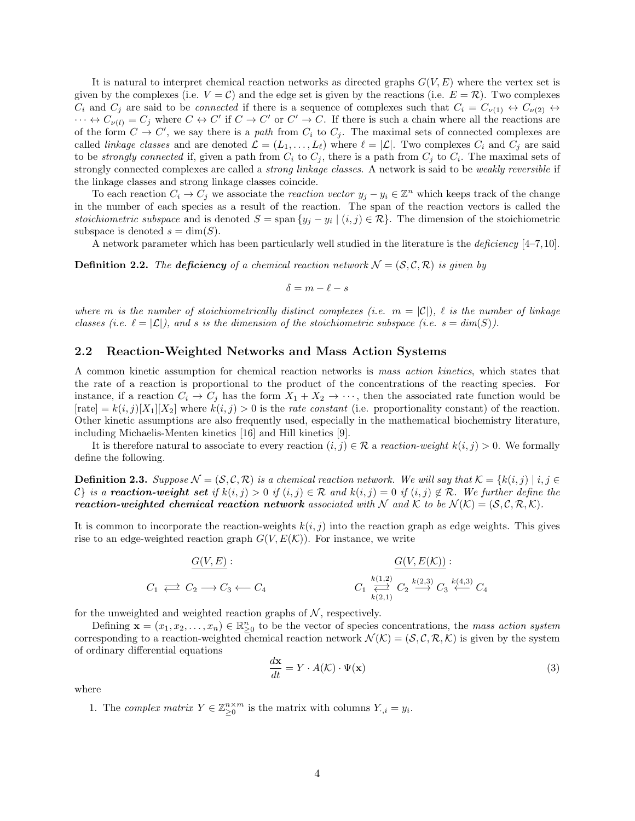It is natural to interpret chemical reaction networks as directed graphs  $G(V, E)$  where the vertex set is given by the complexes (i.e.  $V = C$ ) and the edge set is given by the reactions (i.e.  $E = \mathcal{R}$ ). Two complexes  $C_i$  and  $C_j$  are said to be *connected* if there is a sequence of complexes such that  $C_i = C_{\nu(1)} \leftrightarrow C_{\nu(2)} \leftrightarrow C_{\nu(3)} \leftrightarrow C_{\nu(4)} \leftrightarrow C_{\nu(5)} \leftrightarrow C_{\nu(6)} \leftrightarrow C_{\nu(7)} \leftrightarrow C_{\nu(8)} \leftrightarrow C_{\nu(9)} \leftrightarrow C_{\nu(1)} \leftrightarrow C_{\nu(1)} \leftrightarrow C_{\nu(1)} \leftrightarrow C_{\nu(2)} \leftrightarrow C_{\nu(3)} \leftrightarrow C_{\nu$  $\cdots \leftrightarrow C_{\nu(l)} = C_j$  where  $C \leftrightarrow C'$  if  $C \rightarrow C'$  or  $C' \rightarrow C$ . If there is such a chain where all the reactions are of the form  $C \to C'$ , we say there is a path from  $C_i$  to  $C_j$ . The maximal sets of connected complexes are called *linkage classes* and are denoted  $\mathcal{L} = (L_1, \ldots, L_\ell)$  where  $\ell = |\mathcal{L}|$ . Two complexes  $C_i$  and  $C_j$  are said to be *strongly connected* if, given a path from  $C_i$  to  $C_j$ , there is a path from  $C_j$  to  $C_i$ . The maximal sets of strongly connected complexes are called a *strong linkage classes*. A network is said to be *weakly reversible* if the linkage classes and strong linkage classes coincide.

To each reaction  $C_i \to C_j$  we associate the *reaction vector*  $y_j - y_i \in \mathbb{Z}^n$  which keeps track of the change in the number of each species as a result of the reaction. The span of the reaction vectors is called the stoichiometric subspace and is denoted  $S = \text{span}\{y_j - y_i \mid (i,j) \in \mathcal{R}\}\.$  The dimension of the stoichiometric subspace is denoted  $s = \dim(S)$ .

A network parameter which has been particularly well studied in the literature is the deficiency [4–7,10].

**Definition 2.2.** The deficiency of a chemical reaction network  $\mathcal{N} = (\mathcal{S}, \mathcal{C}, \mathcal{R})$  is given by

$$
\delta = m - \ell - s
$$

where m is the number of stoichiometrically distinct complexes (i.e.  $m = |\mathcal{C}|$ ),  $\ell$  is the number of linkage classes (i.e.  $\ell = |\mathcal{L}|$ ), and s is the dimension of the stoichiometric subspace (i.e.  $s = dim(S)$ ).

#### 2.2 Reaction-Weighted Networks and Mass Action Systems

A common kinetic assumption for chemical reaction networks is mass action kinetics, which states that the rate of a reaction is proportional to the product of the concentrations of the reacting species. For instance, if a reaction  $C_i \to C_j$  has the form  $X_1 + X_2 \to \cdots$ , then the associated rate function would be  $[\text{rate}] = k(i, j)[X_1][X_2]$  where  $k(i, j) > 0$  is the rate constant (i.e. proportionality constant) of the reaction. Other kinetic assumptions are also frequently used, especially in the mathematical biochemistry literature, including Michaelis-Menten kinetics [16] and Hill kinetics [9].

It is therefore natural to associate to every reaction  $(i, j) \in \mathcal{R}$  a reaction-weight  $k(i, j) > 0$ . We formally define the following.

**Definition 2.3.** Suppose  $\mathcal{N} = (\mathcal{S}, \mathcal{C}, \mathcal{R})$  is a chemical reaction network. We will say that  $\mathcal{K} = \{k(i, j) | i, j \in \mathcal{R}\}$ C} is a **reaction-weight set** if  $k(i, j) > 0$  if  $(i, j) \in \mathcal{R}$  and  $k(i, j) = 0$  if  $(i, j) \notin \mathcal{R}$ . We further define the **reaction-weighted chemical reaction network** associated with N and K to be  $\mathcal{N}(\mathcal{K}) = (\mathcal{S}, \mathcal{C}, \mathcal{R}, \mathcal{K})$ .

It is common to incorporate the reaction-weights  $k(i, j)$  into the reaction graph as edge weights. This gives rise to an edge-weighted reaction graph  $G(V, E(K))$ . For instance, we write

$$
C_1 \Longleftrightarrow C_2 \longrightarrow C_3 \longleftarrow C_4 \qquad \qquad C_1 \underset{k(2,1)}{\overset{k(1,2)}{\rightleftharpoons}} C_2 \underset{k(2,1)}{\overset{k(1,2)}{\rightleftharpoons}} C_3 \overset{k(4,3)}{\overset{k(4,3)}{\longleftarrow}} C_4
$$

for the unweighted and weighted reaction graphs of  $N$ , respectively.

Defining  $\mathbf{x} = (x_1, x_2, \dots, x_n) \in \mathbb{R}^n_{\geq 0}$  to be the vector of species concentrations, the mass action system corresponding to a reaction-weighted chemical reaction network  $\mathcal{N}(\mathcal{K}) = (\mathcal{S}, \mathcal{C}, \mathcal{R}, \mathcal{K})$  is given by the system of ordinary differential equations

$$
\frac{d\mathbf{x}}{dt} = Y \cdot A(\mathcal{K}) \cdot \Psi(\mathbf{x})\tag{3}
$$

where

1. The complex matrix  $Y \in \mathbb{Z}_{\geq 0}^{n \times m}$  is the matrix with columns  $Y_{\cdot,i} = y_i$ .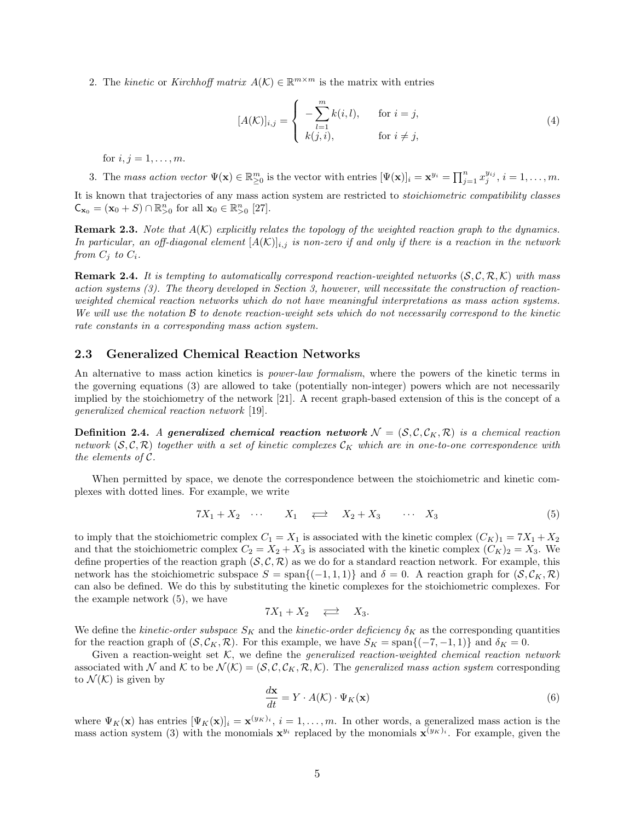2. The kinetic or Kirchhoff matrix  $A(K) \in \mathbb{R}^{m \times m}$  is the matrix with entries

$$
[A(K)]_{i,j} = \begin{cases} -\sum_{l=1}^{m} k(i,l), & \text{for } i = j, \\ k(j,i), & \text{for } i \neq j, \end{cases}
$$
 (4)

for  $i, j = 1, ..., m$ .

3. The mass action vector  $\Psi(\mathbf{x}) \in \mathbb{R}_{\geq 0}^m$  is the vector with entries  $[\Psi(\mathbf{x})]_i = \mathbf{x}^{y_i} = \prod_{j=1}^n x_j^{y_{ij}}, i = 1, \ldots, m$ . It is known that trajectories of any mass action system are restricted to stoichiometric compatibility classes  $\mathsf{C}_{\mathbf{x}_0} = (\mathbf{x}_0 + S) \cap \mathbb{R}_{>0}^n$  for all  $\mathbf{x}_0 \in \mathbb{R}_{>0}^n$  [27].

**Remark 2.3.** Note that  $A(K)$  explicitly relates the topology of the weighted reaction graph to the dynamics. In particular, an off-diagonal element  $[A(K)]_{i,j}$  is non-zero if and only if there is a reaction in the network from  $C_j$  to  $C_i$ .

**Remark 2.4.** It is tempting to automatically correspond reaction-weighted networks  $(S, \mathcal{C}, \mathcal{R}, \mathcal{K})$  with mass action systems (3). The theory developed in Section 3, however, will necessitate the construction of reactionweighted chemical reaction networks which do not have meaningful interpretations as mass action systems. We will use the notation B to denote reaction-weight sets which do not necessarily correspond to the kinetic rate constants in a corresponding mass action system.

#### 2.3 Generalized Chemical Reaction Networks

An alternative to mass action kinetics is *power-law formalism*, where the powers of the kinetic terms in the governing equations (3) are allowed to take (potentially non-integer) powers which are not necessarily implied by the stoichiometry of the network [21]. A recent graph-based extension of this is the concept of a generalized chemical reaction network [19].

**Definition 2.4.** A generalized chemical reaction network  $N = (S, C, C_K, R)$  is a chemical reaction network  $(S, \mathcal{C}, \mathcal{R})$  together with a set of kinetic complexes  $\mathcal{C}_K$  which are in one-to-one correspondence with the elements of C.

When permitted by space, we denote the correspondence between the stoichiometric and kinetic complexes with dotted lines. For example, we write

$$
7X_1 + X_2 \quad \cdots \quad X_1 \quad \rightleftarrows \quad X_2 + X_3 \quad \cdots \quad X_3 \tag{5}
$$

to imply that the stoichiometric complex  $C_1 = X_1$  is associated with the kinetic complex  $(C_K)_1 = 7X_1 + X_2$ and that the stoichiometric complex  $C_2 = X_2 + X_3$  is associated with the kinetic complex  $(C_K)_2 = X_3$ . We define properties of the reaction graph  $(S, \mathcal{C}, \mathcal{R})$  as we do for a standard reaction network. For example, this network has the stoichiometric subspace  $S = \text{span}\{(-1, 1, 1)\}\$  and  $\delta = 0$ . A reaction graph for  $(S, C_K, \mathcal{R})$ can also be defined. We do this by substituting the kinetic complexes for the stoichiometric complexes. For the example network (5), we have

$$
7X_1 + X_2 \quad \rightleftarrows \quad X_3.
$$

We define the kinetic-order subspace  $S_K$  and the kinetic-order deficiency  $\delta_K$  as the corresponding quantities for the reaction graph of  $(S, \mathcal{C}_K, \mathcal{R})$ . For this example, we have  $S_K = \text{span}\{(-7, -1, 1)\}\$  and  $\delta_K = 0$ .

Given a reaction-weight set  $K$ , we define the *generalized reaction-weighted chemical reaction network* associated with N and K to be  $\mathcal{N}(\mathcal{K}) = (\mathcal{S}, \mathcal{C}, \mathcal{C}_K, \mathcal{R}, \mathcal{K})$ . The generalized mass action system corresponding to  $\mathcal{N}(\mathcal{K})$  is given by

$$
\frac{d\mathbf{x}}{dt} = Y \cdot A(\mathcal{K}) \cdot \Psi_K(\mathbf{x})\tag{6}
$$

where  $\Psi_K(\mathbf{x})$  has entries  $[\Psi_K(\mathbf{x})]_i = \mathbf{x}^{(y_K)_i}$ ,  $i = 1, \ldots, m$ . In other words, a generalized mass action is the mass action system (3) with the monomials  $x^{y_i}$  replaced by the monomials  $x^{(y_K)_i}$ . For example, given the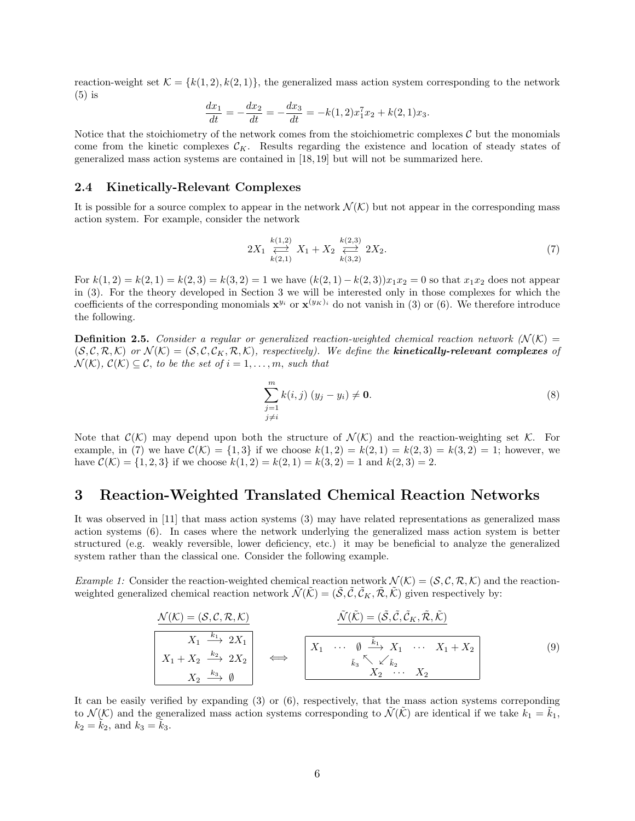reaction-weight set  $\mathcal{K} = \{k(1, 2), k(2, 1)\}\$ , the generalized mass action system corresponding to the network (5) is

$$
\frac{dx_1}{dt} = -\frac{dx_2}{dt} = -\frac{dx_3}{dt} = -k(1,2)x_1^7 x_2 + k(2,1)x_3.
$$

Notice that the stoichiometry of the network comes from the stoichiometric complexes  $\mathcal C$  but the monomials come from the kinetic complexes  $\mathcal{C}_K$ . Results regarding the existence and location of steady states of generalized mass action systems are contained in [18, 19] but will not be summarized here.

#### 2.4 Kinetically-Relevant Complexes

It is possible for a source complex to appear in the network  $\mathcal{N}(\mathcal{K})$  but not appear in the corresponding mass action system. For example, consider the network

$$
2X_1 \overset{k(1,2)}{\underset{k(2,1)}{\rightleftharpoons}} X_1 + X_2 \overset{k(2,3)}{\underset{k(3,2)}{\rightleftharpoons}} 2X_2. \tag{7}
$$

For  $k(1, 2) = k(2, 1) = k(2, 3) = k(3, 2) = 1$  we have  $(k(2, 1) - k(2, 3))x_1x_2 = 0$  so that  $x_1x_2$  does not appear in (3). For the theory developed in Section 3 we will be interested only in those complexes for which the coefficients of the corresponding monomials  $x^{y_i}$  or  $x^{(y_K)_i}$  do not vanish in (3) or (6). We therefore introduce the following.

**Definition 2.5.** Consider a regular or generalized reaction-weighted chemical reaction network  $N(K)$  =  $(S, \mathcal{C}, \mathcal{R}, \mathcal{K})$  or  $\mathcal{N}(\mathcal{K}) = (S, \mathcal{C}, \mathcal{C}, \mathcal{R}, \mathcal{K})$ , respectively). We define the **kinetically-relevant complexes** of  $\mathcal{N}(\mathcal{K}), \mathcal{C}(\mathcal{K}) \subseteq \mathcal{C},$  to be the set of  $i = 1, \ldots, m$ , such that

$$
\sum_{\substack{j=1 \ j \neq i}}^{m} k(i,j) (y_j - y_i) \neq \mathbf{0}.
$$
 (8)

Note that  $\mathcal{C}(\mathcal{K})$  may depend upon both the structure of  $\mathcal{N}(\mathcal{K})$  and the reaction-weighting set  $\mathcal{K}$ . For example, in (7) we have  $C(\mathcal{K}) = \{1,3\}$  if we choose  $k(1,2) = k(2,1) = k(2,3) = k(3,2) = 1$ ; however, we have  $\mathcal{C}(\mathcal{K}) = \{1, 2, 3\}$  if we choose  $k(1, 2) = k(2, 1) = k(3, 2) = 1$  and  $k(2, 3) = 2$ .

## 3 Reaction-Weighted Translated Chemical Reaction Networks

It was observed in [11] that mass action systems (3) may have related representations as generalized mass action systems (6). In cases where the network underlying the generalized mass action system is better structured (e.g. weakly reversible, lower deficiency, etc.) it may be beneficial to analyze the generalized system rather than the classical one. Consider the following example.

Example 1: Consider the reaction-weighted chemical reaction network  $\mathcal{N}(\mathcal{K}) = (\mathcal{S}, \mathcal{C}, \mathcal{R}, \mathcal{K})$  and the reactionweighted generalized chemical reaction network  $\tilde{\mathcal{N}}(\tilde{\mathcal{K}}) = (\tilde{\mathcal{S}}, \tilde{\mathcal{C}}, \tilde{\mathcal{C}}_K, \tilde{\mathcal{R}}, \tilde{\mathcal{K}})$  given respectively by:

$$
\frac{\mathcal{N}(\mathcal{K}) = (\mathcal{S}, \mathcal{C}, \mathcal{R}, \mathcal{K})}{X_1 + X_2 \xrightarrow{k_2} 2X_2} \qquad \Longleftrightarrow \qquad \frac{\tilde{\mathcal{N}}(\tilde{\mathcal{K}}) = (\tilde{\mathcal{S}}, \tilde{\mathcal{C}}, \tilde{\mathcal{C}}_K, \tilde{\mathcal{R}}, \tilde{\mathcal{K}})}{X_1 + X_2 \xrightarrow{k_2} 2X_2} \qquad \Longleftrightarrow \qquad \frac{X_1 \cdots \varnothing \xrightarrow{\tilde{k}_1} X_1 \cdots X_1 + X_2}{X_2 \cdots X_2} \qquad (9)
$$

It can be easily verified by expanding  $(3)$  or  $(6)$ , respectively, that the mass action systems correponding to  $\mathcal{N}(\mathcal{K})$  and the generalized mass action systems corresponding to  $\mathcal{N}(\mathcal{K})$  are identical if we take  $k_1 = k_1$ ,  $k_2 = k_2$ , and  $k_3 = k_3$ .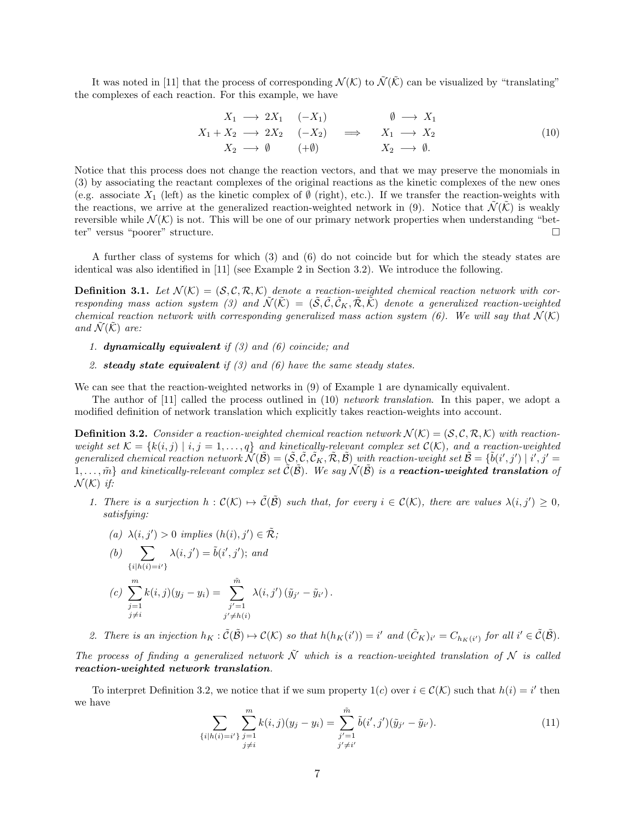It was noted in [11] that the process of corresponding  $\mathcal{N}(\mathcal{K})$  to  $\tilde{\mathcal{N}}(\tilde{\mathcal{K}})$  can be visualized by "translating" the complexes of each reaction. For this example, we have

$$
X_1 \longrightarrow 2X_1 \quad (-X_1) \qquad \emptyset \longrightarrow X_1
$$
  
\n
$$
X_1 + X_2 \longrightarrow 2X_2 \quad (-X_2) \qquad \Longrightarrow \qquad X_1 \longrightarrow X_2
$$
  
\n
$$
X_2 \longrightarrow \emptyset \qquad (+\emptyset) \qquad \qquad X_2 \longrightarrow \emptyset.
$$
\n
$$
(10)
$$

Notice that this process does not change the reaction vectors, and that we may preserve the monomials in (3) by associating the reactant complexes of the original reactions as the kinetic complexes of the new ones (e.g. associate  $X_1$  (left) as the kinetic complex of  $\emptyset$  (right), etc.). If we transfer the reaction-weights with the reactions, we arrive at the generalized reaction-weighted network in (9). Notice that  $\tilde{\mathcal{N}}(\tilde{\mathcal{K}})$  is weakly reversible while  $\mathcal{N}(\mathcal{K})$  is not. This will be one of our primary network properties when understanding "bet-<br>ter" versus "poorer" structure. ter" versus "poorer" structure.

A further class of systems for which (3) and (6) do not coincide but for which the steady states are identical was also identified in [11] (see Example 2 in Section 3.2). We introduce the following.

**Definition 3.1.** Let  $\mathcal{N}(\mathcal{K}) = (\mathcal{S}, \mathcal{C}, \mathcal{R}, \mathcal{K})$  denote a reaction-weighted chemical reaction network with corresponding mass action system (3) and  $\tilde{\mathcal{N}}(\tilde{\mathcal{K}}) = (\tilde{\mathcal{S}}, \tilde{\mathcal{C}}, \tilde{\mathcal{C}}_K, \tilde{\mathcal{R}}, \tilde{\mathcal{K}})$  denote a generalized reaction-weighted chemical reaction network with corresponding generalized mass action system (6). We will say that  $\mathcal{N}(\mathcal{K})$ and  $\mathcal{N}(\mathcal{K})$  are:

- 1. **dynamically equivalent** if  $(3)$  and  $(6)$  coincide; and
- 2. steady state equivalent if  $(3)$  and  $(6)$  have the same steady states.

We can see that the reaction-weighted networks in  $(9)$  of Example 1 are dynamically equivalent.

The author of [11] called the process outlined in (10) network translation. In this paper, we adopt a modified definition of network translation which explicitly takes reaction-weights into account.

**Definition 3.2.** Consider a reaction-weighted chemical reaction network  $\mathcal{N}(\mathcal{K}) = (\mathcal{S}, \mathcal{C}, \mathcal{R}, \mathcal{K})$  with reactionweight set  $\mathcal{K} = \{k(i, j) \mid i, j = 1, \ldots, q\}$  and kinetically-relevant complex set  $\mathcal{C}(\mathcal{K})$ , and a reaction-weighted generalized chemical reaction network  $\tilde{\mathcal{N}}(\tilde{\mathcal{B}}) = (\tilde{\mathcal{S}}, \tilde{\mathcal{C}}, \tilde{\mathcal{C}}_K, \tilde{\mathcal{R}}, \tilde{\mathcal{B}})$  with reaction-weight set  $\tilde{\mathcal{B}} = \{\tilde{b}(i',j') \mid i', j' = 1, j' = 1, j' = 1, j' = 1, j' = 1, j' = 1, j' = 1, j' = 1, j' = 1, j' = 1,$  $1,\ldots,\tilde{m}\}$  and kinetically-relevant complex set  $\tilde{\mathcal{C}}(\tilde{\mathcal{B}})$ . We say  $\tilde{\mathcal{N}}(\tilde{\mathcal{B}})$  is a **reaction-weighted translation** of  $\mathcal{N}(\mathcal{K})$  if:

1. There is a surjection  $h: \mathcal{C}(\mathcal{K}) \mapsto \tilde{\mathcal{C}}(\tilde{\mathcal{B}})$  such that, for every  $i \in \mathcal{C}(\mathcal{K})$ , there are values  $\lambda(i, j') \geq 0$ , satisfying:

$$
(a) \ \lambda(i,j')>0 \ implies \ (h(i),j')\in \tilde{\mathcal R};
$$

(b) 
$$
\sum_{\{i|h(i)=i'\}} \lambda(i,j') = \tilde{b}(i',j'); \text{ and}
$$
  
(c) 
$$
\sum_{\substack{j=1 \ j \neq i}}^m k(i,j)(y_j - y_i) = \sum_{\substack{j'=1 \ j' \neq h(i)}}^{\tilde{m}} \lambda(i,j') (\tilde{y}_{j'} - \tilde{y}_{i'}).
$$

2. There is an injection  $h_K : \tilde{C}(\tilde{\mathcal{B}}) \to C(\mathcal{K})$  so that  $h(h_K(i')) = i'$  and  $(\tilde{C}_K)_{i'} = C_{h_K(i')}$  for all  $i' \in \tilde{C}(\tilde{\mathcal{B}})$ .

The process of finding a generalized network  $\tilde{\mathcal{N}}$  which is a reaction-weighted translation of  $\mathcal N$  is called reaction-weighted network translation.

To interpret Definition 3.2, we notice that if we sum property  $1(c)$  over  $i \in \mathcal{C}(\mathcal{K})$  such that  $h(i) = i'$  then we have

$$
\sum_{\{i|h(i)=i'\}} \sum_{\substack{j=1 \ j \neq i}}^m k(i,j)(y_j - y_i) = \sum_{\substack{j'=1 \ j' \neq i'}}^{\tilde{m}} \tilde{b}(i',j')(\tilde{y}_{j'} - \tilde{y}_{i'}).
$$
\n(11)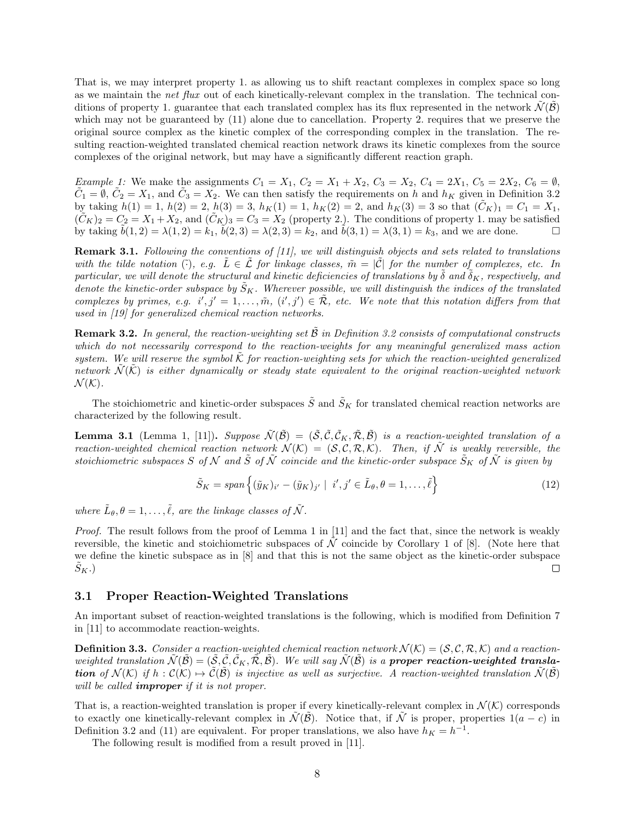That is, we may interpret property 1. as allowing us to shift reactant complexes in complex space so long as we maintain the net flux out of each kinetically-relevant complex in the translation. The technical conditions of property 1. guarantee that each translated complex has its flux represented in the network  $\mathcal{N}(\mathcal{B})$ which may not be guaranteed by  $(11)$  alone due to cancellation. Property 2. requires that we preserve the original source complex as the kinetic complex of the corresponding complex in the translation. The resulting reaction-weighted translated chemical reaction network draws its kinetic complexes from the source complexes of the original network, but may have a significantly different reaction graph.

Example 1: We make the assignments  $C_1 = X_1, C_2 = X_1 + X_2, C_3 = X_2, C_4 = 2X_1, C_5 = 2X_2, C_6 = \emptyset$ ,  $\tilde{C}_1 = \emptyset$ ,  $\tilde{C}_2 = X_1$ , and  $\tilde{C}_3 = X_2$ . We can then satisfy the requirements on h and  $h_K$  given in Definition 3.2 by taking  $h(1) = 1$ ,  $h(2) = 2$ ,  $h(3) = 3$ ,  $h_K(1) = 1$ ,  $h_K(2) = 2$ , and  $h_K(3) = 3$  so that  $(\tilde{C}_K)_1 = C_1 = X_1$ ,  $(\tilde{C}_K)_2 = C_2 = X_1 + X_2$ , and  $(\tilde{C}_K)_3 = C_3 = X_2$  (property 2.). The conditions of property 1. may be satisfied by taking  $\tilde{b}(1, 2) = \lambda(1, 2) = k_1$ ,  $\tilde{b}(2, 3) = \lambda(2, 3) = k_2$ , and  $\tilde{b}(3, 1) = \lambda(3, 1) = k_3$ , and we are done.

**Remark 3.1.** Following the conventions of  $[11]$ , we will distinguish objects and sets related to translations with the tilde notation ( $\hat{\cdot}$ ), e.g.  $L \in \mathcal{L}$  for linkage classes,  $\tilde{m} = |\mathcal{C}|$  for the number of complexes, etc. In particular, we will denote the structural and kinetic deficiencies of translations by  $\delta$  and  $\delta_K$ , respectively, and denote the kinetic-order subspace by  $\tilde{S}_K$ . Wherever possible, we will distinguish the indices of the translated complexes by primes, e.g.  $i', j' = 1, \ldots, \tilde{m}, (i', j') \in \tilde{\mathcal{R}},$  etc. We note that this notation differs from that used in [19] for generalized chemical reaction networks.

**Remark 3.2.** In general, the reaction-weighting set  $\hat{\mathcal{B}}$  in Definition 3.2 consists of computational constructs which do not necessarily correspond to the reaction-weights for any meaningful generalized mass action system. We will reserve the symbol  $\hat{K}$  for reaction-weighting sets for which the reaction-weighted generalized network  $\tilde{\mathcal{N}}(\tilde{\mathcal{K}})$  is either dynamically or steady state equivalent to the original reaction-weighted network  $\mathcal{N}(\mathcal{K})$ .

The stoichiometric and kinetic-order subspaces  $\tilde{S}$  and  $\tilde{S}_K$  for translated chemical reaction networks are characterized by the following result.

**Lemma 3.1** (Lemma 1, [11]). Suppose  $\tilde{\mathcal{N}}(\tilde{\mathcal{B}}) = (\tilde{\mathcal{S}}, \tilde{\mathcal{C}}, \tilde{\mathcal{C}}_K, \tilde{\mathcal{R}}, \tilde{\mathcal{B}})$  is a reaction-weighted translation of a reaction-weighted chemical reaction network  $\mathcal{N}(\mathcal{K}) = (\mathcal{S}, \mathcal{C}, \mathcal{R}, \mathcal{K})$ . Then, if  $\tilde{\mathcal{N}}$  is weakly reversible, the stoichiometric subspaces S of N and  $\tilde{S}$  of  $\tilde{N}$  coincide and the kinetic-order subspace  $\tilde{S}_K$  of  $\tilde{N}$  is given by

$$
\tilde{S}_K = span\left\{ (\tilde{y}_K)_{i'} - (\tilde{y}_K)_{j'} \mid i', j' \in \tilde{L}_{\theta}, \theta = 1, \dots, \tilde{\ell} \right\}
$$
\n(12)

where  $\tilde{L}_{\theta}, \theta = 1, \ldots, \tilde{\ell}$ , are the linkage classes of  $\tilde{\mathcal{N}}$ .

Proof. The result follows from the proof of Lemma 1 in [11] and the fact that, since the network is weakly reversible, the kinetic and stoichiometric subspaces of  $\tilde{\mathcal{N}}$  coincide by Corollary 1 of [8]. (Note here that we define the kinetic subspace as in [8] and that this is not the same object as the kinetic-order subspace  $S_K$ .)  $\Box$ 

#### 3.1 Proper Reaction-Weighted Translations

An important subset of reaction-weighted translations is the following, which is modified from Definition 7 in [11] to accommodate reaction-weights.

**Definition 3.3.** Consider a reaction-weighted chemical reaction network  $\mathcal{N}(\mathcal{K}) = (\mathcal{S}, \mathcal{C}, \mathcal{R}, \mathcal{K})$  and a reactionweighted translation  $\tilde{\mathcal{N}}(\tilde{\mathcal{B}}) = (\tilde{\mathcal{S}}, \tilde{\mathcal{C}}, \tilde{\mathcal{C}}_K, \tilde{\mathcal{R}}, \tilde{\mathcal{B}})$ . We will say  $\tilde{\mathcal{N}}(\tilde{\mathcal{B}})$  is a **proper reaction-weighted translation** of  $\mathcal{N}(\mathcal{K})$  if  $h : \mathcal{C}(\mathcal{K}) \to \tilde{\mathcal{C}}(\tilde{\mathcal{B}})$  is injective as well as surjective. A reaction-weighted translation  $\tilde{\mathcal{N}}(\tilde{\mathcal{B}})$ will be called **improper** if it is not proper.

That is, a reaction-weighted translation is proper if every kinetically-relevant complex in  $\mathcal{N}(\mathcal{K})$  corresponds to exactly one kinetically-relevant complex in  $\tilde{\mathcal{N}}(\tilde{\mathcal{B}})$ . Notice that, if  $\tilde{\mathcal{N}}$  is proper, properties  $1(a-c)$  in Definition 3.2 and (11) are equivalent. For proper translations, we also have  $h_K = h^{-1}$ .

The following result is modified from a result proved in [11].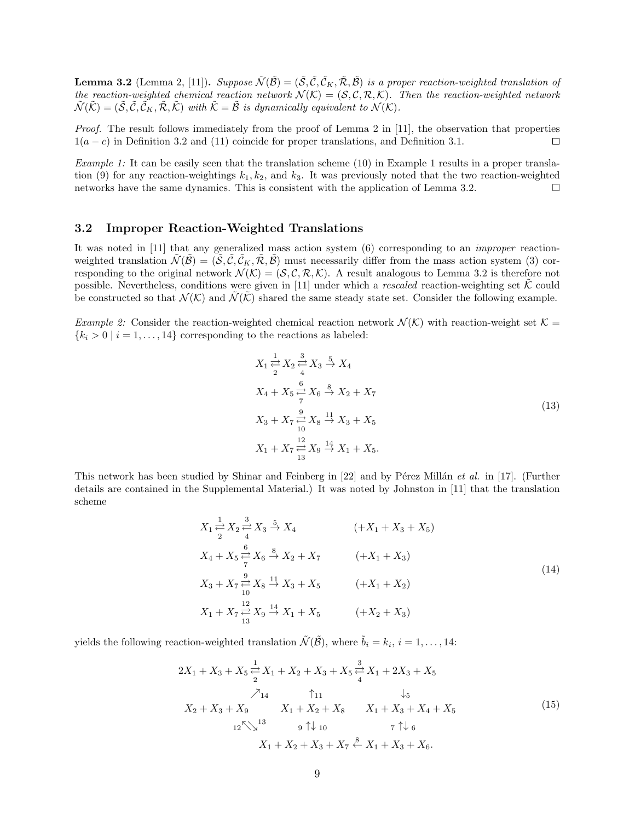**Lemma 3.2** (Lemma 2, [11]). Suppose  $\tilde{\mathcal{N}}(\tilde{\mathcal{B}}) = (\tilde{\mathcal{S}}, \tilde{\mathcal{C}}, \tilde{\mathcal{C}}_K, \tilde{\mathcal{R}}, \tilde{\mathcal{B}})$  is a proper reaction-weighted translation of the reaction-weighted chemical reaction network  $\mathcal{N}(\mathcal{K}) = (\mathcal{S}, \mathcal{C}, \mathcal{R}, \mathcal{K})$ . Then the reaction-weighted network  $\widetilde{\mathcal{N}}(\widetilde{\mathcal{K}}) = (\widetilde{\mathcal{S}}, \widetilde{\mathcal{C}}, \widetilde{\mathcal{C}}_K, \widetilde{\mathcal{R}}, \widetilde{\mathcal{K}})$  with  $\widetilde{\mathcal{K}} = \widetilde{\mathcal{B}}$  is dynamically equivalent to  $\mathcal{N}(\mathcal{K})$ .

Proof. The result follows immediately from the proof of Lemma 2 in [11], the observation that properties  $1(a - c)$  in Definition 3.2 and (11) coincide for proper translations, and Definition 3.1.  $\Box$ 

Example 1: It can be easily seen that the translation scheme (10) in Example 1 results in a proper translation (9) for any reaction-weightings  $k_1, k_2$ , and  $k_3$ . It was previously noted that the two reaction-weighted networks have the same dynamics. This is consistent with the application of Lemma 3.2.

#### 3.2 Improper Reaction-Weighted Translations

It was noted in [11] that any generalized mass action system (6) corresponding to an improper reactionweighted translation  $\mathcal{N}(\mathcal{B}) = (\mathcal{S}, \mathcal{C}, \mathcal{C}_K, \mathcal{R}, \mathcal{B})$  must necessarily differ from the mass action system (3) corresponding to the original network  $\mathcal{N}(\mathcal{K}) = (\mathcal{S}, \mathcal{C}, \mathcal{R}, \mathcal{K})$ . A result analogous to Lemma 3.2 is therefore not possible. Nevertheless, conditions were given in [11] under which a rescaled reaction-weighting set  $\tilde{\mathcal{K}}$  could be constructed so that  $\mathcal{N}(\mathcal{K})$  and  $\mathcal{N}(\mathcal{K})$  shared the same steady state set. Consider the following example.

*Example 2:* Consider the reaction-weighted chemical reaction network  $\mathcal{N}(\mathcal{K})$  with reaction-weight set  $\mathcal{K} =$  ${k_i > 0 | i = 1, ..., 14}$  corresponding to the reactions as labeled:

$$
X_{1} \stackrel{1}{\rightleftharpoons} X_{2} \stackrel{3}{\rightleftharpoons} X_{3} \stackrel{5}{\rightarrow} X_{4}
$$
  
\n
$$
X_{4} + X_{5} \stackrel{6}{\rightleftharpoons} X_{6} \stackrel{8}{\rightarrow} X_{2} + X_{7}
$$
  
\n
$$
X_{3} + X_{7} \stackrel{9}{\rightleftharpoons} X_{8} \stackrel{11}{\rightarrow} X_{3} + X_{5}
$$
  
\n
$$
X_{1} + X_{7} \stackrel{12}{\rightleftharpoons} X_{9} \stackrel{14}{\rightarrow} X_{1} + X_{5}.
$$
  
\n(13)

This network has been studied by Shinar and Feinberg in [22] and by Pérez Millán et al. in [17]. (Further details are contained in the Supplemental Material.) It was noted by Johnston in [11] that the translation scheme

$$
X_{1} \stackrel{1}{\rightleftharpoons} X_{2} \stackrel{3}{\rightleftharpoons} X_{3} \stackrel{5}{\rightarrow} X_{4}
$$
\n
$$
(+X_{1} + X_{3} + X_{5})
$$
\n
$$
X_{4} + X_{5} \stackrel{6}{\rightleftharpoons} X_{6} \stackrel{8}{\rightarrow} X_{2} + X_{7}
$$
\n
$$
+X_{1} + X_{3})
$$
\n
$$
X_{3} + X_{7} \stackrel{9}{\rightleftharpoons} X_{8} \stackrel{11}{\rightarrow} X_{3} + X_{5}
$$
\n
$$
+X_{1} + X_{2})
$$
\n
$$
X_{1} + X_{7} \stackrel{12}{\rightleftharpoons} X_{9} \stackrel{14}{\rightarrow} X_{1} + X_{5}
$$
\n
$$
+X_{2} + X_{3})
$$
\n
$$
(14)
$$

yields the following reaction-weighted translation  $\tilde{\mathcal{N}}(\tilde{\mathcal{B}})$ , where  $\tilde{b}_i = k_i, i = 1, ..., 14$ :

$$
2X_1 + X_3 + X_5 \stackrel{1}{\rightleftharpoons} X_1 + X_2 + X_3 + X_5 \stackrel{3}{\rightleftharpoons} X_1 + 2X_3 + X_5
$$
  
\n
$$
\begin{array}{ccc}\nX_1 & \uparrow_{11} & \downarrow_5 \\
X_2 + X_3 + X_9 & X_1 + X_2 + X_8 & X_1 + X_3 + X_4 + X_5 \\
& & & 12 \big\langle \big\langle \big\langle \big\rangle^{13} & 9 \uparrow \downarrow_{10} & 7 \uparrow \downarrow_6 \\
& & & X_1 + X_2 + X_3 + X_7 \stackrel{8}{\leftarrow} X_1 + X_3 + X_6.\n\end{array}
$$
\n(15)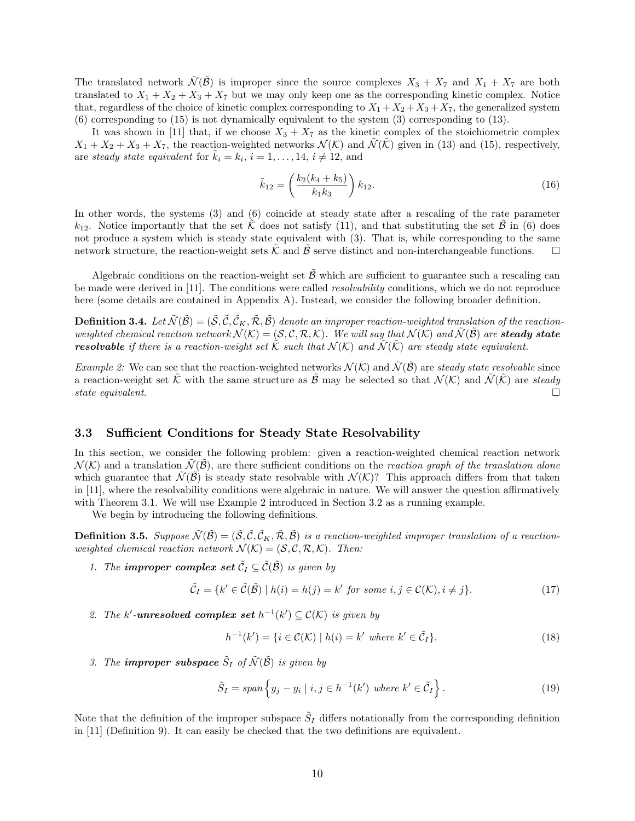The translated network  $\tilde{\mathcal{N}}(\tilde{\mathcal{B}})$  is improper since the source complexes  $X_3 + X_7$  and  $X_1 + X_7$  are both translated to  $X_1 + X_2 + X_3 + X_7$  but we may only keep one as the corresponding kinetic complex. Notice that, regardless of the choice of kinetic complex corresponding to  $X_1 + X_2 + X_3 + X_7$ , the generalized system (6) corresponding to (15) is not dynamically equivalent to the system (3) corresponding to (13).

It was shown in [11] that, if we choose  $X_3 + X_7$  as the kinetic complex of the stoichiometric complex  $X_1 + X_2 + X_3 + X_7$ , the reaction-weighted networks  $\mathcal{N}(\mathcal{K})$  and  $\tilde{\mathcal{N}}(\tilde{\mathcal{K}})$  given in (13) and (15), respectively, are steady state equivalent for  $\tilde{k}_i = k_i, i = 1, ..., 14, i \neq 12$ , and

$$
\tilde{k}_{12} = \left(\frac{k_2(k_4 + k_5)}{k_1 k_3}\right) k_{12}.
$$
\n(16)

In other words, the systems (3) and (6) coincide at steady state after a rescaling of the rate parameter  $k_{12}$ . Notice importantly that the set  $\tilde{\mathcal{K}}$  does not satisfy (11), and that substituting the set  $\tilde{\mathcal{B}}$  in (6) does not produce a system which is steady state equivalent with (3). That is, while corresponding to the same network structure, the reaction-weight sets  $\tilde{\mathcal{K}}$  and  $\tilde{\mathcal{B}}$  serve distinct and non-interchangeable functions.

Algebraic conditions on the reaction-weight set  $\tilde{\beta}$  which are sufficient to guarantee such a rescaling can be made were derived in [11]. The conditions were called resolvability conditions, which we do not reproduce here (some details are contained in Appendix A). Instead, we consider the following broader definition.

**Definition 3.4.** Let  $\tilde{\mathcal{N}}(\tilde{\mathcal{B}}) = (\tilde{\mathcal{S}}, \tilde{\mathcal{C}}, \tilde{\mathcal{C}}_K, \tilde{\mathcal{R}}, \tilde{\mathcal{B}})$  denote an improper reaction-weighted translation of the reactionweighted chemical reaction network  $\mathcal{N}(\mathcal{K}) = (\mathcal{S}, \mathcal{C}, \mathcal{R}, \mathcal{K})$ . We will say that  $\mathcal{N}(\mathcal{K})$  and  $\tilde{\mathcal{N}}(\tilde{\mathcal{B}})$  are **steady state resolvable** if there is a reaction-weight set  $\tilde{\mathcal{K}}$  such that  $\mathcal{N}(\mathcal{K})$  and  $\tilde{\mathcal{N}}(\tilde{\mathcal{K}})$  are steady state equivalent.

*Example 2:* We can see that the reaction-weighted networks  $\mathcal{N}(\mathcal{K})$  and  $\mathcal{N}(\mathcal{B})$  are steady state resolvable since a reaction-weight set  $\tilde{\mathcal{K}}$  with the same structure as  $\tilde{\mathcal{B}}$  may be selected so that  $\mathcal{N}(\mathcal{K})$  and  $\tilde{\mathcal{N}}(\tilde{\mathcal{K}})$  are steady state equivalent. state equivalent.

#### 3.3 Sufficient Conditions for Steady State Resolvability

In this section, we consider the following problem: given a reaction-weighted chemical reaction network  $\mathcal{N}(K)$  and a translation  $\mathcal{N}(\mathcal{B})$ , are there sufficient conditions on the reaction graph of the translation alone which guarantee that  $\mathcal{N}(\mathcal{B})$  is steady state resolvable with  $\mathcal{N}(\mathcal{K})$ ? This approach differs from that taken in [11], where the resolvability conditions were algebraic in nature. We will answer the question affirmatively with Theorem 3.1. We will use Example 2 introduced in Section 3.2 as a running example.

We begin by introducing the following definitions.

**Definition 3.5.** Suppose  $\tilde{\mathcal{N}}(\tilde{\mathcal{B}}) = (\tilde{\mathcal{S}}, \tilde{\mathcal{C}}, \tilde{\mathcal{C}}_K, \tilde{\mathcal{R}}, \tilde{\mathcal{B}})$  is a reaction-weighted improper translation of a reactionweighted chemical reaction network  $\mathcal{N}(\mathcal{K}) = (\mathcal{S}, \mathcal{C}, \mathcal{R}, \mathcal{K})$ . Then:

1. The **improper complex set**  $\tilde{C}_I \subseteq \tilde{C}(\tilde{\mathcal{B}})$  is given by

$$
\tilde{\mathcal{C}}_I = \{k' \in \tilde{\mathcal{C}}(\tilde{\mathcal{B}}) \mid h(i) = h(j) = k' \text{ for some } i, j \in \mathcal{C}(\mathcal{K}), i \neq j\}.
$$
\n
$$
(17)
$$

2. The k'-**unresolved complex set**  $h^{-1}(k') \subseteq C(K)$  is given by

$$
h^{-1}(k') = \{i \in \mathcal{C}(\mathcal{K}) \mid h(i) = k' \text{ where } k' \in \tilde{\mathcal{C}}_I\}.
$$
\n
$$
(18)
$$

3. The **improper subspace**  $\tilde{S}_I$  of  $\tilde{\mathcal{N}}(\tilde{\mathcal{B}})$  is given by

$$
\tilde{S}_I = span\left\{y_j - y_i \mid i, j \in h^{-1}(k') \text{ where } k' \in \tilde{C}_I\right\}.
$$
\n(19)

Note that the definition of the improper subspace  $\tilde{S}_I$  differs notationally from the corresponding definition in [11] (Definition 9). It can easily be checked that the two definitions are equivalent.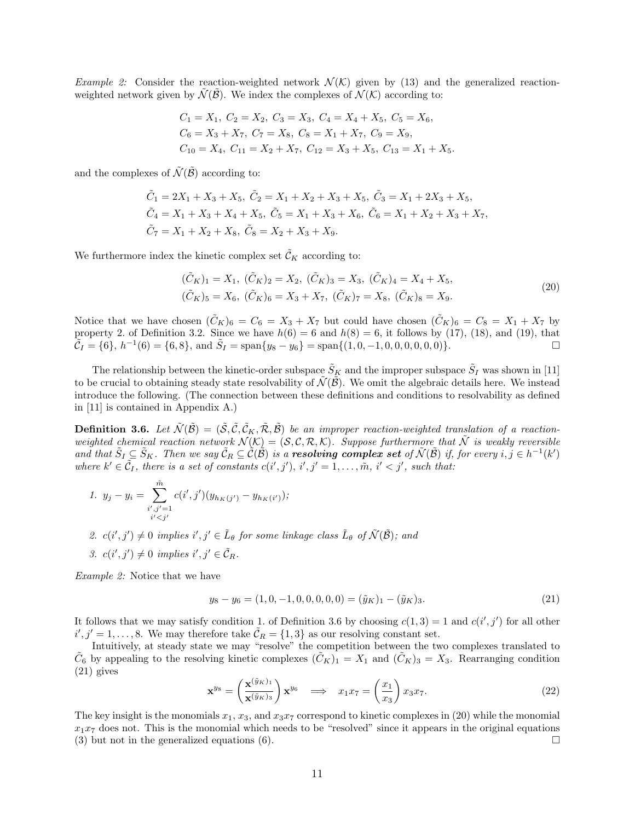*Example 2:* Consider the reaction-weighted network  $\mathcal{N}(K)$  given by (13) and the generalized reactionweighted network given by  $\mathcal{N}(\mathcal{B})$ . We index the complexes of  $\mathcal{N}(\mathcal{K})$  according to:

$$
C_1 = X_1, C_2 = X_2, C_3 = X_3, C_4 = X_4 + X_5, C_5 = X_6,
$$
  
\n
$$
C_6 = X_3 + X_7, C_7 = X_8, C_8 = X_1 + X_7, C_9 = X_9,
$$
  
\n
$$
C_{10} = X_4, C_{11} = X_2 + X_7, C_{12} = X_3 + X_5, C_{13} = X_1 + X_5.
$$

and the complexes of  $\tilde{\mathcal{N}}(\tilde{\mathcal{B}})$  according to:

$$
\tilde{C}_1 = 2X_1 + X_3 + X_5, \ \tilde{C}_2 = X_1 + X_2 + X_3 + X_5, \ \tilde{C}_3 = X_1 + 2X_3 + X_5, \n\tilde{C}_4 = X_1 + X_3 + X_4 + X_5, \ \tilde{C}_5 = X_1 + X_3 + X_6, \ \tilde{C}_6 = X_1 + X_2 + X_3 + X_7, \n\tilde{C}_7 = X_1 + X_2 + X_8, \ \tilde{C}_8 = X_2 + X_3 + X_9.
$$

We furthermore index the kinetic complex set  $\tilde{\mathcal{C}}_K$  according to:

$$
(\tilde{C}_K)_1 = X_1, \ (\tilde{C}_K)_2 = X_2, \ (\tilde{C}_K)_3 = X_3, \ (\tilde{C}_K)_4 = X_4 + X_5, (\tilde{C}_K)_5 = X_6, \ (\tilde{C}_K)_6 = X_3 + X_7, \ (\tilde{C}_K)_7 = X_8, \ (\tilde{C}_K)_8 = X_9.
$$
\n
$$
(20)
$$

Notice that we have chosen  $(\tilde{C}_K)_6 = C_6 = X_3 + X_7$  but could have chosen  $(\tilde{C}_K)_6 = C_8 = X_1 + X_7$  by property 2. of Definition 3.2. Since we have  $h(6) = 6$  and  $h(8) = 6$ , it follows by (17), (18), and (19), that  $\tilde{C}_I = \{6\}, h^{-1}(6) = \{6, 8\}, \text{ and } \tilde{S}_I = \text{span}\{y_8 - y_6\} = \text{span}\{(1, 0, -1, 0, 0, 0, 0, 0, 0)\}.$ 

The relationship between the kinetic-order subspace  $\tilde{S}_K$  and the improper subspace  $\tilde{S}_I$  was shown in [11] to be crucial to obtaining steady state resolvability of  $\tilde{\mathcal{N}}(\tilde{\mathcal{B}})$ . We omit the algebraic details here. We instead introduce the following. (The connection between these definitions and conditions to resolvability as defined in [11] is contained in Appendix A.)

**Definition 3.6.** Let  $\tilde{\mathcal{N}}(\tilde{\mathcal{B}}) = (\tilde{\mathcal{S}}, \tilde{\mathcal{C}}, \tilde{\mathcal{C}}_K, \tilde{\mathcal{R}}, \tilde{\mathcal{B}})$  be an improper reaction-weighted translation of a reactionweighted chemical reaction network  $\mathcal{N}(\mathcal{K}) = (\mathcal{S}, \mathcal{C}, \mathcal{R}, \mathcal{K})$ . Suppose furthermore that  $\tilde{\mathcal{N}}$  is weakly reversible and that  $\tilde{S}_I \subseteq \tilde{S}_K$ . Then we say  $\tilde{C}_R \subseteq \tilde{C}(\tilde{B})$  is a **resolving complex set** of  $\tilde{\mathcal{N}}(\tilde{B})$  if, for every  $i, j \in h^{-1}(k')$ where  $k' \in \tilde{C}_I$ , there is a set of constants  $c(i',j')$ ,  $i',j' = 1, \ldots, \tilde{m}, i' < j'$ , such that:

1. 
$$
y_j - y_i = \sum_{\substack{i', j' = 1 \\ i' < j'}}^{\tilde{m}} c(i', j')(y_{h_K(j')} - y_{h_K(i')});
$$

- 2.  $c(i',j') \neq 0$  implies  $i', j' \in \tilde{L}_{\theta}$  for some linkage class  $\tilde{L}_{\theta}$  of  $\tilde{\mathcal{N}}(\tilde{\mathcal{B}})$ ; and
- 3.  $c(i', j') \neq 0$  implies  $i', j' \in \tilde{C}_R$ .

Example 2: Notice that we have

$$
y_8 - y_6 = (1, 0, -1, 0, 0, 0, 0, 0) = (\tilde{y}_K)_1 - (\tilde{y}_K)_3.
$$
\n(21)

It follows that we may satisfy condition 1. of Definition 3.6 by choosing  $c(1,3) = 1$  and  $c(i',j')$  for all other  $i', j' = 1, \ldots, 8$ . We may therefore take  $\tilde{C}_R = \{1, 3\}$  as our resolving constant set.

Intuitively, at steady state we may "resolve" the competition between the two complexes translated to  $\tilde{C}_6$  by appealing to the resolving kinetic complexes  $(\tilde{C}_K)_1 = X_1$  and  $(\tilde{C}_K)_3 = X_3$ . Rearranging condition (21) gives

$$
\mathbf{x}^{ys} = \left(\frac{\mathbf{x}^{(\tilde{y}_K)_1}}{\mathbf{x}^{(\tilde{y}_K)_3}}\right) \mathbf{x}^{ys} \quad \Longrightarrow \quad x_1 x_7 = \left(\frac{x_1}{x_3}\right) x_3 x_7. \tag{22}
$$

The key insight is the monomials  $x_1, x_3$ , and  $x_3x_7$  correspond to kinetic complexes in (20) while the monomial  $x_1x_7$  does not. This is the monomial which needs to be "resolved" since it appears in the original equations (3) but not in the generalized equations (6).  $\Box$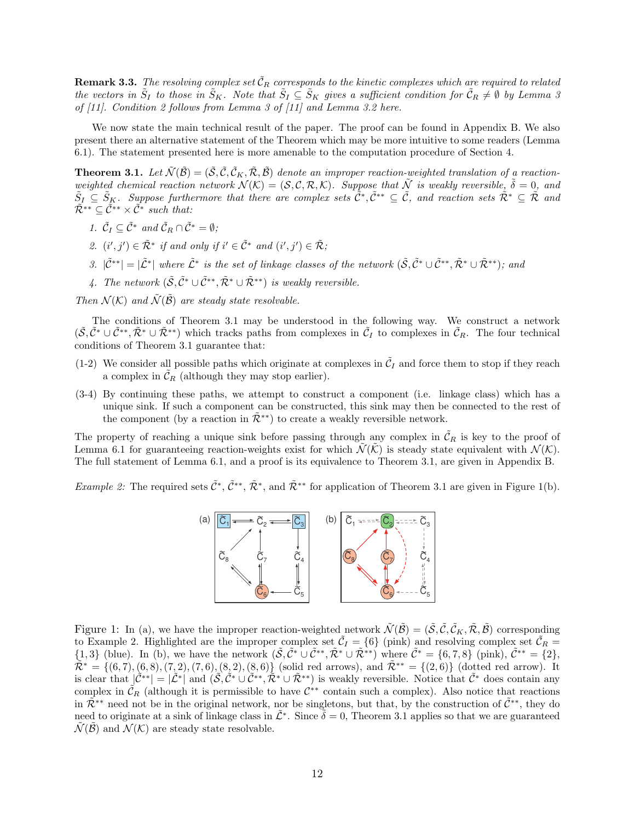**Remark 3.3.** The resolving complex set  $\tilde{\mathcal{C}}_R$  corresponds to the kinetic complexes which are required to related the vectors in  $\tilde{S}_I$  to those in  $\tilde{S}_K$ . Note that  $\tilde{S}_I \subseteq \tilde{S}_K$  gives a sufficient condition for  $\tilde{C}_R \neq \emptyset$  by Lemma 3 of [11]. Condition 2 follows from Lemma 3 of [11] and Lemma 3.2 here.

We now state the main technical result of the paper. The proof can be found in Appendix B. We also present there an alternative statement of the Theorem which may be more intuitive to some readers (Lemma 6.1). The statement presented here is more amenable to the computation procedure of Section 4.

**Theorem 3.1.** Let  $\tilde{\mathcal{N}}(\tilde{\mathcal{B}}) = (\tilde{\mathcal{S}}, \tilde{\mathcal{C}}, \tilde{\mathcal{C}}_K, \tilde{\mathcal{R}}, \tilde{\mathcal{B}})$  denote an improper reaction-weighted translation of a reactionweighted chemical reaction network  $\mathcal{N}(\mathcal{K}) = (\mathcal{S}, \mathcal{C}, \mathcal{R}, \mathcal{K})$ . Suppose that  $\tilde{\mathcal{N}}$  is weakly reversible,  $\tilde{\delta} = 0$ , and  $\tilde{S}_I \subseteq \tilde{S}_K$ . Suppose furthermore that there are complex sets  $\tilde{C}^*, \tilde{C}^{**} \subseteq \tilde{C}$ , and reaction sets  $\tilde{\mathcal{R}}^* \subseteq \tilde{\mathcal{R}}$  and  $\tilde{\mathcal{R}}^{**} \subseteq \tilde{\mathcal{C}}^{**} \times \tilde{\mathcal{C}}^*$  such that:

- 1.  $\tilde{C}_I \subseteq \tilde{C}^*$  and  $\tilde{C}_R \cap \tilde{C}^* = \emptyset$ ;
- 2.  $(i', j') \in \tilde{\mathcal{R}}^*$  if and only if  $i' \in \tilde{\mathcal{C}}^*$  and  $(i', j') \in \tilde{\mathcal{R}}$ ;
- 3.  $|\tilde{C}^{**}| = |\tilde{L}^*|$  where  $\tilde{L}^*$  is the set of linkage classes of the network  $(\tilde{S}, \tilde{C}^* \cup \tilde{C}^{**}, \tilde{\mathcal{R}}^* \cup \tilde{\mathcal{R}}^{**})$ ; and
- 4. The network  $(\tilde{S}, \tilde{\mathcal{C}}^* \cup \tilde{\mathcal{C}}^{**}, \tilde{\mathcal{R}}^* \cup \tilde{\mathcal{R}}^{**})$  is weakly reversible.

Then  $\mathcal{N}(\mathcal{K})$  and  $\tilde{\mathcal{N}}(\tilde{\mathcal{B}})$  are steady state resolvable.

The conditions of Theorem 3.1 may be understood in the following way. We construct a network  $(\tilde{S}, \tilde{C}^* \cup \tilde{C}^{**}, \tilde{\mathcal{R}}^* \cup \tilde{\mathcal{R}}^{**})$  which tracks paths from complexes in  $\tilde{C}_I$  to complexes in  $\tilde{C}_R$ . The four technical conditions of Theorem 3.1 guarantee that:

- (1-2) We consider all possible paths which originate at complexes in  $\tilde{C}_I$  and force them to stop if they reach a complex in  $\mathcal{C}_R$  (although they may stop earlier).
- (3-4) By continuing these paths, we attempt to construct a component (i.e. linkage class) which has a unique sink. If such a component can be constructed, this sink may then be connected to the rest of the component (by a reaction in  $\mathcal{R}^{**}$ ) to create a weakly reversible network.

The property of reaching a unique sink before passing through any complex in  $\tilde{\mathcal{C}}_R$  is key to the proof of Lemma 6.1 for guaranteeing reaction-weights exist for which  $\mathcal{N}(\mathcal{K})$  is steady state equivalent with  $\mathcal{N}(\mathcal{K})$ . The full statement of Lemma 6.1, and a proof is its equivalence to Theorem 3.1, are given in Appendix B.

*Example 2:* The required sets  $\tilde{C}^*, \tilde{C}^{**}, \tilde{\mathcal{R}}^*,$  and  $\tilde{\mathcal{R}}^{**}$  for application of Theorem 3.1 are given in Figure 1(b).



Figure 1: In (a), we have the improper reaction-weighted network  $\tilde{\mathcal{N}}(\tilde{\mathcal{B}}) = (\tilde{\mathcal{S}}, \tilde{\mathcal{C}}, \tilde{\mathcal{C}}_K, \tilde{\mathcal{R}}, \tilde{\mathcal{B}})$  corresponding to Example 2. Highlighted are the improper complex set  $\tilde{C}_I = \{6\}$  (pink) and resolving complex set  $\tilde{C}_R =$  ${1,3}$  (blue). In (b), we have the network  $(\tilde{\mathcal{S}}, \tilde{\mathcal{C}}^* \cup \tilde{\mathcal{C}}^{**}, \tilde{\mathcal{R}}^* \cup \tilde{\mathcal{R}}^{**})$  where  $\tilde{\mathcal{C}}^* = \{6,7,8\}$  (pink),  $\tilde{\mathcal{C}}^{**} = \{2\},\$  $\tilde{\mathcal{R}}^* = \{(6, 7), (6, 8), (7, 2), (7, 6), (8, 2), (8, 6)\}\$  (solid red arrows), and  $\tilde{\mathcal{R}}^{**} = \{(2, 6)\}\$  (dotted red arrow). It is clear that  $\left|\tilde{\mathcal{C}}^{**}\right| = |\tilde{\mathcal{L}}^*|$  and  $(\tilde{\mathcal{S}}, \tilde{\mathcal{C}}^* \cup \tilde{\mathcal{C}}^{**}, \tilde{\mathcal{R}}^* \cup \tilde{\mathcal{R}}^{**})$  is weakly reversible. Notice that  $\tilde{\mathcal{C}}^*$  does contain any complex in  $\tilde{\mathcal{C}}_R$  (although it is permissible to have  $\mathcal{C}^{**}$  contain such a complex). Also notice that reactions in  $\mathbb{R}^{**}$  need not be in the original network, nor be singletons, but that, by the construction of  $\mathcal{C}^{**}$ , they do need to originate at a sink of linkage class in  $\tilde{\mathcal{L}}^*$ . Since  $\tilde{\delta} = 0$ , Theorem 3.1 applies so that we are guaranteed  $\mathcal{N}(\mathcal{B})$  and  $\mathcal{N}(\mathcal{K})$  are steady state resolvable.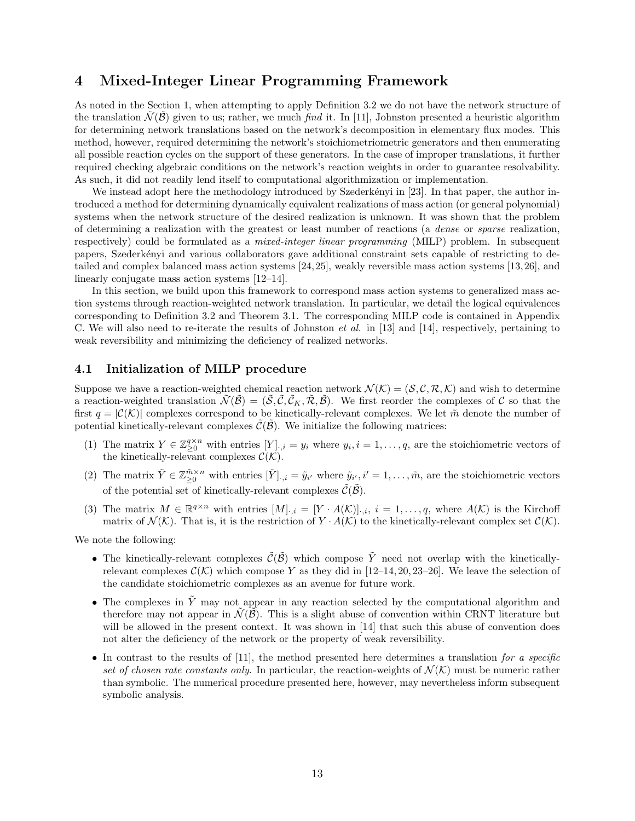### 4 Mixed-Integer Linear Programming Framework

As noted in the Section 1, when attempting to apply Definition 3.2 we do not have the network structure of the translation  $\mathcal{N}(\mathcal{B})$  given to us; rather, we much find it. In [11], Johnston presented a heuristic algorithm for determining network translations based on the network's decomposition in elementary flux modes. This method, however, required determining the network's stoichiometriometric generators and then enumerating all possible reaction cycles on the support of these generators. In the case of improper translations, it further required checking algebraic conditions on the network's reaction weights in order to guarantee resolvability. As such, it did not readily lend itself to computational algorithmization or implementation.

We instead adopt here the methodology introduced by Szederkényi in [23]. In that paper, the author introduced a method for determining dynamically equivalent realizations of mass action (or general polynomial) systems when the network structure of the desired realization is unknown. It was shown that the problem of determining a realization with the greatest or least number of reactions (a dense or sparse realization, respectively) could be formulated as a *mixed-integer linear programming* (MILP) problem. In subsequent papers, Szederk´enyi and various collaborators gave additional constraint sets capable of restricting to detailed and complex balanced mass action systems [24,25], weakly reversible mass action systems [13,26], and linearly conjugate mass action systems [12–14].

In this section, we build upon this framework to correspond mass action systems to generalized mass action systems through reaction-weighted network translation. In particular, we detail the logical equivalences corresponding to Definition 3.2 and Theorem 3.1. The corresponding MILP code is contained in Appendix C. We will also need to re-iterate the results of Johnston *et al.* in [13] and [14], respectively, pertaining to weak reversibility and minimizing the deficiency of realized networks.

#### 4.1 Initialization of MILP procedure

Suppose we have a reaction-weighted chemical reaction network  $\mathcal{N}(\mathcal{K}) = (\mathcal{S}, \mathcal{C}, \mathcal{R}, \mathcal{K})$  and wish to determine a reaction-weighted translation  $\tilde{\mathcal{N}}(\tilde{\mathcal{B}}) = (\tilde{\mathcal{S}}, \tilde{\mathcal{C}}, \tilde{\mathcal{C}}_K, \tilde{\mathcal{R}}, \tilde{\mathcal{B}})$ . We first reorder the complexes of C so that the first  $q = |\mathcal{C}(\mathcal{K})|$  complexes correspond to be kinetically-relevant complexes. We let  $\tilde{m}$  denote the number of potential kinetically-relevant complexes  $\mathcal{C}(\mathcal{B})$ . We initialize the following matrices:

- (1) The matrix  $Y \in \mathbb{Z}_{\geq 0}^{q \times n}$  with entries  $[Y]_{\cdot,i} = y_i$  where  $y_i, i = 1, \ldots, q$ , are the stoichiometric vectors of the kinetically-relevant complexes  $\mathcal{C}(\mathcal{K})$ .
- (2) The matrix  $\tilde{Y} \in \mathbb{Z}_{\geq 0}^{\tilde{m} \times n}$  with entries  $[\tilde{Y}]_{\cdot,i} = \tilde{y}_{i'}$  where  $\tilde{y}_{i',i}$ ,  $i' = 1, \ldots, \tilde{m}$ , are the stoichiometric vectors of the potential set of kinetically-relevant complexes  $\tilde{\mathcal{C}}(\tilde{\mathcal{B}})$ .
- (3) The matrix  $M \in \mathbb{R}^{q \times n}$  with entries  $[M]_{\cdot,i} = [Y \cdot A(\mathcal{K})]_{\cdot,i}, i = 1,\ldots,q$ , where  $A(\mathcal{K})$  is the Kirchoff matrix of  $\mathcal{N}(\mathcal{K})$ . That is, it is the restriction of  $Y \cdot A(\mathcal{K})$  to the kinetically-relevant complex set  $\mathcal{C}(\mathcal{K})$ .

We note the following:

- The kinetically-relevant complexes  $\tilde{\mathcal{C}}(\tilde{\mathcal{B}})$  which compose  $\tilde{Y}$  need not overlap with the kineticallyrelevant complexes  $\mathcal{C}(\mathcal{K})$  which compose Y as they did in [12–14, 20, 23–26]. We leave the selection of the candidate stoichiometric complexes as an avenue for future work.
- The complexes in  $\tilde{Y}$  may not appear in any reaction selected by the computational algorithm and therefore may not appear in  $\mathcal{N}(\mathcal{B})$ . This is a slight abuse of convention within CRNT literature but will be allowed in the present context. It was shown in [14] that such this abuse of convention does not alter the deficiency of the network or the property of weak reversibility.
- In contrast to the results of  $[11]$ , the method presented here determines a translation for a specific set of chosen rate constants only. In particular, the reaction-weights of  $\mathcal{N}(\mathcal{K})$  must be numeric rather than symbolic. The numerical procedure presented here, however, may nevertheless inform subsequent symbolic analysis.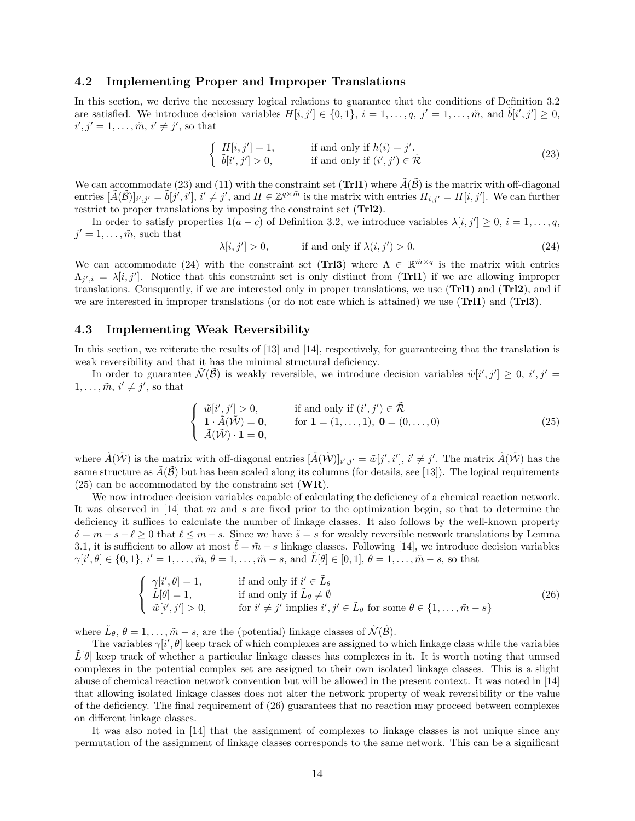#### 4.2 Implementing Proper and Improper Translations

In this section, we derive the necessary logical relations to guarantee that the conditions of Definition 3.2 are satisfied. We introduce decision variables  $H[i, j'] \in \{0, 1\}, i = 1, ..., q, j' = 1, ..., \tilde{m}$ , and  $\tilde{b}[i', j'] \geq 0$ ,  $i', j' = 1, \ldots, \tilde{m}, i' \neq j'$ , so that

$$
\begin{cases}\nH[i,j']=1, & \text{if and only if } h(i)=j'.\\ \n\tilde{b}[i',j']>0, & \text{if and only if } (i',j')\in\tilde{\mathcal{R}}\n\end{cases}
$$
\n
$$
(23)
$$

We can accommodate (23) and (11) with the constraint set (Trl1) where  $\tilde{A}(\tilde{B})$  is the matrix with off-diagonal entries  $[\tilde{A}(\tilde{\mathcal{B}})]_{i',j'} = \tilde{b}[j',i'], i' \neq j',$  and  $H \in \mathbb{Z}^{q \times \tilde{m}}$  is the matrix with entries  $H_{i,j'} = H[i,j']$ . We can further restrict to proper translations by imposing the constraint set (Trl2).

In order to satisfy properties  $1(a - c)$  of Definition 3.2, we introduce variables  $\lambda[i, j'] \geq 0$ ,  $i = 1, \ldots, q$ ,  $j' = 1, \ldots, \tilde{m}$ , such that

$$
\lambda[i, j'] > 0, \qquad \text{if and only if } \lambda(i, j') > 0. \tag{24}
$$

We can accommodate (24) with the constraint set (TrI3) where  $\Lambda \in \mathbb{R}^{m \times q}$  is the matrix with entries  $\Lambda_{j',i} = \lambda[i,j']$ . Notice that this constraint set is only distinct from (Trl1) if we are allowing improper translations. Consquently, if we are interested only in proper translations, we use (Trl1) and (Trl2), and if we are interested in improper translations (or do not care which is attained) we use (Trl1) and (Trl3).

#### 4.3 Implementing Weak Reversibility

In this section, we reiterate the results of [13] and [14], respectively, for guaranteeing that the translation is weak reversibility and that it has the minimal structural deficiency.

In order to guarantee  $\tilde{\mathcal{N}}(\tilde{\mathcal{B}})$  is weakly reversible, we introduce decision variables  $\tilde{w}[i',j'] \geq 0, i', j' =$  $1, \ldots, \tilde{m}, i' \neq j'$ , so that

$$
\begin{cases}\n\tilde{w}[i',j'] > 0, \\
\mathbf{1} \cdot \tilde{A}(\tilde{\mathcal{W}}) = \mathbf{0}, \\
\tilde{A}(\tilde{\mathcal{W}}) \cdot \mathbf{1} = \mathbf{0},\n\end{cases}\n\text{if and only if } (i',j') \in \tilde{\mathcal{R}}
$$
\n
$$
(25)
$$
\n
$$
\tilde{A}(\tilde{\mathcal{W}}) \cdot \mathbf{1} = \mathbf{0},
$$

where  $\tilde{A}(\tilde{W})$  is the matrix with off-diagonal entries  $[\tilde{A}(\tilde{W})]_{i',j'} = \tilde{w}[j',i'], i' \neq j'.$  The matrix  $\tilde{A}(\tilde{W})$  has the same structure as  $\tilde{A}(\tilde{\mathcal{B}})$  but has been scaled along its columns (for details, see [13]). The logical requirements  $(25)$  can be accommodated by the constraint set  $(\mathbf{WR})$ .

We now introduce decision variables capable of calculating the deficiency of a chemical reaction network. It was observed in [14] that m and s are fixed prior to the optimization begin, so that to determine the deficiency it suffices to calculate the number of linkage classes. It also follows by the well-known property  $\delta = m - s - \ell \geq 0$  that  $\ell \leq m - s$ . Since we have  $\tilde{s} = s$  for weakly reversible network translations by Lemma 3.1, it is sufficient to allow at most  $\tilde{\ell} = \tilde{m} - s$  linkage classes. Following [14], we introduce decision variables  $\gamma[i',\theta]\in\{0,1\}, i'=1,\ldots,\tilde{m}, \theta=1,\ldots,\tilde{m}-s$ , and  $\tilde{L}[\theta]\in[0,1], \theta=1,\ldots,\tilde{m}-s$ , so that

$$
\begin{cases}\n\gamma[i', \theta] = 1, & \text{if and only if } i' \in \tilde{L}_{\theta} \\
\tilde{L}[\theta] = 1, & \text{if and only if } \tilde{L}_{\theta} \neq \emptyset \\
\tilde{w}[i', j'] > 0, & \text{for } i' \neq j' \text{ implies } i', j' \in \tilde{L}_{\theta} \text{ for some } \theta \in \{1, \dots, \tilde{m} - s\}\n\end{cases}
$$
\n(26)

where  $\tilde{L}_{\theta}$ ,  $\theta = 1, \ldots, \tilde{m} - s$ , are the (potential) linkage classes of  $\tilde{\mathcal{N}}(\tilde{\mathcal{B}})$ .

The variables  $\gamma[i', \theta]$  keep track of which complexes are assigned to which linkage class while the variables  $L[\theta]$  keep track of whether a particular linkage classes has complexes in it. It is worth noting that unused complexes in the potential complex set are assigned to their own isolated linkage classes. This is a slight abuse of chemical reaction network convention but will be allowed in the present context. It was noted in [14] that allowing isolated linkage classes does not alter the network property of weak reversibility or the value of the deficiency. The final requirement of (26) guarantees that no reaction may proceed between complexes on different linkage classes.

It was also noted in [14] that the assignment of complexes to linkage classes is not unique since any permutation of the assignment of linkage classes corresponds to the same network. This can be a significant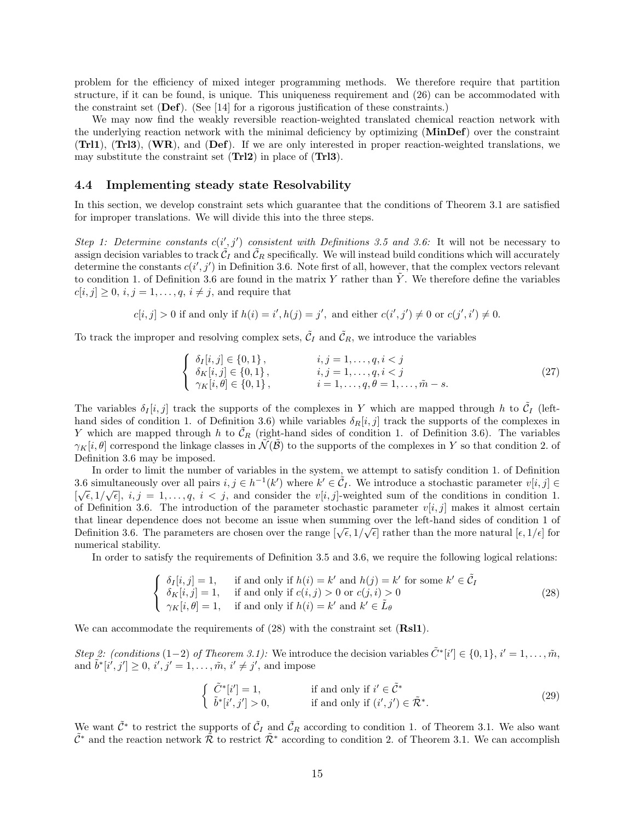problem for the efficiency of mixed integer programming methods. We therefore require that partition structure, if it can be found, is unique. This uniqueness requirement and (26) can be accommodated with the constraint set  $(\textbf{Def})$ . (See [14] for a rigorous justification of these constraints.)

We may now find the weakly reversible reaction-weighted translated chemical reaction network with the underlying reaction network with the minimal deficiency by optimizing (MinDef) over the constraint (Trl1), (Trl3), (WR), and (Def). If we are only interested in proper reaction-weighted translations, we may substitute the constraint set (Trl2) in place of (Trl3).

#### 4.4 Implementing steady state Resolvability

In this section, we develop constraint sets which guarantee that the conditions of Theorem 3.1 are satisfied for improper translations. We will divide this into the three steps.

Step 1: Determine constants  $c(i',j')$  consistent with Definitions 3.5 and 3.6: It will not be necessary to assign decision variables to track  $\tilde{\mathcal{C}}_I$  and  $\tilde{\mathcal{C}}_R$  specifically. We will instead build conditions which will accurately determine the constants  $c(i', j')$  in Definition 3.6. Note first of all, however, that the complex vectors relevant to condition 1. of Definition 3.6 are found in the matrix Y rather than  $\hat{Y}$ . We therefore define the variables  $c[i, j] \geq 0$ ,  $i, j = 1, \ldots, q$ ,  $i \neq j$ , and require that

$$
c[i, j] > 0
$$
 if and only if  $h(i) = i', h(j) = j'$ , and either  $c(i', j') \neq 0$  or  $c(j', i') \neq 0$ .

To track the improper and resolving complex sets,  $\tilde{C}_I$  and  $\tilde{C}_R$ , we introduce the variables

$$
\begin{cases}\n\delta_{I}[i,j] \in \{0,1\}, & i,j = 1,\dots,q, i < j \\
\delta_{K}[i,j] \in \{0,1\}, & i,j = 1,\dots,q, i < j \\
\gamma_{K}[i,\theta] \in \{0,1\}, & i = 1,\dots,q, \theta = 1,\dots,\tilde{m} - s.\n\end{cases} \tag{27}
$$

The variables  $\delta_I[i,j]$  track the supports of the complexes in Y which are mapped through h to  $\tilde{C}_I$  (lefthand sides of condition 1. of Definition 3.6) while variables  $\delta_R[i, j]$  track the supports of the complexes in Y which are mapped through h to  $\tilde{\mathcal{C}}_R$  (right-hand sides of condition 1. of Definition 3.6). The variables  $\gamma_K[i, \theta]$  correspond the linkage classes in  $\mathcal{N}(\mathcal{B})$  to the supports of the complexes in Y so that condition 2. of Definition 3.6 may be imposed.

In order to limit the number of variables in the system, we attempt to satisfy condition 1. of Definition 3.6 simultaneously over all pairs  $i, j \in h^{-1}(k')$  where  $k' \in \tilde{C}_I$ . We introduce a stochastic parameter  $v[i, j] \in$  $[\sqrt{\epsilon}, 1/\sqrt{\epsilon}], i, j = 1, \ldots, q, i < j$ , and consider the  $v[i, j]$ -weighted sum of the conditions in condition 1. of Definition 3.6. The introduction of the parameter stochastic parameter  $v[i, j]$  makes it almost certain that linear dependence does not become an issue when summing over the left-hand sides of condition 1 of Definition 3.6. The parameters are chosen over the range  $[\sqrt{\epsilon}, 1/\sqrt{\epsilon}]$  rather than the more natural  $[\epsilon, 1/\epsilon]$  for numerical stability.

In order to satisfy the requirements of Definition 3.5 and 3.6, we require the following logical relations:

$$
\begin{cases}\n\delta_I[i,j] = 1, & \text{if and only if } h(i) = k' \text{ and } h(j) = k' \text{ for some } k' \in \tilde{C}_I \\
\delta_K[i,j] = 1, & \text{if and only if } c(i,j) > 0 \text{ or } c(j,i) > 0 \\
\gamma_K[i,\theta] = 1, & \text{if and only if } h(i) = k' \text{ and } k' \in \tilde{L}_{\theta}\n\end{cases}
$$
\n(28)

We can accommodate the requirements of  $(28)$  with the constraint set  $(Rsl1)$ .

Step 2: (conditions (1-2) of Theorem 3.1): We introduce the decision variables  $\tilde{C}^*[i'] \in \{0,1\}$ ,  $i' = 1, \ldots, \tilde{m}$ , and  $\tilde{b}^*[i', j'] \ge 0, i', j' = 1, ..., \tilde{m}, i' \ne j',$  and impose

$$
\begin{cases}\n\tilde{C}^*[i']=1, & \text{if and only if } i' \in \tilde{C}^* \\
\tilde{b}^*[i',j'] > 0, & \text{if and only if } (i',j') \in \tilde{\mathcal{R}}^*. \n\end{cases}
$$
\n(29)

We want  $\tilde{\mathcal{C}}^*$  to restrict the supports of  $\tilde{\mathcal{C}}_I$  and  $\tilde{\mathcal{C}}_R$  according to condition 1. of Theorem 3.1. We also want  $\tilde{\mathcal{C}}^*$  and the reaction network  $\tilde{\mathcal{R}}$  to restrict  $\tilde{\mathcal{R}}^*$  according to condition 2. of Theorem 3.1. We can accomplish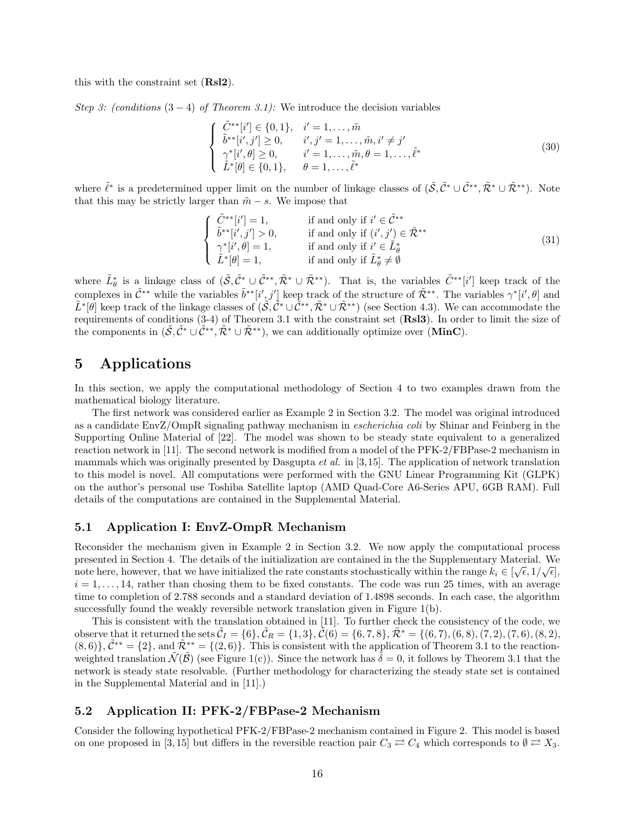this with the constraint set (Rsl2).

Step 3: (conditions  $(3-4)$  of Theorem 3.1): We introduce the decision variables

$$
\begin{cases}\n\tilde{C}^{**}[i'] \in \{0, 1\}, & i' = 1, \dots, \tilde{m} \\
\tilde{b}^{**}[i', j'] \ge 0, & i', j' = 1, \dots, \tilde{m}, i' \ne j' \\
\gamma^*[i', \theta] \ge 0, & i' = 1, \dots, \tilde{m}, \theta = 1, \dots, \tilde{\ell}^* \\
\tilde{L}^*[{\theta}] \in \{0, 1\}, & \theta = 1, \dots, \tilde{\ell}^*\n\end{cases}
$$
\n(30)

where  $\tilde{\ell}^*$  is a predetermined upper limit on the number of linkage classes of  $(\tilde{S}, \tilde{\mathcal{C}}^* \cup \tilde{\mathcal{C}}^{**}, \tilde{\mathcal{R}}^* \cup \tilde{\mathcal{R}}^{**})$ . Note that this may be strictly larger than  $\tilde{m} - s$ . We impose that

$$
\begin{cases}\n\tilde{C}^{**}[i']=1, & \text{if and only if } i' \in \tilde{C}^{**} \\
\tilde{b}^{**}[i',j'] > 0, & \text{if and only if } (i',j') \in \tilde{\mathcal{R}}^{**} \\
\gamma^*[i',\theta]=1, & \text{if and only if } i' \in \tilde{L}^*_{\theta} \\
\tilde{L}^*[\theta]=1, & \text{if and only if } \tilde{L}^*_{\theta} \neq \emptyset\n\end{cases}
$$
\n
$$
(31)
$$

where  $\tilde{L}_{\theta}^{*}$  is a linkage class of  $(\tilde{\mathcal{S}}, \tilde{\mathcal{C}}_{\cdot}^{*} \cup \tilde{\mathcal{C}}^{**}, \tilde{\mathcal{R}}^{*} \cup \tilde{\mathcal{R}}^{**})$ . That is, the variables  $\tilde{C}^{**}[i']$  keep track of the complexes in  $\tilde{\mathcal{C}}^{**}$  while the variables  $\tilde{b}^{**}[i',j']$  keep track of the structure of  $\tilde{\mathcal{R}}^{**}$ . The variables  $\gamma^*[i',\theta]$  and  $\tilde{L}^*[\theta]$  keep track of the linkage classes of  $(\tilde{S}, \tilde{C}^* \cup \tilde{C}^{**}, \tilde{\mathcal{R}}^* \cup \tilde{\mathcal{R}}^{**})$  (see Section 4.3). We can accommodate the requirements of conditions (3-4) of Theorem 3.1 with the constraint set (Rsl3). In order to limit the size of the components in  $(\tilde{S}, \tilde{C}^* \cup \tilde{C}^{**}, \tilde{\mathcal{R}}^* \cup \tilde{\mathcal{R}}^{**})$ , we can additionally optimize over (MinC).

# 5 Applications

In this section, we apply the computational methodology of Section 4 to two examples drawn from the mathematical biology literature.

The first network was considered earlier as Example 2 in Section 3.2. The model was original introduced as a candidate EnvZ/OmpR signaling pathway mechanism in escherichia coli by Shinar and Feinberg in the Supporting Online Material of [22]. The model was shown to be steady state equivalent to a generalized reaction network in [11]. The second network is modified from a model of the PFK-2/FBPase-2 mechanism in mammals which was originally presented by Dasgupta *et al.* in [3,15]. The application of network translation to this model is novel. All computations were performed with the GNU Linear Programming Kit (GLPK) on the author's personal use Toshiba Satellite laptop (AMD Quad-Core A6-Series APU, 6GB RAM). Full details of the computations are contained in the Supplemental Material.

#### 5.1 Application I: EnvZ-OmpR Mechanism

Reconsider the mechanism given in Example 2 in Section 3.2. We now apply the computational process presented in Section 4. The details of the initialization are contained in the the Supplementary Material. We note here, however, that we have initialized the rate constants stochastically within the range  $k_i \in [\sqrt{\epsilon}, 1/\sqrt{\epsilon}]$ ,  $i = 1, \ldots, 14$ , rather than chosing them to be fixed constants. The code was run 25 times, with an average time to completion of 2.788 seconds and a standard deviation of 1.4898 seconds. In each case, the algorithm successfully found the weakly reversible network translation given in Figure 1(b).

This is consistent with the translation obtained in [11]. To further check the consistency of the code, we observe that it returned the sets  $\tilde{C}_I = \{6\}, \tilde{C}_R = \{1, 3\}, \tilde{C}(6) = \{6, 7, 8\}, \tilde{\mathcal{R}}^* = \{(6, 7), (6, 8), (7, 2), (7, 6), (8, 2),$  $(8,6)$ ,  $\tilde{C}^{**} = \{2\}$ , and  $\tilde{\mathcal{R}}^{**} = \{(2,6)\}$ . This is consistent with the application of Theorem 3.1 to the reactionweighted translation  $\tilde{\mathcal{N}}(\tilde{\mathcal{B}})$  (see Figure 1(c)). Since the network has  $\delta = 0$ , it follows by Theorem 3.1 that the network is steady state resolvable. (Further methodology for characterizing the steady state set is contained in the Supplemental Material and in [11].)

#### 5.2 Application II: PFK-2/FBPase-2 Mechanism

Consider the following hypothetical PFK-2/FBPase-2 mechanism contained in Figure 2. This model is based on one proposed in [3, 15] but differs in the reversible reaction pair  $C_3 \rightleftarrows C_4$  which corresponds to  $\emptyset \rightleftarrows X_3$ .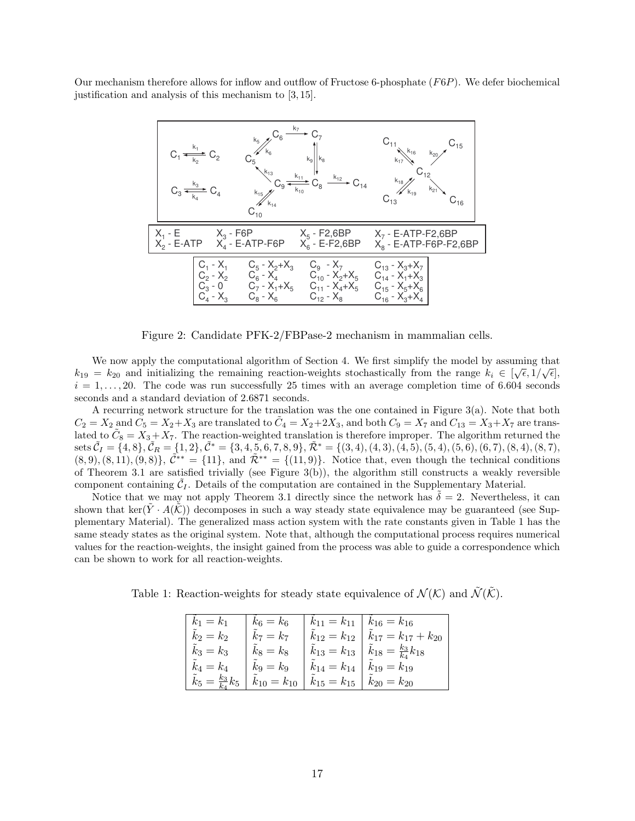Our mechanism therefore allows for inflow and outflow of Fructose 6-phosphate (F6P). We defer biochemical justification and analysis of this mechanism to [3, 15].



Figure 2: Candidate PFK-2/FBPase-2 mechanism in mammalian cells.

We now apply the computational algorithm of Section 4. We first simplify the model by assuming that  $k_{19} = k_{20}$  and initializing the remaining reaction-weights stochastically from the range  $k_i \in [\sqrt{\epsilon}, 1/\sqrt{\epsilon}],$  $i = 1, \ldots, 20$ . The code was run successfully 25 times with an average completion time of 6.604 seconds seconds and a standard deviation of 2.6871 seconds.

A recurring network structure for the translation was the one contained in Figure 3(a). Note that both  $C_2 = X_2$  and  $C_5 = X_2 + X_3$  are translated to  $\tilde{C}_4 = X_2 + 2X_3$ , and both  $C_9 = X_7$  and  $C_{13} = X_3 + X_7$  are translated to  $\tilde{C}_8 = X_3 + X_7$ . The reaction-weighted translation is therefore improper. The algorithm returned the  $sets \tilde{C}_I = \{4, 8\}, \tilde{C}_R = \{1, 2\}, \tilde{C}^* = \{3, 4, 5, 6, 7, 8, 9\}, \tilde{\mathcal{R}}^* = \{(3, 4), (4, 3), (4, 5), (5, 4), (5, 6), (6, 7), (8, 4), (8, 7),$  $(8, 9), (8, 11), (9, 8)$ ,  $\tilde{C}^{**} = \{11\}$ , and  $\tilde{\mathcal{R}}^{**} = \{(11, 9)\}$ . Notice that, even though the technical conditions of Theorem 3.1 are satisfied trivially (see Figure 3(b)), the algorithm still constructs a weakly reversible component containing  $\tilde{\mathcal{C}}_I$ . Details of the computation are contained in the Supplementary Material.

Notice that we may not apply Theorem 3.1 directly since the network has  $\delta = 2$ . Nevertheless, it can shown that ker( $Y \cdot A(\mathcal{K})$ ) decomposes in such a way steady state equivalence may be guaranteed (see Supplementary Material). The generalized mass action system with the rate constants given in Table 1 has the same steady states as the original system. Note that, although the computational process requires numerical values for the reaction-weights, the insight gained from the process was able to guide a correspondence which can be shown to work for all reaction-weights.

Table 1: Reaction-weights for steady state equivalence of  $\mathcal{N}(\mathcal{K})$  and  $\tilde{\mathcal{N}}(\tilde{\mathcal{K}})$ .

| $k_1 = k_1$                      | $k_6 = k_6$       | $k_{11} = k_{11}$ | $k_{16} = k_{16}$                         |
|----------------------------------|-------------------|-------------------|-------------------------------------------|
| $\tilde{k}_2 = k_2$              | $k_7 = k_7$       | $k_{12} = k_{12}$ | $\tilde{k}_{17} = k_{17} + k_{20}$        |
| $\tilde{k}_3 = k_3$              | $k_8 = k_8$       | $k_{13} = k_{13}$ | $\tilde{k}_{18} = \frac{k_3}{k_4} k_{18}$ |
| $k_4 = k_4$                      | $k_9=k_9$         | $k_{14} = k_{14}$ | $k_{19} = k_{19}$                         |
| $\tilde{k}_5=\frac{k_3}{k_4}k_5$ | $k_{10} = k_{10}$ | $k_{15} = k_{15}$ | $k_{20} = k_{20}$                         |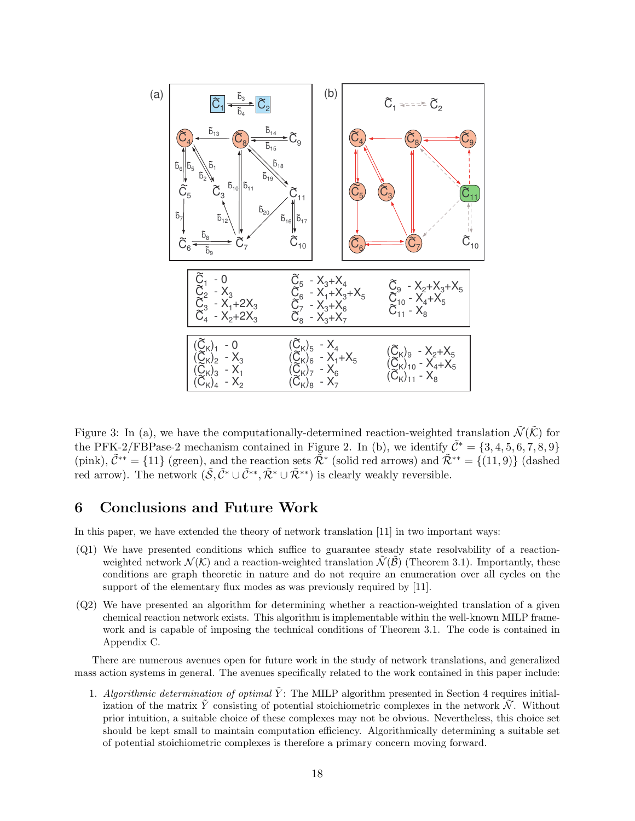

Figure 3: In (a), we have the computationally-determined reaction-weighted translation  $\tilde{\mathcal{N}}(\tilde{\mathcal{K}})$  for the PFK-2/FBPase-2 mechanism contained in Figure 2. In (b), we identify  $\tilde{\mathcal{C}}^* = \{3, 4, 5, 6, 7, 8, 9\}$ (pink),  $\tilde{\mathcal{C}}^{**} = \{11\}$  (green), and the reaction sets  $\tilde{\mathcal{R}}^{*}$  (solid red arrows) and  $\tilde{\mathcal{R}}^{**} = \{(11, 9)\}$  (dashed red arrow). The network  $(\tilde{S}, \tilde{C}^* \cup \tilde{C}^{**}, \tilde{\mathcal{R}}^* \cup \tilde{\mathcal{R}}^{**})$  is clearly weakly reversible.

# 6 Conclusions and Future Work

In this paper, we have extended the theory of network translation [11] in two important ways:

- (Q1) We have presented conditions which suffice to guarantee steady state resolvability of a reactionweighted network  $\mathcal{N}(\mathcal{K})$  and a reaction-weighted translation  $\mathcal{N}(\mathcal{B})$  (Theorem 3.1). Importantly, these conditions are graph theoretic in nature and do not require an enumeration over all cycles on the support of the elementary flux modes as was previously required by [11].
- (Q2) We have presented an algorithm for determining whether a reaction-weighted translation of a given chemical reaction network exists. This algorithm is implementable within the well-known MILP framework and is capable of imposing the technical conditions of Theorem 3.1. The code is contained in Appendix C.

There are numerous avenues open for future work in the study of network translations, and generalized mass action systems in general. The avenues specifically related to the work contained in this paper include:

1. Algorithmic determination of optimal  $\tilde{Y}$ : The MILP algorithm presented in Section 4 requires initialization of the matrix Y consisting of potential stoichiometric complexes in the network  $\mathcal N$ . Without prior intuition, a suitable choice of these complexes may not be obvious. Nevertheless, this choice set should be kept small to maintain computation efficiency. Algorithmically determining a suitable set of potential stoichiometric complexes is therefore a primary concern moving forward.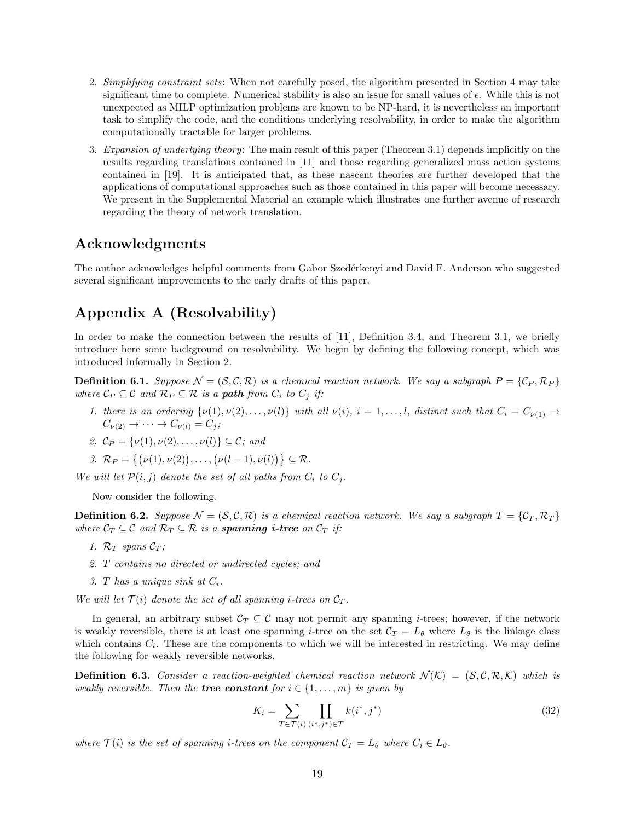- 2. Simplifying constraint sets: When not carefully posed, the algorithm presented in Section 4 may take significant time to complete. Numerical stability is also an issue for small values of  $\epsilon$ . While this is not unexpected as MILP optimization problems are known to be NP-hard, it is nevertheless an important task to simplify the code, and the conditions underlying resolvability, in order to make the algorithm computationally tractable for larger problems.
- 3. Expansion of underlying theory: The main result of this paper (Theorem 3.1) depends implicitly on the results regarding translations contained in [11] and those regarding generalized mass action systems contained in [19]. It is anticipated that, as these nascent theories are further developed that the applications of computational approaches such as those contained in this paper will become necessary. We present in the Supplemental Material an example which illustrates one further avenue of research regarding the theory of network translation.

# Acknowledgments

The author acknowledges helpful comments from Gabor Szedérkenyi and David F. Anderson who suggested several significant improvements to the early drafts of this paper.

# Appendix A (Resolvability)

In order to make the connection between the results of [11], Definition 3.4, and Theorem 3.1, we briefly introduce here some background on resolvability. We begin by defining the following concept, which was introduced informally in Section 2.

**Definition 6.1.** Suppose  $\mathcal{N} = (\mathcal{S}, \mathcal{C}, \mathcal{R})$  is a chemical reaction network. We say a subgraph  $P = \{C_P, \mathcal{R}_P\}$ where  $\mathcal{C}_P \subseteq \mathcal{C}$  and  $\mathcal{R}_P \subseteq \mathcal{R}$  is a **path** from  $C_i$  to  $C_j$  if:

1. there is an ordering  $\{\nu(1), \nu(2), \ldots, \nu(l)\}\$  with all  $\nu(i), i = 1, \ldots, l$ , distinct such that  $C_i = C_{\nu(1)} \rightarrow$  $C_{\nu(2)} \rightarrow \cdots \rightarrow C_{\nu(l)} = C_j;$ 

2. 
$$
\mathcal{C}_P = {\nu(1), \nu(2), \ldots, \nu(l)} \subseteq \mathcal{C}; \text{ and}
$$

$$
\mathcal{R} \mathcal{R} = \{(\nu(1), \nu(2)), \ldots, (\nu(l-1), \nu(l))\} \subseteq \mathcal{R}.
$$

We will let  $\mathcal{P}(i, j)$  denote the set of all paths from  $C_i$  to  $C_j$ .

Now consider the following.

**Definition 6.2.** Suppose  $\mathcal{N} = (\mathcal{S}, \mathcal{C}, \mathcal{R})$  is a chemical reaction network. We say a subgraph  $T = \{\mathcal{C}_T, \mathcal{R}_T\}$ where  $C_T \subseteq \mathcal{C}$  and  $\mathcal{R}_T \subseteq \mathcal{R}$  is a **spanning i-tree** on  $C_T$  if:

- 1.  $\mathcal{R}_T$  spans  $\mathcal{C}_T$ ;
- 2. T contains no directed or undirected cycles; and
- 3. T has a unique sink at  $C_i$ .

We will let  $\mathcal{T}(i)$  denote the set of all spanning *i*-trees on  $\mathcal{C}_T$ .

In general, an arbitrary subset  $\mathcal{C}_T \subseteq \mathcal{C}$  may not permit any spanning *i*-trees; however, if the network is weakly reversible, there is at least one spanning *i*-tree on the set  $C_T = L_{\theta}$  where  $L_{\theta}$  is the linkage class which contains  $C_i$ . These are the components to which we will be interested in restricting. We may define the following for weakly reversible networks.

**Definition 6.3.** Consider a reaction-weighted chemical reaction network  $\mathcal{N}(\mathcal{K}) = (\mathcal{S}, \mathcal{C}, \mathcal{R}, \mathcal{K})$  which is weakly reversible. Then the **tree constant** for  $i \in \{1, \ldots, m\}$  is given by

$$
K_i = \sum_{T \in \mathcal{T}(i)} \prod_{(i^*,j^*) \in T} k(i^*,j^*)
$$
\n(32)

where  $\mathcal{T}(i)$  is the set of spanning *i*-trees on the component  $\mathcal{C}_T = L_\theta$  where  $C_i \in L_\theta$ .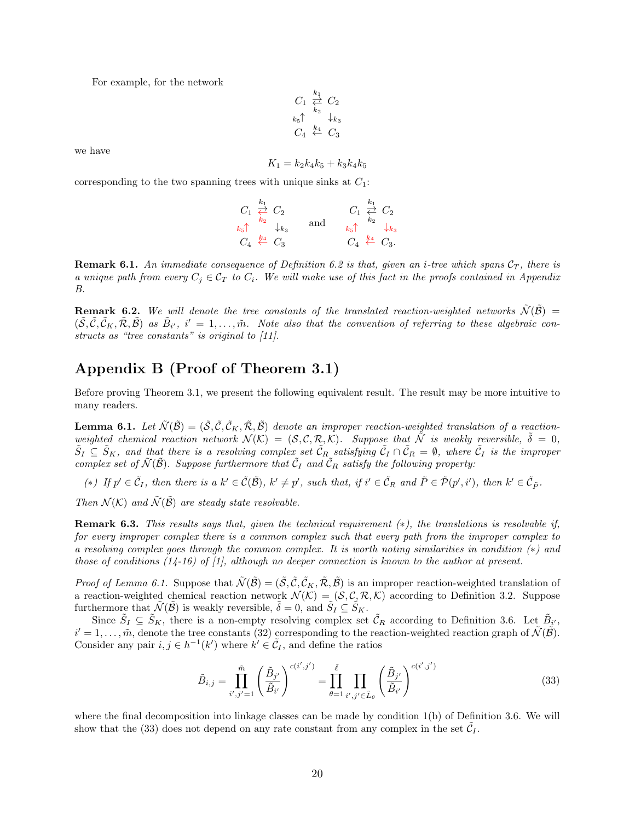For example, for the network

$$
C_1 \overset{k_1}{\underset{k_2}{\rightleftarrows}} C_2
$$
  
\n
$$
k_5 \uparrow \qquad k_4
$$
  
\n
$$
C_4 \overset{k_4}{\leftarrow} C_3
$$

we have

$$
K_1 = k_2 k_4 k_5 + k_3 k_4 k_5
$$

corresponding to the two spanning trees with unique sinks at  $C_1$ :

|                                                 | $C_1 \stackrel{k_1}{\rightleftarrows} C_2$ |     |                                                 | $C_1 \stackrel{k_1}{\rightleftarrows} C_2$ |
|-------------------------------------------------|--------------------------------------------|-----|-------------------------------------------------|--------------------------------------------|
| $k_5$ <sup>k<sub>2</sub></sup> $\downarrow k_3$ |                                            | and | $k_5$ <sup>k<sub>2</sub></sup> $\downarrow k_3$ |                                            |
| $C_4 \stackrel{k_4}{\leftarrow} C_3$            |                                            |     |                                                 | $C_4 \stackrel{k_4}{\leftarrow} C_3.$      |

**Remark 6.1.** An immediate consequence of Definition 6.2 is that, given an *i*-tree which spans  $C_T$ , there is a unique path from every  $C_j \in \mathcal{C}_T$  to  $C_i$ . We will make use of this fact in the proofs contained in Appendix B.

**Remark 6.2.** We will denote the tree constants of the translated reaction-weighted networks  $\tilde{\mathcal{N}}(\tilde{\mathcal{B}})$  =  $(\tilde{\mathcal{S}}, \tilde{\mathcal{C}}, \tilde{\mathcal{C}}_K, \tilde{\mathcal{R}}, \tilde{\mathcal{B}})$  as  $\tilde{B}_{i'}, i' = 1, \ldots, \tilde{m}$ . Note also that the convention of referring to these algebraic constructs as "tree constants" is original to [11].

# Appendix B (Proof of Theorem 3.1)

Before proving Theorem 3.1, we present the following equivalent result. The result may be more intuitive to many readers.

**Lemma 6.1.** Let  $\tilde{\mathcal{N}}(\tilde{\mathcal{B}}) = (\tilde{\mathcal{S}}, \tilde{\mathcal{C}}, \tilde{\mathcal{C}}_K, \tilde{\mathcal{R}}, \tilde{\mathcal{B}})$  denote an improper reaction-weighted translation of a reactionweighted chemical reaction network  $\mathcal{N}(\mathcal{K}) = (\mathcal{S}, \mathcal{C}, \mathcal{R}, \mathcal{K})$ . Suppose that  $\tilde{\mathcal{N}}$  is weakly reversible,  $\tilde{\delta} = 0$ ,  $\tilde{S}_I \subseteq \tilde{S}_K$ , and that there is a resolving complex set  $\tilde{\mathcal{C}}_R$  satisfying  $\tilde{\mathcal{C}}_I \cap \tilde{\mathcal{C}}_R = \emptyset$ , where  $\tilde{\mathcal{C}}_I$  is the improper complex set of  $\tilde{\mathcal{N}}(\tilde{\mathcal{B}})$ . Suppose furthermore that  $\tilde{\mathcal{C}}_I$  and  $\tilde{\mathcal{C}}_R$  satisfy the following property:

(\*) If  $p' \in \tilde{C}_I$ , then there is a  $k' \in \tilde{C}(\tilde{B})$ ,  $k' \neq p'$ , such that, if  $i' \in \tilde{C}_R$  and  $\tilde{P} \in \tilde{\mathcal{P}}(p', i')$ , then  $k' \in \tilde{\mathcal{C}}_{\tilde{P}}$ .

Then  $\mathcal{N}(\mathcal{K})$  and  $\tilde{\mathcal{N}}(\tilde{\mathcal{B}})$  are steady state resolvable.

Remark 6.3. This results says that, given the technical requirement (∗), the translations is resolvable if, for every improper complex there is a common complex such that every path from the improper complex to a resolving complex goes through the common complex. It is worth noting similarities in condition (∗) and those of conditions  $(1/4-16)$  of  $[1]$ , although no deeper connection is known to the author at present.

*Proof of Lemma 6.1.* Suppose that  $\tilde{\mathcal{N}}(\tilde{\mathcal{B}}) = (\tilde{\mathcal{S}}, \tilde{\mathcal{C}}, \tilde{\mathcal{C}}_K, \tilde{\mathcal{R}}, \tilde{\mathcal{B}})$  is an improper reaction-weighted translation of a reaction-weighted chemical reaction network  $\mathcal{N}(\mathcal{K}) = (\mathcal{S}, \mathcal{C}, \mathcal{R}, \mathcal{K})$  according to Definition 3.2. Suppose furthermore that  $\widetilde{\mathcal{N}}(\widetilde{\mathcal{B}})$  is weakly reversible,  $\widetilde{\delta} = 0$ , and  $\widetilde{S}_I \subseteq \widetilde{S}_K$ .

Since  $\tilde{S}_I \subseteq \tilde{S}_K$ , there is a non-empty resolving complex set  $\tilde{\mathcal{C}}_R$  according to Definition 3.6. Let  $\tilde{B}_{i'}$ ,  $i' = 1, \ldots, \tilde{m}$ , denote the tree constants (32) corresponding to the reaction-weighted reaction graph of  $\tilde{\mathcal{N}}(\tilde{\mathcal{B}})$ . Consider any pair  $i, j \in h^{-1}(k')$  where  $k' \in \tilde{C}_I$ , and define the ratios

$$
\tilde{B}_{i,j} = \prod_{i',j'=1}^{\tilde{m}} \left( \frac{\tilde{B}_{j'}}{\tilde{B}_{i'}} \right)^{c(i',j')} = \prod_{\theta=1}^{\tilde{\ell}} \prod_{i',j' \in \tilde{L}_{\theta}} \left( \frac{\tilde{B}_{j'}}{\tilde{B}_{i'}} \right)^{c(i',j')}
$$
(33)

where the final decomposition into linkage classes can be made by condition 1(b) of Definition 3.6. We will show that the (33) does not depend on any rate constant from any complex in the set  $\tilde{C}_I$ .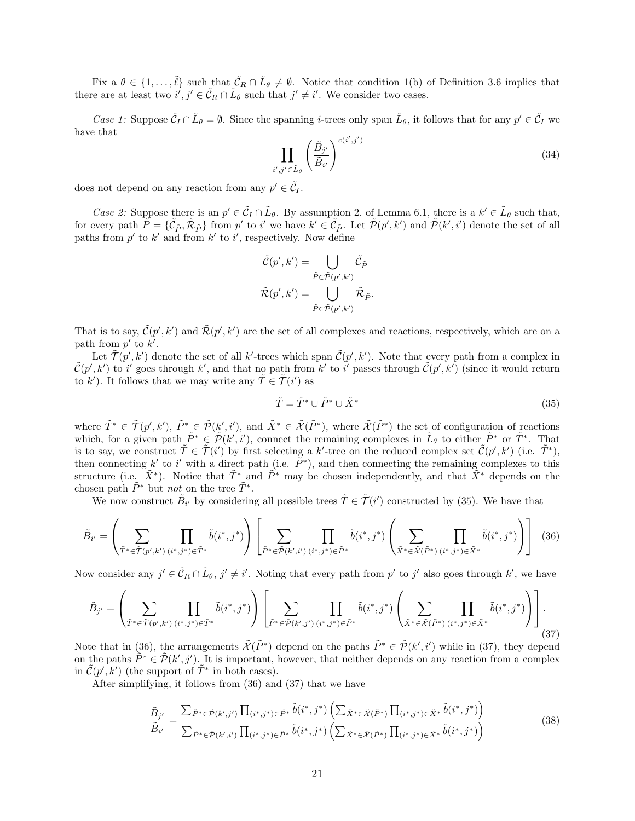Fix a  $\theta \in \{1,\ldots,\tilde{\ell}\}$  such that  $\tilde{\mathcal{C}}_R \cap \tilde{L}_{\theta} \neq \emptyset$ . Notice that condition 1(b) of Definition 3.6 implies that there are at least two  $i', j' \in \tilde{C}_R \cap \tilde{L}_{\theta}$  such that  $j' \neq i'$ . We consider two cases.

Case 1: Suppose  $\tilde{C}_I \cap \tilde{L}_{\theta} = \emptyset$ . Since the spanning *i*-trees only span  $\tilde{L}_{\theta}$ , it follows that for any  $p' \in \tilde{C}_I$  we have that

$$
\prod_{i',j'\in\tilde{L}_{\theta}}\left(\frac{\tilde{B}_{j'}}{\tilde{B}_{i'}}\right)^{c(i',j')}\n\tag{34}
$$

does not depend on any reaction from any  $p' \in \tilde{C}_I$ .

Case 2: Suppose there is an  $p' \in \tilde{C}_I \cap \tilde{L}_{\theta}$ . By assumption 2. of Lemma 6.1, there is a  $k' \in \tilde{L}_{\theta}$  such that, for every path  $\tilde{P} = \{\tilde{C}_{\tilde{P}}, \tilde{\mathcal{R}}_{\tilde{P}}\}$  from  $p'$  to i' we have  $k' \in \tilde{C}_{\tilde{P}}$ . Let  $\tilde{\mathcal{P}}(p', k')$  and  $\tilde{\mathcal{P}}(k', i')$  denote the set of all paths from  $p'$  to  $k'$  and from  $k'$  to  $i'$ , respectively. Now define

$$
\tilde{\mathcal{C}}(p',k') = \bigcup_{\tilde{P} \in \tilde{\mathcal{P}}(p',k')} \tilde{\mathcal{C}}_{\tilde{P}} \n\tilde{\mathcal{R}}(p',k') = \bigcup_{\tilde{P} \in \tilde{\mathcal{P}}(p',k')} \tilde{\mathcal{R}}_{\tilde{P}}.
$$

That is to say,  $\tilde{\mathcal{C}}(p',k')$  and  $\tilde{\mathcal{R}}(p',k')$  are the set of all complexes and reactions, respectively, which are on a path from  $p'$  to  $k'$ .

Let  $\tilde{\mathcal{T}}(p',k')$  denote the set of all k'-trees which span  $\tilde{\mathcal{C}}(p',k')$ . Note that every path from a complex in  $\tilde{\mathcal{C}}(p',k')$  to i' goes through k', and that no path from k' to i' passes through  $\tilde{\mathcal{C}}(p',k')$  (since it would return to k'). It follows that we may write any  $\tilde{T} \in \tilde{\mathcal{T}}(i')$  as

$$
\tilde{T} = \tilde{T}^* \cup \tilde{P}^* \cup \tilde{X}^* \tag{35}
$$

where  $\tilde{T}^* \in \tilde{\mathcal{T}}(p',k'), \tilde{P}^* \in \tilde{\mathcal{P}}(k',i'),$  and  $\tilde{X}^* \in \tilde{\mathcal{X}}(\tilde{P}^*)$ , where  $\tilde{\mathcal{X}}(\tilde{P}^*)$  the set of configuration of reactions which, for a given path  $\tilde{P}^* \in \tilde{\mathcal{P}}(k',i')$ , connect the remaining complexes in  $\tilde{L}_{\theta}$  to either  $\tilde{P}^*$  or  $\tilde{T}^*$ . That is to say, we construct  $\tilde{T} \in \tilde{T}(i')$  by first selecting a k'-tree on the reduced complex set  $\tilde{C}(p',k')$  (i.e.  $\tilde{T}^*$ ), then connecting k' to i' with a direct path (i.e.  $\tilde{P}^*$ ), and then connecting the remaining complexes to this structure (i.e.  $\tilde{X}^*$ ). Notice that  $\tilde{T}^*$  and  $\tilde{P}^*$  may be chosen independently, and that  $\tilde{X}^*$  depends on the chosen path  $\tilde{P}^*$  but *not* on the tree  $\tilde{T}^*$ .

We now construct  $\tilde{B}_{i'}$  by considering all possible trees  $\tilde{T} \in \tilde{T}(i')$  constructed by (35). We have that

$$
\tilde{B}_{i'} = \left(\sum_{\tilde{T}^* \in \tilde{\mathcal{T}}(p',k')}\prod_{(i^*,j^*) \in \tilde{T}^*} \tilde{b}(i^*,j^*)\right) \left[\sum_{\tilde{P}^* \in \tilde{\mathcal{P}}(k',i')}\prod_{(i^*,j^*) \in \tilde{P}^*} \tilde{b}(i^*,j^*)\left(\sum_{\tilde{X}^* \in \tilde{\mathcal{X}}(\tilde{P}^*)}\prod_{(i^*,j^*) \in \tilde{X}^*} \tilde{b}(i^*,j^*)\right)\right] (36)
$$

Now consider any  $j' \in \tilde{C}_R \cap \tilde{L}_{\theta}, j' \neq i'$ . Noting that every path from  $p'$  to  $j'$  also goes through  $k'$ , we have

$$
\tilde{B}_{j'} = \left(\sum_{\tilde{T}^* \in \tilde{\mathcal{T}}(p',k')}\prod_{(i^*,j^*) \in \tilde{T}^*} \tilde{b}(i^*,j^*)\right) \left[\sum_{\tilde{P}^* \in \tilde{\mathcal{P}}(k',j')}\prod_{(i^*,j^*) \in \tilde{P}^*} \tilde{b}(i^*,j^*)\left(\sum_{\tilde{X}^* \in \tilde{\mathcal{X}}(\tilde{P}^*)}\prod_{(i^*,j^*) \in \tilde{X}^*} \tilde{b}(i^*,j^*)\right)\right].
$$
\n(37)

Note that in (36), the arrangements  $\tilde{\mathcal{X}}(\tilde{P}^*)$  depend on the paths  $\tilde{P}^* \in \tilde{\mathcal{P}}(k',i')$  while in (37), they depend on the paths  $\tilde{P}^* \in \tilde{\mathcal{P}}(k',j')$ . It is important, however, that neither depends on any reaction from a complex in  $\tilde{\mathcal{C}}(p',k')$  (the support of  $\tilde{T}^*$  in both cases).

After simplifying, it follows from (36) and (37) that we have

$$
\frac{\tilde{B}_{j'}}{\tilde{B}_{i'}} = \frac{\sum \tilde{P}^* \in \tilde{\mathcal{P}}(k',j') \prod_{(i^*,j^*) \in \tilde{P}^*} \tilde{b}(i^*,j^*) \left( \sum \tilde{X}^* \in \tilde{\mathcal{X}}(\tilde{P}^*) \prod_{(i^*,j^*) \in \tilde{X}^*} \tilde{b}(i^*,j^*) \right)}{\sum \tilde{P}^* \in \tilde{\mathcal{P}}(k',i') \prod_{(i^*,j^*) \in \tilde{P}^*} \tilde{b}(i^*,j^*) \left( \sum \tilde{X}^* \in \tilde{\mathcal{X}}(\tilde{P}^*) \prod_{(i^*,j^*) \in \tilde{X}^*} \tilde{b}(i^*,j^*) \right)}
$$
(38)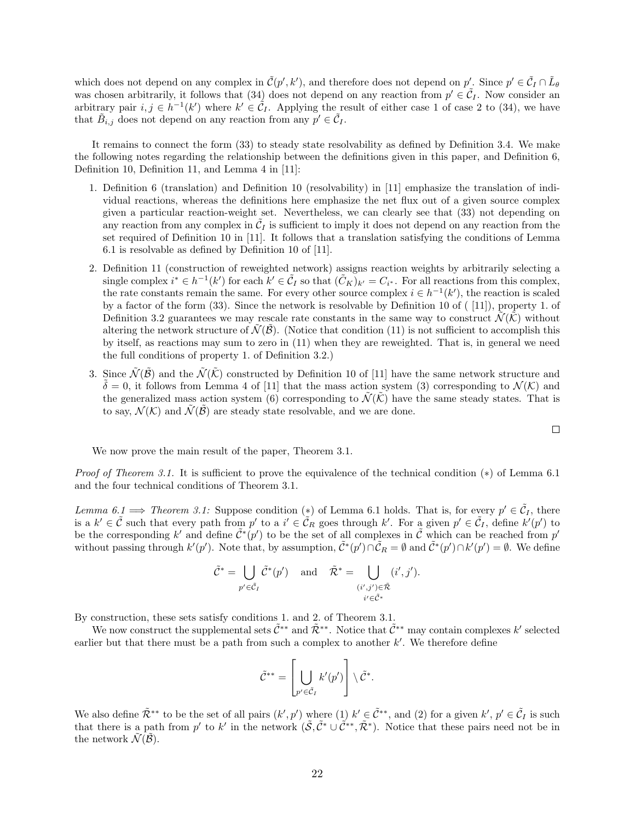which does not depend on any complex in  $\tilde{\mathcal{C}}(p', k')$ , and therefore does not depend on  $p'$ . Since  $p' \in \tilde{\mathcal{C}}_I \cap \tilde{L}_{\theta}$ was chosen arbitrarily, it follows that  $(34)$  does not depend on any reaction from  $p' \in \tilde{C}_I$ . Now consider an arbitrary pair  $i, j \in h^{-1}(k')$  where  $k' \in \mathcal{C}_I$ . Applying the result of either case 1 of case 2 to (34), we have that  $\tilde{B}_{i,j}$  does not depend on any reaction from any  $p' \in \tilde{C}_I$ .

It remains to connect the form (33) to steady state resolvability as defined by Definition 3.4. We make the following notes regarding the relationship between the definitions given in this paper, and Definition 6, Definition 10, Definition 11, and Lemma 4 in [11]:

- 1. Definition 6 (translation) and Definition 10 (resolvability) in [11] emphasize the translation of individual reactions, whereas the definitions here emphasize the net flux out of a given source complex given a particular reaction-weight set. Nevertheless, we can clearly see that (33) not depending on any reaction from any complex in  $\tilde{C}_I$  is sufficient to imply it does not depend on any reaction from the set required of Definition 10 in [11]. It follows that a translation satisfying the conditions of Lemma 6.1 is resolvable as defined by Definition 10 of [11].
- 2. Definition 11 (construction of reweighted network) assigns reaction weights by arbitrarily selecting a single complex  $i^* \in h^{-1}(k')$  for each  $k' \in \tilde{C}_I$  so that  $(\tilde{C}_K)_{k'} = C_{i^*}$ . For all reactions from this complex, the rate constants remain the same. For every other source complex  $i \in h^{-1}(k')$ , the reaction is scaled by a factor of the form (33). Since the network is resolvable by Definition 10 of ( [11]), property 1. of Definition 3.2 guarantees we may rescale rate constants in the same way to construct  $\mathcal{N}(\mathcal{K})$  without altering the network structure of  $\mathcal{N}(\mathcal{B})$ . (Notice that condition (11) is not sufficient to accomplish this by itself, as reactions may sum to zero in (11) when they are reweighted. That is, in general we need the full conditions of property 1. of Definition 3.2.)
- 3. Since  $\tilde{\mathcal{N}}(\tilde{\mathcal{B}})$  and the  $\tilde{\mathcal{N}}(\tilde{\mathcal{K}})$  constructed by Definition 10 of [11] have the same network structure and  $\tilde{\delta} = 0$ , it follows from Lemma 4 of [11] that the mass action system (3) corresponding to  $\mathcal{N}(\mathcal{K})$  and the generalized mass action system (6) corresponding to  $\tilde{\mathcal{N}}(\tilde{\mathcal{K}})$  have the same steady states. That is to say,  $\mathcal{N}(\mathcal{K})$  and  $\tilde{\mathcal{N}}(\tilde{\mathcal{B}})$  are steady state resolvable, and we are done.

 $\Box$ 

We now prove the main result of the paper, Theorem 3.1.

*Proof of Theorem 3.1.* It is sufficient to prove the equivalence of the technical condition  $(*)$  of Lemma 6.1 and the four technical conditions of Theorem 3.1.

Lemma 6.1  $\Rightarrow$  Theorem 3.1: Suppose condition (\*) of Lemma 6.1 holds. That is, for every  $p' \in \tilde{C}_I$ , there is a  $k' \in \tilde{C}$  such that every path from  $p'$  to a  $i' \in \tilde{C}_R$  goes through k'. For a given  $p' \in \tilde{C}_I$ , define  $k'(p')$  to be the corresponding k' and define  $\tilde{C}^*(p')$  to be the set of all complexes in  $\tilde{C}$  which can be reached from p' without passing through  $k'(p')$ . Note that, by assumption,  $\tilde{C}^*(p') \cap \tilde{C}_R = \emptyset$  and  $\tilde{C}^*(p') \cap k'(p') = \emptyset$ . We define

$$
\tilde{\mathcal{C}}^* = \bigcup_{p' \in \tilde{\mathcal{C}}_I} \tilde{\mathcal{C}}^*(p') \quad \text{and} \quad \tilde{\mathcal{R}}^* = \bigcup_{\substack{(i',j') \in \tilde{\mathcal{R}} \\ i' \in \tilde{\mathcal{C}}^*}} (i',j').
$$

By construction, these sets satisfy conditions 1. and 2. of Theorem 3.1.

We now construct the supplemental sets  $\tilde{\mathcal{C}}^{**}$  and  $\tilde{\mathcal{R}}^{**}$ . Notice that  $\tilde{\mathcal{C}}^{**}$  may contain complexes k' selected earlier but that there must be a path from such a complex to another  $k'$ . We therefore define

$$
\tilde{C}^{**} = \left[ \bigcup_{p' \in \tilde{C}_I} k'(p') \right] \setminus \tilde{C}^*.
$$

We also define  $\tilde{\mathcal{R}}^{**}$  to be the set of all pairs  $(k', p')$  where  $(1)$   $k' \in \tilde{\mathcal{C}}^{**}$ , and  $(2)$  for a given  $k', p' \in \tilde{\mathcal{C}}_I$  is such that there is a path from p' to k' in the network  $(\tilde{S}, \tilde{C}^* \cup \tilde{C}^{**}, \tilde{\mathcal{R}}^*)$ . Notice that these pairs need not be in the network  $\mathcal{N}(\mathcal{B})$ .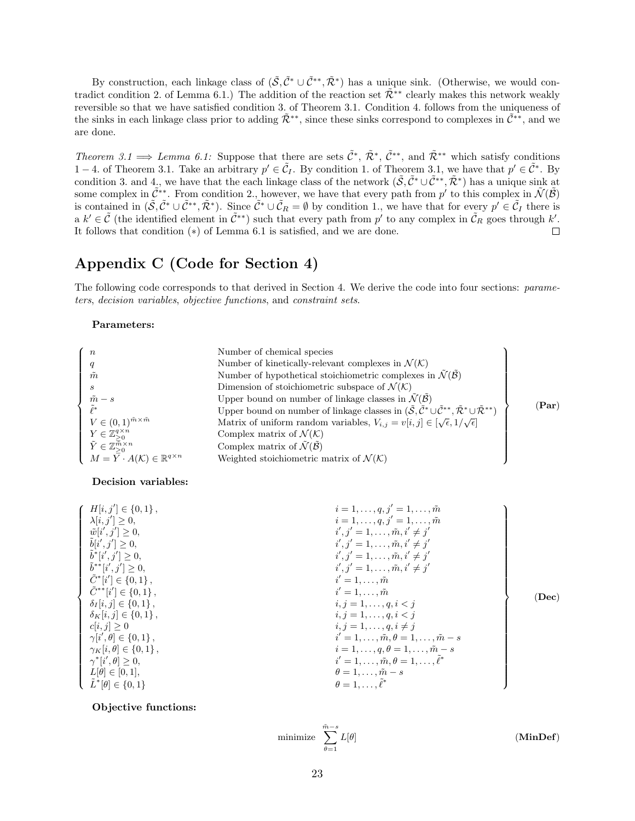By construction, each linkage class of  $(\tilde{S}, \tilde{C}^* \cup \tilde{C}^{**}, \tilde{\mathcal{R}}^*)$  has a unique sink. (Otherwise, we would contradict condition 2. of Lemma 6.1.) The addition of the reaction set  $\tilde{\mathcal{R}}^{**}$  clearly makes this network weakly reversible so that we have satisfied condition 3. of Theorem 3.1. Condition 4. follows from the uniqueness of the sinks in each linkage class prior to adding  $\tilde{\mathcal{R}}^{**}$ , since these sinks correspond to complexes in  $\tilde{\mathcal{C}}^{**}$ , and we are done.

Theorem 3.1  $\implies$  Lemma 6.1: Suppose that there are sets  $\tilde{\mathcal{C}}^*, \tilde{\mathcal{R}}^*, \tilde{\mathcal{C}}^{**}$ , and  $\tilde{\mathcal{R}}^{**}$  which satisfy conditions 1 − 4. of Theorem 3.1. Take an arbitrary  $p' \in \tilde{C}_I$ . By condition 1. of Theorem 3.1, we have that  $p' \in \tilde{C}^*$ . By condition 3. and 4, we have that the each linkage class of the network  $(\tilde{S}, \tilde{C}^* \cup \tilde{C}^{**}, \tilde{\mathcal{R}}^*)$  has a unique sink at some complex in  $\tilde{C}^**$ . From condition 2., however, we have that every path from p' to this complex in  $\tilde{\mathcal{N}}(\tilde{\mathcal{B}})$ is contained in  $(\tilde{S}, \tilde{C}^* \cup \tilde{C}^{**}, \tilde{\mathcal{R}}^*)$ . Since  $\tilde{C}^* \cup \tilde{C}_R = \emptyset$  by condition 1., we have that for every  $p' \in \tilde{C}_I$  there is a  $k' \in \tilde{C}$  (the identified element in  $\tilde{C}^{**}$ ) such that every path from  $p'$  to any complex in  $\tilde{C}_R$  goes through  $k'$ . It follows that condition (∗) of Lemma 6.1 is satisfied, and we are done.

# Appendix C (Code for Section 4)

The following code corresponds to that derived in Section 4. We derive the code into four sections: parameters, decision variables, objective functions, and constraint sets.

#### Parameters:

| $\boldsymbol{n}$<br>q<br>$\tilde{m}$<br>S<br>$\frac{\tilde{m}-s}{\tilde{\ell}^*}$<br>$V \in (0,1)^{\tilde{m} \times \tilde{m}}$<br>$Y \in \mathbb{Z}_{\geq 0}^{q \times n}$<br>$\tilde{Y} \in \mathbb{Z}_{\geq 0}^{\widetilde{\overline{m}} \times n}$ | Number of chemical species<br>Number of kinetically-relevant complexes in $\mathcal{N}(\mathcal{K})$<br>Number of hypothetical stoichiometric complexes in $\tilde{\mathcal{N}}(\tilde{\mathcal{B}})$<br>Dimension of stoichiometric subspace of $\mathcal{N}(\mathcal{K})$<br>Upper bound on number of linkage classes in $\tilde{\mathcal{N}}(\tilde{\mathcal{B}})$<br>Upper bound on number of linkage classes in $(\tilde{S}, \tilde{C}^* \cup \tilde{C}^{**}, \tilde{\mathcal{R}}^* \cup \tilde{\mathcal{R}}^{**})$<br>Matrix of uniform random variables, $V_{i,j} = v[i, j] \in [\sqrt{\epsilon}, 1/\sqrt{\epsilon}]$<br>Complex matrix of $\mathcal{N}(\mathcal{K})$<br>Complex matrix of $\tilde{\mathcal{N}}(\tilde{\mathcal{B}})$ | $(\bold{Par})$ |
|--------------------------------------------------------------------------------------------------------------------------------------------------------------------------------------------------------------------------------------------------------|----------------------------------------------------------------------------------------------------------------------------------------------------------------------------------------------------------------------------------------------------------------------------------------------------------------------------------------------------------------------------------------------------------------------------------------------------------------------------------------------------------------------------------------------------------------------------------------------------------------------------------------------------------------------------------------------------------------------------------------------|----------------|
| $M = \overline{Y} \cdot A(\mathcal{K}) \in \mathbb{R}^{q \times n}$                                                                                                                                                                                    | Weighted stoichiometric matrix of $\mathcal{N}(\mathcal{K})$                                                                                                                                                                                                                                                                                                                                                                                                                                                                                                                                                                                                                                                                                 |                |

#### Decision variables:

| $H[i, j'] \in \{0, 1\},\$            | $i = 1, \ldots, q, j' = 1, \ldots, \tilde{m}$          |       |
|--------------------------------------|--------------------------------------------------------|-------|
| $\lambda[i, j'] \geq 0,$             | $i = 1, \ldots, q, j' = 1, \ldots, \tilde{m}$          |       |
| $\tilde{w}[i',j'] \geq 0,$           | $i', j' = 1, \ldots, \tilde{m}, i' \neq j'$            |       |
| $\tilde{b}[i',j'] \geq 0,$           | $i', j' = 1, \ldots, \tilde{m}, i' \neq j'$            |       |
| $\tilde{b}^*[i',j'] \geq 0,$         | $i', j' = 1, \ldots, \tilde{m}, i' \neq j'$            |       |
| $\tilde{b}^{**}[i',j'] \geq 0,$      | $i', j' = 1, \ldots, \tilde{m}, i' \neq j'$            |       |
| $\tilde{C}^*[i'] \in \{0,1\}$ ,      | $i'=1,\ldots,\tilde{m}$                                |       |
| $\tilde{C}^{**}[i'] \in \{0,1\}$ ,   | $i'=1,\ldots,\tilde{m}$                                | (Dec) |
| $\delta_I[i,j] \in \{0,1\}$ ,        | $i, j = 1, \ldots, q, i < j$                           |       |
| $\delta_K[i, j] \in \{0, 1\},\$      | $i, j = 1, \ldots, q, i < j$                           |       |
| $c[i, j] \geq 0$                     | $i, j = 1, \ldots, q, i \neq j$                        |       |
| $\gamma[i', \theta] \in \{0, 1\},$   | $i'=1,\ldots,\tilde{m},\theta=1,\ldots,\tilde{m}-s$    |       |
| $\gamma_K[i, \theta] \in \{0, 1\}$ , | $i=1,\ldots,q, \theta=1,\ldots,\tilde{m}-s$            |       |
| $\gamma^*[i', \theta] \geq 0,$       | $i'=1,\ldots,\tilde{m},\theta=1,\ldots,\tilde{\ell}^*$ |       |
| $L[\theta] \in [0,1],$               | $\theta = 1, \ldots, \tilde{m} - s$                    |       |
| $\tilde{L}^*[\theta] \in \{0,1\}$    | $\theta = 1, \ldots, \ell^*$                           |       |

#### Objective functions:

$$
\text{minimize} \quad \sum_{\theta=1}^{\tilde{m}-s} L[\theta] \tag{MinDef}
$$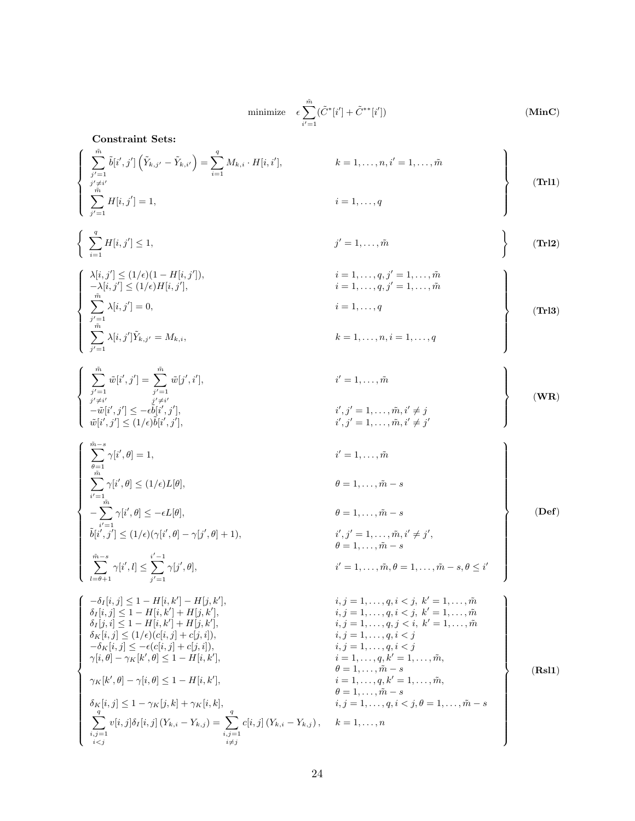minimize 
$$
\epsilon \sum_{i'=1}^{\tilde{m}} (\tilde{C}^*[i'] + \tilde{C}^{**}[i'])
$$
 (MinC)

Constraint Sets:

$$
\begin{cases}\n\sum_{\substack{j'=1 \ j' \neq i'}}^{\tilde{m}} \tilde{b}[i',j'] \left( \tilde{Y}_{k,j'} - \tilde{Y}_{k,i'} \right) = \sum_{i=1}^{q} M_{k,i} \cdot H[i,i'], & k = 1, \dots, n, i' = 1, \dots, \tilde{m} \\
\sum_{\substack{j'' \neq i'}}^{\tilde{m}} H[i,j'] = 1, & i = 1, \dots, q\n\end{cases}
$$
\n(Tr11)

$$
\left\{\sum_{i=1}^q H[i,j'] \le 1, \qquad j'=1,\ldots,\tilde{m} \qquad \qquad \right\} \qquad (\textbf{Tr12})
$$

$$
\begin{cases}\n\lambda[i,j'] \leq (1/\epsilon)(1 - H[i,j']), & i = 1,...,q, j' = 1,...,\tilde{m} \\
-\lambda[i,j'] \leq (1/\epsilon)H[i,j'], & i = 1,...,q, j' = 1,...,\tilde{m} \\
\sum_{j'=1}^{\tilde{m}} \lambda[i,j'] = 0, & i = 1,...,q \\
\sum_{j'=1}^{\tilde{m}} \lambda[i,j']\tilde{Y}_{k,j'} = M_{k,i}, & k = 1,...,n, i = 1,...,q\n\end{cases}
$$
\n(TH3)

$$
\begin{cases}\n\sum_{j'=1}^{\tilde{m}} \tilde{w}[i',j'] = \sum_{j'=1}^{\tilde{m}} \tilde{w}[j',i'], & i'=1,\ldots,\tilde{m} \\
j' \neq i' \\
-\tilde{w}[i',j'] \leq -\epsilon \tilde{b}[i',j'], & i',j'=1,\ldots,\tilde{m}, i' \neq j \\
\tilde{w}[i',j'] \leq (1/\epsilon)\tilde{b}[i',j'], & i',j'=1,\ldots,\tilde{m}, i' \neq j'\n\end{cases}
$$
\n(WR)

 <sup>m</sup>X˜ <sup>−</sup><sup>s</sup> θ=1 γ[i 0 , θ] = 1, i<sup>0</sup> = 1, . . . , m˜ Xm˜ i 0=1 γ[i 0 , θ] ≤ (1/)L[θ], θ = 1, . . . , m˜ − s − Xm˜ i 0=1 γ[i 0 , θ] ≤ −L[θ], θ = 1, . . . , m˜ − s ˜b[i 0 , j<sup>0</sup> ] ≤ (1/)(γ[i 0 , θ] − γ[j 0 , θ] + 1), i 0 , j<sup>0</sup> = 1, . . . , m, i ˜ 0 6= j 0 , θ = 1, . . . , m˜ − s <sup>m</sup>X˜ <sup>−</sup><sup>s</sup> l=θ+1 γ[i 0 , l] ≤ <sup>i</sup>X<sup>0</sup>−<sup>1</sup> j 0=1 γ[j 0 , θ], i<sup>0</sup> = 1, . . . , m, θ ˜ = 1, . . . , m˜ − s, θ ≤ i 0 (Def) −δ<sup>I</sup> [i, j] ≤ 1 − H[i, k<sup>0</sup> ] − H[j, k<sup>0</sup> ], i, j = 1, . . . , q, i < j, k<sup>0</sup> = 1, . . . , m˜ δ<sup>I</sup> [i, j] ≤ 1 − H[i, k<sup>0</sup> ] + H[j, k<sup>0</sup> ], i, j = 1, . . . , q, i < j, k<sup>0</sup> = 1, . . . , m˜ δ<sup>I</sup> [j, i] ≤ 1 − H[i, k<sup>0</sup> ] + H[j, k<sup>0</sup> ], i, j = 1, . . . , q, j < i, k<sup>0</sup> = 1, . . . , m˜ δK[i, j] ≤ (1/)(c[i, j] + c[j, i]), i, j = 1, . . . , q, i < j −δK[i, j] ≤ −(c[i, j] + c[j, i]), i, j = 1, . . . , q, i < j γ[i, θ] − γK[k 0 , θ] ≤ 1 − H[i, k<sup>0</sup> ], i = 1, . . . , q, k<sup>0</sup> = 1, . . . , m, ˜ θ = 1, . . . , m˜ − s γK[k 0 , θ] − γ[i, θ] ≤ 1 − H[i, k<sup>0</sup> ], i = 1, . . . , q, k<sup>0</sup> = 1, . . . , m, ˜ θ = 1, . . . , m˜ − s δK[i, j] ≤ 1 − γK[j, k] + γK[i, k], i, j = 1, . . . , q, i < j, θ = 1, . . . , m˜ − s Xq i,j=1 i<j <sup>v</sup>[i, j]δ<sup>I</sup> [i, j] (Yk,i <sup>−</sup> <sup>Y</sup>k,j ) = <sup>X</sup><sup>q</sup> i,j=1 i6=j c[i, j] (Yk,i − Yk,j ), k = 1, . . . , n (Rsl1)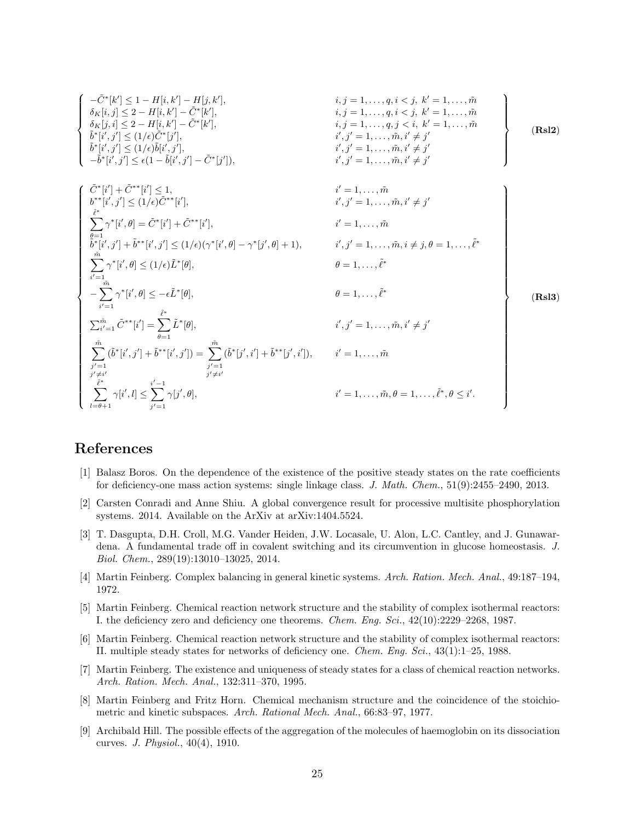$$
\left\{\begin{array}{lll} -\tilde{C}^*[k'] \leq 1-H[i,k']-H[j,k'], & i,j=1,\ldots,q, i
$$

# References

- [1] Balasz Boros. On the dependence of the existence of the positive steady states on the rate coefficients for deficiency-one mass action systems: single linkage class. J. Math. Chem., 51(9):2455–2490, 2013.
- [2] Carsten Conradi and Anne Shiu. A global convergence result for processive multisite phosphorylation systems. 2014. Available on the ArXiv at arXiv:1404.5524.
- [3] T. Dasgupta, D.H. Croll, M.G. Vander Heiden, J.W. Locasale, U. Alon, L.C. Cantley, and J. Gunawardena. A fundamental trade off in covalent switching and its circumvention in glucose homeostasis. J. Biol. Chem., 289(19):13010–13025, 2014.
- [4] Martin Feinberg. Complex balancing in general kinetic systems. Arch. Ration. Mech. Anal., 49:187–194, 1972.
- [5] Martin Feinberg. Chemical reaction network structure and the stability of complex isothermal reactors: I. the deficiency zero and deficiency one theorems. Chem. Eng. Sci., 42(10):2229–2268, 1987.
- [6] Martin Feinberg. Chemical reaction network structure and the stability of complex isothermal reactors: II. multiple steady states for networks of deficiency one. Chem. Eng. Sci., 43(1):1–25, 1988.
- [7] Martin Feinberg. The existence and uniqueness of steady states for a class of chemical reaction networks. Arch. Ration. Mech. Anal., 132:311–370, 1995.
- [8] Martin Feinberg and Fritz Horn. Chemical mechanism structure and the coincidence of the stoichiometric and kinetic subspaces. Arch. Rational Mech. Anal., 66:83–97, 1977.
- [9] Archibald Hill. The possible effects of the aggregation of the molecules of haemoglobin on its dissociation curves. J. Physiol., 40(4), 1910.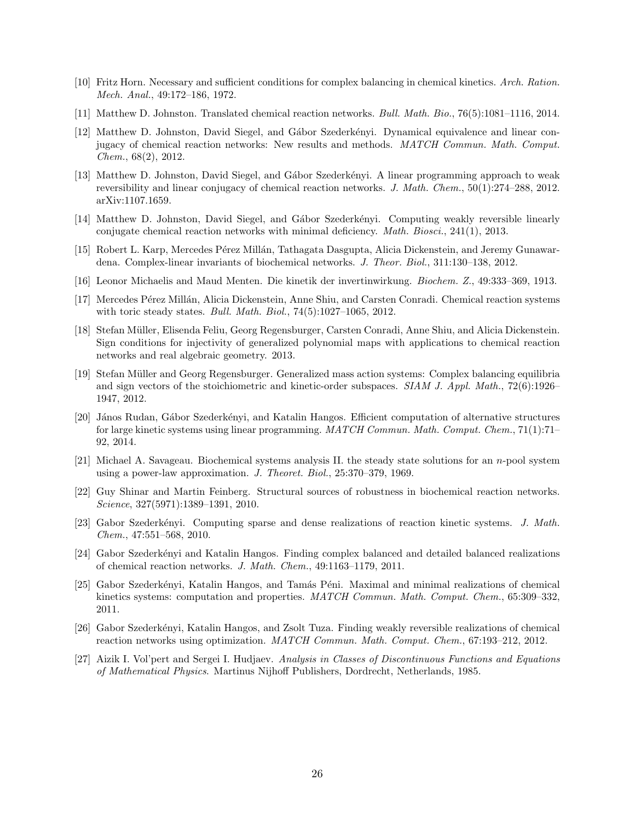- [10] Fritz Horn. Necessary and sufficient conditions for complex balancing in chemical kinetics. Arch. Ration. Mech. Anal., 49:172–186, 1972.
- [11] Matthew D. Johnston. Translated chemical reaction networks. Bull. Math. Bio., 76(5):1081–1116, 2014.
- [12] Matthew D. Johnston, David Siegel, and Gábor Szederkényi. Dynamical equivalence and linear conjugacy of chemical reaction networks: New results and methods. MATCH Commun. Math. Comput. Chem., 68(2), 2012.
- [13] Matthew D. Johnston, David Siegel, and Gábor Szederkényi. A linear programming approach to weak reversibility and linear conjugacy of chemical reaction networks. J. Math. Chem., 50(1):274–288, 2012. arXiv:1107.1659.
- [14] Matthew D. Johnston, David Siegel, and Gábor Szederkényi. Computing weakly reversible linearly conjugate chemical reaction networks with minimal deficiency. Math. Biosci., 241(1), 2013.
- [15] Robert L. Karp, Mercedes Pérez Millán, Tathagata Dasgupta, Alicia Dickenstein, and Jeremy Gunawardena. Complex-linear invariants of biochemical networks. J. Theor. Biol., 311:130–138, 2012.
- [16] Leonor Michaelis and Maud Menten. Die kinetik der invertinwirkung. Biochem. Z., 49:333–369, 1913.
- [17] Mercedes P´erez Mill´an, Alicia Dickenstein, Anne Shiu, and Carsten Conradi. Chemical reaction systems with toric steady states. Bull. Math. Biol., 74(5):1027–1065, 2012.
- [18] Stefan M¨uller, Elisenda Feliu, Georg Regensburger, Carsten Conradi, Anne Shiu, and Alicia Dickenstein. Sign conditions for injectivity of generalized polynomial maps with applications to chemical reaction networks and real algebraic geometry. 2013.
- [19] Stefan Müller and Georg Regensburger. Generalized mass action systems: Complex balancing equilibria and sign vectors of the stoichiometric and kinetic-order subspaces. SIAM J. Appl. Math., 72(6):1926– 1947, 2012.
- [20] J´anos Rudan, G´abor Szederk´enyi, and Katalin Hangos. Efficient computation of alternative structures for large kinetic systems using linear programming. MATCH Commun. Math. Comput. Chem., 71(1):71– 92, 2014.
- [21] Michael A. Savageau. Biochemical systems analysis II. the steady state solutions for an n-pool system using a power-law approximation. J. Theoret. Biol., 25:370–379, 1969.
- [22] Guy Shinar and Martin Feinberg. Structural sources of robustness in biochemical reaction networks. Science, 327(5971):1389–1391, 2010.
- [23] Gabor Szederkényi. Computing sparse and dense realizations of reaction kinetic systems. J. Math. Chem., 47:551–568, 2010.
- [24] Gabor Szederkényi and Katalin Hangos. Finding complex balanced and detailed balanced realizations of chemical reaction networks. J. Math. Chem., 49:1163–1179, 2011.
- [25] Gabor Szederk´enyi, Katalin Hangos, and Tam´as P´eni. Maximal and minimal realizations of chemical kinetics systems: computation and properties. MATCH Commun. Math. Comput. Chem., 65:309-332, 2011.
- [26] Gabor Szederkényi, Katalin Hangos, and Zsolt Tuza. Finding weakly reversible realizations of chemical reaction networks using optimization. MATCH Commun. Math. Comput. Chem., 67:193-212, 2012.
- [27] Aizik I. Vol'pert and Sergei I. Hudjaev. Analysis in Classes of Discontinuous Functions and Equations of Mathematical Physics. Martinus Nijhoff Publishers, Dordrecht, Netherlands, 1985.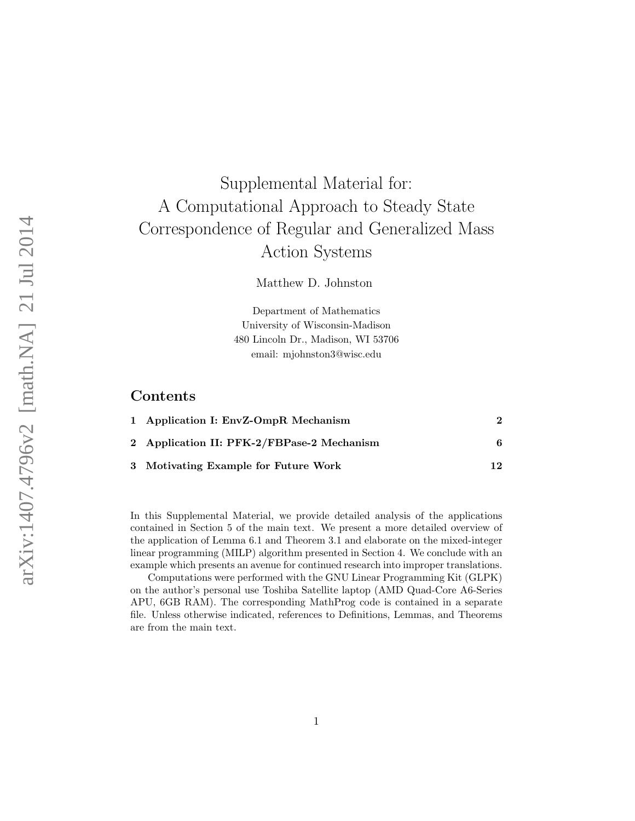# Supplemental Material for: A Computational Approach to Steady State Correspondence of Regular and Generalized Mass Action Systems

Matthew D. Johnston

Department of Mathematics University of Wisconsin-Madison 480 Lincoln Dr., Madison, WI 53706 email: mjohnston3@wisc.edu

# Contents

| 1 Application I: EnvZ-OmpR Mechanism       |    |
|--------------------------------------------|----|
| 2 Application II: PFK-2/FBPase-2 Mechanism | 6  |
| 3 Motivating Example for Future Work       | 12 |

In this Supplemental Material, we provide detailed analysis of the applications contained in Section 5 of the main text. We present a more detailed overview of the application of Lemma 6.1 and Theorem 3.1 and elaborate on the mixed-integer linear programming (MILP) algorithm presented in Section 4. We conclude with an example which presents an avenue for continued research into improper translations.

Computations were performed with the GNU Linear Programming Kit (GLPK) on the author's personal use Toshiba Satellite laptop (AMD Quad-Core A6-Series APU, 6GB RAM). The corresponding MathProg code is contained in a separate file. Unless otherwise indicated, references to Definitions, Lemmas, and Theorems are from the main text.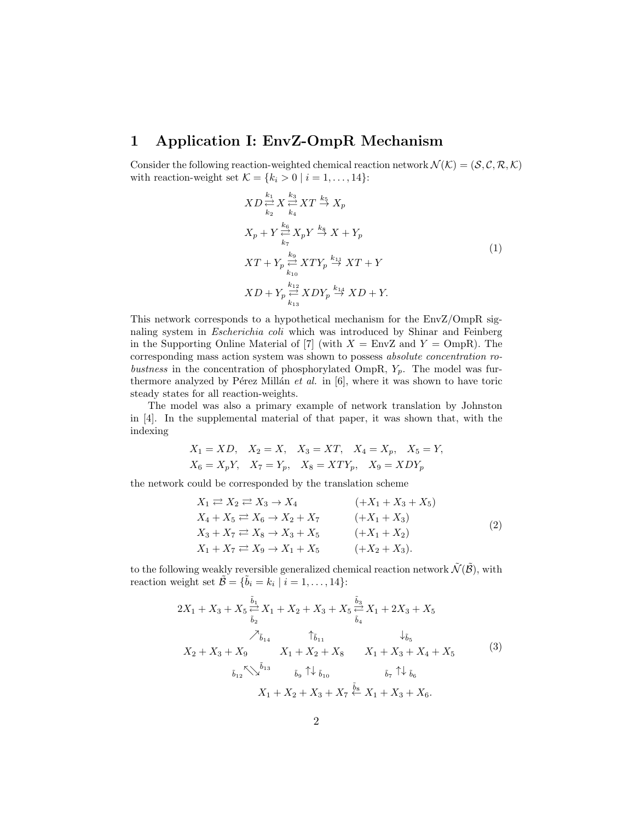# 1 Application I: EnvZ-OmpR Mechanism

Consider the following reaction-weighted chemical reaction network  $\mathcal{N}(\mathcal{K}) = (\mathcal{S}, \mathcal{C}, \mathcal{R}, \mathcal{K})$ with reaction-weight set  $\mathcal{K} = \{k_i > 0 \mid i = 1, \ldots, 14\}$ :

$$
XD \stackrel{k_1}{\underset{k_2}{\rightleftharpoons}} X \stackrel{k_3}{\underset{k_4}{\rightleftharpoons}} XT \stackrel{k_5}{\rightarrow} X_p
$$
\n
$$
X_p + Y \stackrel{k_6}{\underset{k_7}{\rightleftharpoons}} X_p Y \stackrel{k_8}{\rightarrow} X + Y_p
$$
\n
$$
XT + Y_p \stackrel{k_9}{\underset{k_{10}}{\rightleftharpoons}} XYY_p \stackrel{k_{11}}{\rightarrow} XT + Y
$$
\n
$$
XD + Y_p \stackrel{k_{12}}{\underset{k_{13}}{\rightleftharpoons}} XDY_p \stackrel{k_{14}}{\rightarrow} XD + Y.
$$
\n
$$
(1)
$$

This network corresponds to a hypothetical mechanism for the EnvZ/OmpR signaling system in Escherichia coli which was introduced by Shinar and Feinberg in the Supporting Online Material of [7] (with  $X = \text{EnvZ}$  and  $Y = \text{OppR}$ ). The corresponding mass action system was shown to possess absolute concentration robustness in the concentration of phosphorylated OmpR,  $Y_p$ . The model was furthermore analyzed by Pérez Millán  $et$  al. in [6], where it was shown to have toric steady states for all reaction-weights.

The model was also a primary example of network translation by Johnston in [4]. In the supplemental material of that paper, it was shown that, with the indexing

$$
X_1 = XD
$$
,  $X_2 = X$ ,  $X_3 = XT$ ,  $X_4 = X_p$ ,  $X_5 = Y$ ,  
\n $X_6 = X_pY$ ,  $X_7 = Y_p$ ,  $X_8 = XTY_p$ ,  $X_9 = XDY_p$ 

the network could be corresponded by the translation scheme

$$
X_1 \rightleftarrows X_2 \rightleftarrows X_3 \to X_4 \qquad (+X_1 + X_3 + X_5)
$$
  
\n
$$
X_4 + X_5 \rightleftarrows X_6 \to X_2 + X_7 \qquad (+X_1 + X_3)
$$
  
\n
$$
X_3 + X_7 \rightleftarrows X_8 \to X_3 + X_5 \qquad (+X_1 + X_2)
$$
  
\n
$$
X_1 + X_7 \rightleftarrows X_9 \to X_1 + X_5 \qquad (+X_2 + X_3).
$$
\n(2)

to the following weakly reversible generalized chemical reaction network  $\tilde{\mathcal{N}}(\tilde{\mathcal{B}})$ , with reaction weight set  $\tilde{\mathcal{B}} = {\tilde{b}_i = k_i \mid i = 1, ..., 14}$ :

$$
2X_1 + X_3 + X_5 \stackrel{\tilde{b}_1}{\rightleftharpoons} X_1 + X_2 + X_3 + X_5 \stackrel{\tilde{b}_3}{\rightleftharpoons} X_1 + 2X_3 + X_5
$$
  
\n
$$
\nearrow_{\tilde{b}_{14}} \qquad \qquad \uparrow_{\tilde{b}_{11}} \qquad \qquad \downarrow_{\tilde{b}_5}
$$
  
\n
$$
X_2 + X_3 + X_9 \qquad X_1 + X_2 + X_8 \qquad X_1 + X_3 + X_4 + X_5
$$
  
\n
$$
\bar{b}_{12} \stackrel{\kappa}{\searrow} \stackrel{\tilde{b}_{13}}{\searrow} \qquad \bar{b}_9 \uparrow \downarrow_{\tilde{b}_{10}} \qquad \qquad \bar{b}_7 \uparrow \downarrow_{\tilde{b}_6}
$$
  
\n
$$
X_1 + X_2 + X_3 + X_7 \stackrel{\tilde{b}_8}{\leftarrow} X_1 + X_3 + X_6.
$$
  
\n(3)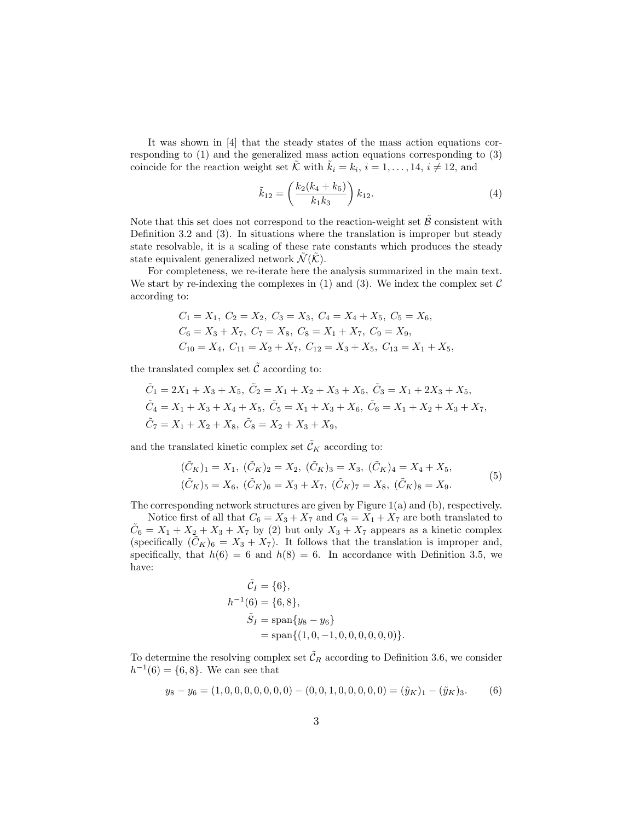It was shown in [4] that the steady states of the mass action equations corresponding to (1) and the generalized mass action equations corresponding to (3) coincide for the reaction weight set  $\tilde{\mathcal{K}}$  with  $\tilde{k}_i = k_i$ ,  $i = 1, ..., 14$ ,  $i \neq 12$ , and

$$
\tilde{k}_{12} = \left(\frac{k_2(k_4 + k_5)}{k_1 k_3}\right) k_{12}.
$$
\n(4)

Note that this set does not correspond to the reaction-weight set  $\tilde{\beta}$  consistent with Definition 3.2 and (3). In situations where the translation is improper but steady state resolvable, it is a scaling of these rate constants which produces the steady state equivalent generalized network  $\widetilde{\mathcal{N}}(\widetilde{\mathcal{K}})$ .

For completeness, we re-iterate here the analysis summarized in the main text. We start by re-indexing the complexes in  $(1)$  and  $(3)$ . We index the complex set C according to:

$$
C_1 = X_1, C_2 = X_2, C_3 = X_3, C_4 = X_4 + X_5, C_5 = X_6,
$$
  
\n
$$
C_6 = X_3 + X_7, C_7 = X_8, C_8 = X_1 + X_7, C_9 = X_9,
$$
  
\n
$$
C_{10} = X_4, C_{11} = X_2 + X_7, C_{12} = X_3 + X_5, C_{13} = X_1 + X_5,
$$

the translated complex set  $\tilde{\mathcal{C}}$  according to:

$$
\tilde{C}_1 = 2X_1 + X_3 + X_5, \ \tilde{C}_2 = X_1 + X_2 + X_3 + X_5, \ \tilde{C}_3 = X_1 + 2X_3 + X_5, \n\tilde{C}_4 = X_1 + X_3 + X_4 + X_5, \ \tilde{C}_5 = X_1 + X_3 + X_6, \ \tilde{C}_6 = X_1 + X_2 + X_3 + X_7, \n\tilde{C}_7 = X_1 + X_2 + X_8, \ \tilde{C}_8 = X_2 + X_3 + X_9,
$$

and the translated kinetic complex set  $\tilde{\mathcal{C}}_K$  according to:

$$
(\tilde{C}_K)_1 = X_1, \ (\tilde{C}_K)_2 = X_2, \ (\tilde{C}_K)_3 = X_3, \ (\tilde{C}_K)_4 = X_4 + X_5, (\tilde{C}_K)_5 = X_6, \ (\tilde{C}_K)_6 = X_3 + X_7, \ (\tilde{C}_K)_7 = X_8, \ (\tilde{C}_K)_8 = X_9.
$$
 (5)

The corresponding network structures are given by Figure  $1(a)$  and  $(b)$ , respectively.

Notice first of all that  $C_6 = X_3 + X_7$  and  $C_8 = X_1 + X_7$  are both translated to  $\tilde{C}_6 = X_1 + X_2 + X_3 + X_7$  by (2) but only  $X_3 + X_7$  appears as a kinetic complex (specifically  $(\tilde{C}_K)_6 = X_3 + X_7$ ). It follows that the translation is improper and, specifically, that  $h(6) = 6$  and  $h(8) = 6$ . In accordance with Definition 3.5, we have:

$$
\tilde{C}_I = \{6\},
$$
  
\n
$$
h^{-1}(6) = \{6, 8\},
$$
  
\n
$$
\tilde{S}_I = \text{span}\{y_8 - y_6\}
$$
  
\n
$$
= \text{span}\{(1, 0, -1, 0, 0, 0, 0, 0, 0)\}.
$$

To determine the resolving complex set  $\tilde{\mathcal{C}}_R$  according to Definition 3.6, we consider  $h^{-1}(6) = \{6, 8\}.$  We can see that

$$
y_8 - y_6 = (1, 0, 0, 0, 0, 0, 0, 0) - (0, 0, 1, 0, 0, 0, 0, 0) = (\tilde{y}_K)_1 - (\tilde{y}_K)_3. \tag{6}
$$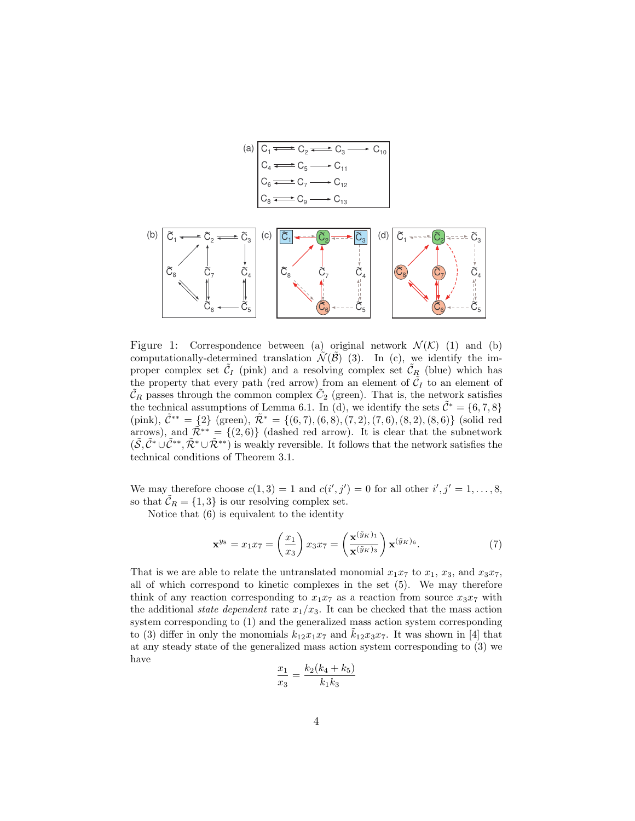

Figure 1: Correspondence between (a) original network  $\mathcal{N}(\mathcal{K})$  (1) and (b) computationally-determined translation  $\mathcal{N}(\mathcal{B})$  (3). In (c), we identify the improper complex set  $\tilde{C}_I$  (pink) and a resolving complex set  $\tilde{C}_{R_\zeta}$  (blue) which has the property that every path (red arrow) from an element of  $\tilde{C}_I$  to an element of  $\tilde{\mathcal{C}}_R$  passes through the common complex  $\tilde{\mathcal{C}}_2$  (green). That is, the network satisfies the technical assumptions of Lemma 6.1. In (d), we identify the sets  $\tilde{\mathcal{C}}^* = \{6, 7, 8\}$ (pink),  $\tilde{\mathcal{C}}^{**} = \{2\}$  (green),  $\tilde{\mathcal{R}}^{*} = \{(6, 7), (6, 8), (7, 2), (7, 6), (8, 2), (8, 6)\}$  (solid red arrows), and  $\tilde{\mathcal{R}}^{**} = \{(2,6)\}\$  (dashed red arrow). It is clear that the subnetwork  $(\tilde{S}, \tilde{C}^* \cup \tilde{C}^{**}, \tilde{\mathcal{R}}^* \cup \tilde{\mathcal{R}}^{**})$  is weakly reversible. It follows that the network satisfies the technical conditions of Theorem 3.1.

We may therefore choose  $c(1,3) = 1$  and  $c(i',j') = 0$  for all other  $i', j' = 1, \ldots, 8$ , so that  $\tilde{\mathcal{C}}_R = \{1,3\}$  is our resolving complex set.

Notice that (6) is equivalent to the identity

$$
\mathbf{x}^{y_8} = x_1 x_7 = \left(\frac{x_1}{x_3}\right) x_3 x_7 = \left(\frac{\mathbf{x}^{(\tilde{y}_K)_1}}{\mathbf{x}^{(\tilde{y}_K)_3}}\right) \mathbf{x}^{(\tilde{y}_K)_6}.\tag{7}
$$

That is we are able to relate the untranslated monomial  $x_1x_7$  to  $x_1$ ,  $x_3$ , and  $x_3x_7$ , all of which correspond to kinetic complexes in the set (5). We may therefore think of any reaction corresponding to  $x_1x_7$  as a reaction from source  $x_3x_7$  with the additional *state dependent* rate  $x_1/x_3$ . It can be checked that the mass action system corresponding to (1) and the generalized mass action system corresponding to (3) differ in only the monomials  $k_{12}x_{1}x_{7}$  and  $k_{12}x_{3}x_{7}$ . It was shown in [4] that at any steady state of the generalized mass action system corresponding to (3) we have

$$
\frac{x_1}{x_3} = \frac{k_2(k_4 + k_5)}{k_1 k_3}
$$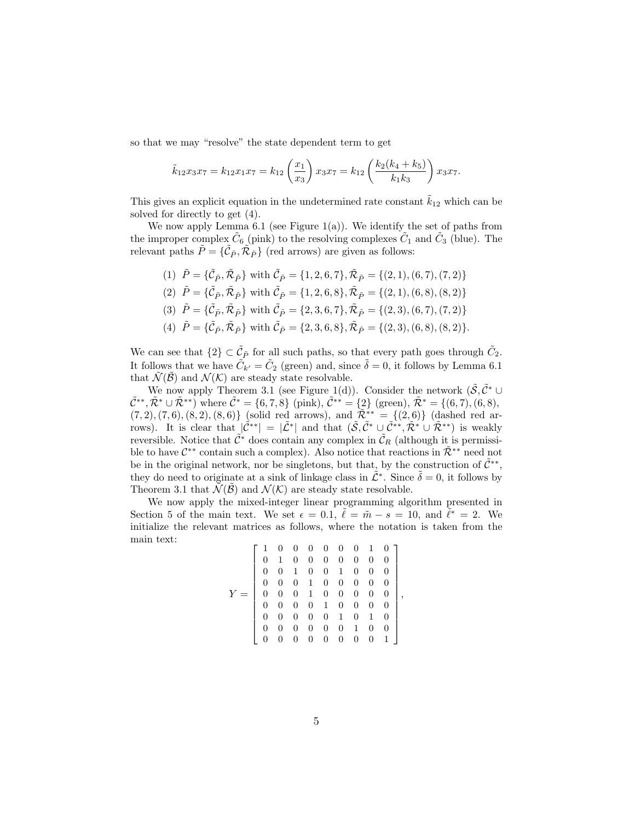so that we may "resolve" the state dependent term to get

$$
\tilde{k}_{12}x_3x_7 = k_{12}x_1x_7 = k_{12}\left(\frac{x_1}{x_3}\right)x_3x_7 = k_{12}\left(\frac{k_2(k_4 + k_5)}{k_1k_3}\right)x_3x_7.
$$

This gives an explicit equation in the undetermined rate constant  $\tilde{k}_{12}$  which can be solved for directly to get (4).

We now apply Lemma 6.1 (see Figure  $1(a)$ ). We identify the set of paths from the improper complex  $\tilde{C}_6$  (pink) to the resolving complexes  $\tilde{C}_1$  and  $\tilde{C}_3$  (blue). The relevant paths  $\tilde{P} = \{ \tilde{C}_{\tilde{P}}, \tilde{\mathcal{R}}_{\tilde{P}} \}$  (red arrows) are given as follows:

- (1)  $\tilde{P} = {\tilde{C}_{\tilde{P}}, \tilde{R}_{\tilde{P}}}$  with  $\tilde{C}_{\tilde{P}} = \{1, 2, 6, 7\}, \tilde{R}_{\tilde{P}} = \{(2, 1), (6, 7), (7, 2)\}$
- (2)  $\tilde{P} = {\tilde{C}_{\tilde{P}}, \tilde{R}_{\tilde{P}}}$  with  $\tilde{C}_{\tilde{P}} = \{1, 2, 6, 8\}, \tilde{R}_{\tilde{P}} = \{(2, 1), (6, 8), (8, 2)\}$
- (3)  $\tilde{P} = {\tilde{C}_{\tilde{P}}, \tilde{R}_{\tilde{P}}}$  with  $\tilde{C}_{\tilde{P}} = \{2, 3, 6, 7\}, \tilde{R}_{\tilde{P}} = \{(2, 3), (6, 7), (7, 2)\}$
- (4)  $\tilde{P} = {\tilde{C}_{\tilde{P}}, \tilde{R}_{\tilde{P}}}$  with  $\tilde{C}_{\tilde{P}} = \{2, 3, 6, 8\}, \tilde{R}_{\tilde{P}} = \{(2, 3), (6, 8), (8, 2)\}.$

We can see that  $\{2\} \subset \tilde{C}_{\tilde{P}}$  for all such paths, so that every path goes through  $\tilde{C}_2$ . It follows that we have  $\tilde{C}_{k'} = \tilde{C}_2$  (green) and, since  $\tilde{\delta} = 0$ , it follows by Lemma 6.1 that  $\mathcal{N}(\mathcal{B})$  and  $\mathcal{N}(\mathcal{K})$  are steady state resolvable.

We now apply Theorem 3.1 (see Figure 1(d)). Consider the network  $(\tilde{\mathcal{S}}, \tilde{\mathcal{C}}^* \cup$  $\tilde{\mathcal{C}}^{**}, \tilde{\mathcal{R}}^* \cup \tilde{\mathcal{R}}^{**}$ ) where  $\tilde{\mathcal{C}}^* = \{6, 7, 8\}$  (pink),  $\tilde{\mathcal{C}}^{**} = \{2\}$  (green),  $\tilde{\mathcal{R}}^* = \{(6, 7), (6, 8),$  $(7, 2), (7, 6), (8, 2), (8, 6)$ } (solid red arrows), and  $\tilde{\mathcal{R}}_{z}^{**} = \{(2, 6)\}$  (dashed red arrows). It is clear that  $\left|\tilde{\mathcal{C}}^{**}\right| = |\tilde{\mathcal{L}}^{*}|$  and that  $(\tilde{\mathcal{S}}, \tilde{\mathcal{C}}^{*} \cup \tilde{\mathcal{C}}^{**}, \tilde{\mathcal{R}}^{*} \cup \tilde{\mathcal{R}}^{**})$  is weakly reversible. Notice that  $\tilde{\mathcal{C}}^*$  does contain any complex in  $\tilde{\mathcal{C}}_R$  (although it is permissible to have  $\mathcal{C}^{**}$  contain such a complex). Also notice that reactions in  $\tilde{\mathcal{R}}^{**}$  need not be in the original network, nor be singletons, but that, by the construction of  $\tilde{C}^{**}$ , they do need to originate at a sink of linkage class in  $\tilde{\mathcal{L}}^*$ . Since  $\tilde{\delta} = 0$ , it follows by Theorem 3.1 that  $\tilde{\mathcal{N}}(\tilde{\mathcal{B}})$  and  $\mathcal{N}(\mathcal{K})$  are steady state resolvable.

We now apply the mixed-integer linear programming algorithm presented in Section 5 of the main text. We set  $\epsilon = 0.1$ ,  $\tilde{\ell} = \tilde{m} - s = 10$ , and  $\tilde{\ell}^* = 2$ . We initialize the relevant matrices as follows, where the notation is taken from the main text:

$$
Y = \left[\begin{array}{cccccccc} 1 & 0 & 0 & 0 & 0 & 0 & 0 & 1 & 0 \\ 0 & 1 & 0 & 0 & 0 & 0 & 0 & 0 & 0 \\ 0 & 0 & 1 & 0 & 0 & 1 & 0 & 0 & 0 \\ 0 & 0 & 0 & 1 & 0 & 0 & 0 & 0 & 0 \\ 0 & 0 & 0 & 1 & 0 & 0 & 0 & 0 & 0 \\ 0 & 0 & 0 & 0 & 1 & 0 & 0 & 0 & 0 \\ 0 & 0 & 0 & 0 & 0 & 1 & 0 & 1 & 0 \\ 0 & 0 & 0 & 0 & 0 & 0 & 1 & 0 & 0 \\ 0 & 0 & 0 & 0 & 0 & 0 & 0 & 0 & 1 \end{array}\right],
$$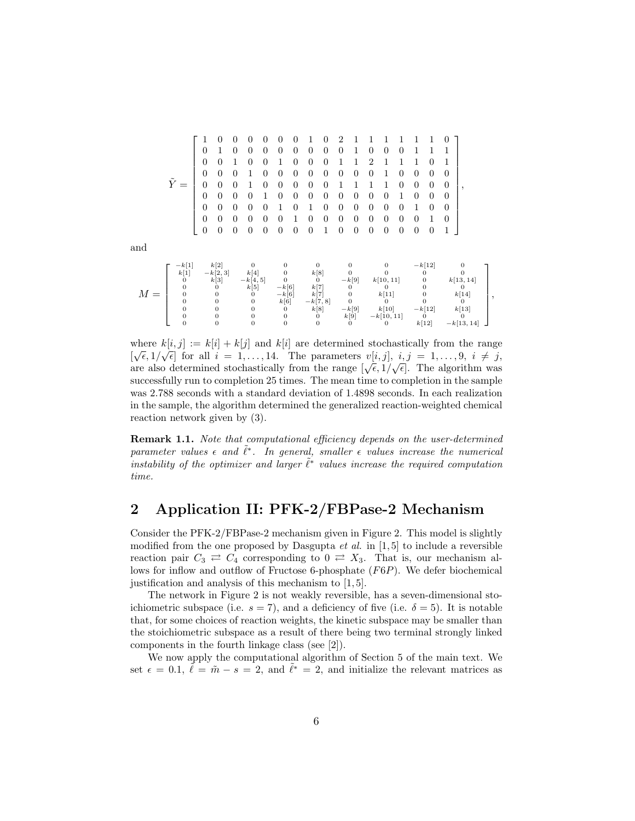|       |                                  |                | 0                            | $\theta$       | 0                            | $\theta$       | $\Omega$                  | $\Omega$       | 1                 | $\Omega$       | $\overline{2}$ |                     |                |                       |                | 1              | 1                            | $\Omega$       |                   |  |
|-------|----------------------------------|----------------|------------------------------|----------------|------------------------------|----------------|---------------------------|----------------|-------------------|----------------|----------------|---------------------|----------------|-----------------------|----------------|----------------|------------------------------|----------------|-------------------|--|
|       |                                  | 0              | 1                            | $\Omega$       | $\theta$                     | $\theta$       | $\Omega$                  | $\Omega$       | $\Omega$          | $\Omega$       | $\Omega$       | 1                   | $\Omega$       | 0                     | $\overline{0}$ | 1              | 1                            | 1              |                   |  |
|       |                                  | $\theta$       | $\overline{0}$               | 1              | $\theta$                     | 0              | 1                         | $\overline{0}$ | $\theta$          | $\theta$       | 1              |                     | $\overline{2}$ |                       | 1              | 1              | $\overline{0}$               | 1              |                   |  |
|       |                                  | $\overline{0}$ | $\overline{0}$               | $\theta$       | 1                            | $\Omega$       | $\overline{0}$            | $\overline{0}$ | $\theta$          | $\theta$       | $\overline{0}$ | $\Omega$            | $\overline{0}$ | 1                     | $\overline{0}$ | $\Omega$       | $\overline{0}$               | $\theta$       |                   |  |
|       | $\tilde{Y} =$                    | $\theta$       | $\overline{0}$               | $\theta$       | 1                            | $\Omega$       | $\theta$                  | $\theta$       | $\theta$          | $\overline{0}$ |                |                     |                |                       | 0              | $\overline{0}$ | $\theta$                     | $\overline{0}$ | ,                 |  |
|       |                                  | $\overline{0}$ | $\overline{0}$               | $\theta$       | $\theta$                     | 1              | $\theta$                  | $\theta$       | $\theta$          | $\theta$       | $\overline{0}$ | $\Omega$            | $\overline{0}$ | 0                     | 1              | $\overline{0}$ | $\theta$                     | $\theta$       |                   |  |
|       |                                  | $\overline{0}$ | $\Omega$                     | $\Omega$       | $\Omega$                     | $\Omega$       | 1                         | $\Omega$       | 1                 | $\Omega$       | $\Omega$       | $\Omega$            | $\Omega$       | $\Omega$              | $\overline{0}$ | 1              | $\Omega$                     | $\Omega$       |                   |  |
|       |                                  | $\overline{0}$ | $\overline{0}$               | $\overline{0}$ | $\theta$                     | $\overline{0}$ | $\overline{0}$            | 1              | $\theta$          | $\overline{0}$ | $\overline{0}$ | $\Omega$            | $\theta$       | $\Omega$              | $\overline{0}$ | $\Omega$       | 1                            | $\theta$       |                   |  |
|       |                                  | $\overline{0}$ | $\overline{0}$               | $\theta$       | $\overline{0}$               | $\theta$       | $\overline{0}$            | $\overline{0}$ | $\theta$          | $\mathbf{1}$   | $\theta$       | $\theta$            | $\mathbf{0}$   | $\theta$              | $\theta$       | $\overline{0}$ | $\overline{0}$               | 1              |                   |  |
| and   |                                  |                |                              |                |                              |                |                           |                |                   |                |                |                     |                |                       |                |                |                              |                |                   |  |
|       | $-k[1]$                          |                | k[2]                         |                | $\theta$                     |                | $\mathbf{0}$              |                | $\theta$          |                |                | 0                   |                | $\mathbf{0}$          |                |                | $-k[12]$                     |                | $\mathbf{0}$      |  |
|       | k[1]                             |                | $-k[2,3]$                    |                | k[4]                         |                | $\mathbf{0}$              |                | k[8]              |                |                | $\theta$            |                | $\mathbf{0}$          |                |                | $\mathbf{0}$                 |                | $\theta$          |  |
|       | $\mathbf{0}$<br>$\overline{0}$   |                | k[3]<br>0                    |                | $-k[4, 5]$<br>k[5]           |                | $\overline{0}$<br>$-k[6]$ |                | $\theta$<br>k[7]  |                |                | $-k[9]$<br>0        |                | k[10, 11]<br>0        |                |                | $\mathbf{0}$<br>$\mathbf{0}$ |                | k[13, 14]<br>0    |  |
| $M =$ | $\mathbf{0}$                     |                | 0                            |                | $\mathbf{0}$                 |                | $-k[6]$                   |                | k[7]              |                |                | 0                   |                | k[11]                 |                |                | 0                            |                | k[14]             |  |
|       | $\overline{0}$<br>$\overline{0}$ |                | $\mathbf{0}$<br>$\mathbf{0}$ |                | $\mathbf{0}$<br>$\mathbf{0}$ |                | k[6]<br>$\mathbf{0}$      |                | $-k[7,8]$<br>k[8] |                |                | $\Omega$<br>$-k[9]$ |                | $\mathbf{0}$<br>k[10] |                |                | $\Omega$<br>$-k[12]$         |                | $\Omega$<br>k[13] |  |
|       | $\overline{0}$                   |                | $\mathbf{0}$                 |                | $\mathbf{0}$                 |                | $\mathbf{0}$              |                | $\theta$          |                |                | k[9]                |                | $-k[10, 11]$          |                |                | $\theta$                     |                | $\Omega$          |  |
|       | $\overline{0}$                   |                | 0                            |                | $\boldsymbol{0}$             |                | $\mathbf{0}$              |                | $\theta$          |                |                | 0                   |                | 0                     |                |                | k[12]                        |                | $-k[13, 14]$      |  |

,

where  $k[i, j] := k[i] + k[j]$  and  $k[i]$  are determined stochastically from the range  $[\sqrt{\epsilon}, 1/\sqrt{\epsilon}]$  for all  $i = 1, ..., 14$ . The parameters  $v[i, j]$ ,  $i, j = 1, ..., 9$ ,  $i \neq j$ , are also determined stochastically from the range  $[\sqrt{\epsilon}, 1/\sqrt{\epsilon}]$ . The algorithm was successfully run to completion 25 times. The mean time to completion in the sample was 2.788 seconds with a standard deviation of 1.4898 seconds. In each realization in the sample, the algorithm determined the generalized reaction-weighted chemical reaction network given by (3).

Remark 1.1. Note that computational efficiency depends on the user-determined parameter values  $\epsilon$  and  $\tilde{\ell}^*$ . In general, smaller  $\epsilon$  values increase the numerical instability of the optimizer and larger  $\tilde{\ell}^*$  values increase the required computation time.

# 2 Application II: PFK-2/FBPase-2 Mechanism

Consider the PFK-2/FBPase-2 mechanism given in Figure 2. This model is slightly modified from the one proposed by Dasgupta  $et$  al. in [1,5] to include a reversible reaction pair  $C_3 \rightleftarrows C_4$  corresponding to  $0 \rightleftarrows X_3$ . That is, our mechanism allows for inflow and outflow of Fructose 6-phosphate (F6P). We defer biochemical justification and analysis of this mechanism to [1, 5].

The network in Figure 2 is not weakly reversible, has a seven-dimensional stoichiometric subspace (i.e.  $s = 7$ ), and a deficiency of five (i.e.  $\delta = 5$ ). It is notable that, for some choices of reaction weights, the kinetic subspace may be smaller than the stoichiometric subspace as a result of there being two terminal strongly linked components in the fourth linkage class (see [2]).

We now apply the computational algorithm of Section 5 of the main text. We set  $\epsilon = 0.1, \tilde{\ell} = \tilde{m} - s = 2$ , and  $\tilde{\ell}^* = 2$ , and initialize the relevant matrices as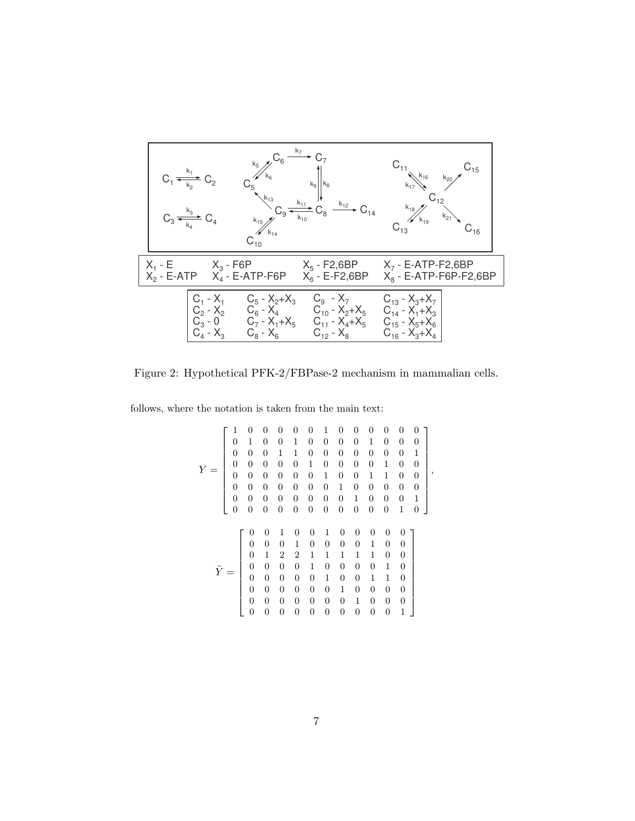|                                                        | $k_{15}/l$<br>$C_{10}$                                   | $ k_8 $<br>$\sim C_{14}$                                                                        | $C_{11}$ $k_{16}$<br>$R_{18}$ $\frac{k_{18}}{k_{19}}$                                        | $-15$<br>$k_{20}$ |
|--------------------------------------------------------|----------------------------------------------------------|-------------------------------------------------------------------------------------------------|----------------------------------------------------------------------------------------------|-------------------|
|                                                        | $X_1 - E$ $X_3 - F6P$<br>$X_2$ - E-ATP $X_4$ - E-ATP-F6P | X <sub>5</sub> - F2,6BP<br>$X_6$ - E-F2,6BP                                                     | $X7$ - E-ATP-F2,6BP<br>$X_8$ - E-ATP-F6P-F2,6BP                                              |                   |
| $C_1 - X_1$<br>$C_2 - X_2$<br>$C_3 - 0$<br>$C_4 - X_3$ | $C_5 - X_2 + X_3$<br>$C_6 - X_4$<br>$C_8 - X_6$          | $C_9 - X_7$<br>$C_{10} - X_2 + X_5$<br>$C_7 - X_1 + X_5$ $C_{11} - X_4 + X_5$<br>$C_{12} - X_8$ | $C_{13} - X_3 + X_7$<br>$C_{14} - X_1 + X_3$<br>$C_{15} - X_5 + X_6$<br>$C_{16} - X_3 + X_4$ |                   |

Figure 2: Hypothetical PFK-2/FBPase-2 mechanism in mammalian cells.

follows, where the notation is taken from the main text:

$$
Y = \begin{bmatrix} 1 & 0 & 0 & 0 & 0 & 0 & 1 & 0 & 0 & 0 & 0 & 0 & 0 & 0 \\ 0 & 1 & 0 & 0 & 1 & 0 & 0 & 0 & 0 & 1 & 0 & 0 & 0 & 0 \\ 0 & 0 & 0 & 1 & 1 & 0 & 0 & 0 & 0 & 0 & 0 & 0 & 1 \\ 0 & 0 & 0 & 0 & 0 & 1 & 0 & 0 & 0 & 0 & 1 & 0 & 0 \\ 0 & 0 & 0 & 0 & 0 & 0 & 1 & 0 & 0 & 0 & 1 & 1 & 0 & 0 \\ 0 & 0 & 0 & 0 & 0 & 0 & 0 & 1 & 0 & 0 & 0 & 0 & 0 \\ 0 & 0 & 0 & 0 & 0 & 0 & 0 & 0 & 1 & 0 & 0 & 0 & 0 & 1 \\ 0 & 0 & 0 & 0 & 0 & 0 & 0 & 0 & 0 & 0 & 0 & 0 & 1 \\ 0 & 1 & 2 & 2 & 1 & 1 & 1 & 1 & 1 & 1 & 0 & 0 \\ 0 & 0 & 0 & 0 & 1 & 0 & 0 & 0 & 0 & 1 & 0 & 0 \\ 0 & 0 & 0 & 0 & 0 & 1 & 0 & 0 & 0 & 1 & 1 & 0 \\ 0 & 0 & 0 & 0 & 0 & 0 & 1 & 0 & 0 & 0 & 0 & 1 \\ 0 & 0 & 0 & 0 & 0 & 0 & 0 & 1 & 0 & 0 & 0 & 0 \\ 0 & 0 & 0 & 0 & 0 & 0 & 0 & 0 & 0 & 0 & 0 & 1 \end{bmatrix}
$$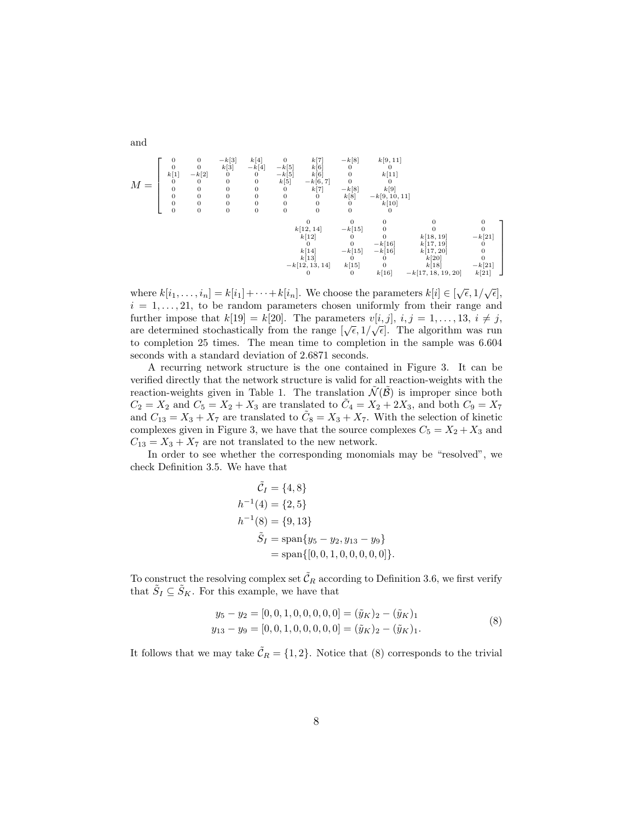$$
M = \begin{bmatrix} 0 & 0 & -k[3] & k[4] & 0 & k[7] & -k[8] & k[9,11] \\ 0 & 0 & k[3] & -k[4] & -k[5] & k[6] & 0 & 0 & 0 \\ k[1] & -k[2] & 0 & 0 & 0 & k[5] & -k[6,7] & 0 & k[11] \\ 0 & 0 & 0 & 0 & 0 & k[5] & -k[6,7] & 0 & 0 & 0 \\ 0 & 0 & 0 & 0 & 0 & 0 & 0 & k[8] & -k[9,10,11] \\ 0 & 0 & 0 & 0 & 0 & 0 & 0 & 0 & 0 \\ 0 & 0 & 0 & 0 & 0 & 0 & 0 & 0 & 0 \\ 0 & 0 & 0 & 0 & 0 & 0 & 0 & 0 & 0 \\ 0 & 0 & 0 & 0 & 0 & 0 & 0 & 0 & 0 \\ k[12,14] & -k[15] & 0 & 0 & 0 & 0 & 0 \\ k[12] & 0 & 0 & -k[16] & k[17,19] & 0 \\ k[14] & -k[15] & -k[16] & k[17,20] & 0 \\ k[14] & -k[15] & -k[16] & k[17,20] & 0 \\ k[13] & 0 & 0 & k[20] & -k[21] \\ 0 & 0 & 0 & k[20] & 0 & k[20] & -k[21] \\ 0 & 0 & 0 & k[20] & -k[21] & 0 \\ 0 & 0 & k[16] & -k[17,18,19,20] & k[21] \end{bmatrix}
$$

where  $k[i_1,\ldots,i_n] = k[i_1] + \cdots + k[i_n]$ . We choose the parameters  $k[i] \in [\sqrt{\epsilon}, 1/\sqrt{\epsilon}],$  $i = 1, \ldots, 21$ , to be random parameters chosen uniformly from their range and further impose that  $k[19] = k[20]$ . The parameters  $v[i, j]$ ,  $i, j = 1, \ldots, 13, i \neq j$ , are determined stochastically from the range  $[\sqrt{\epsilon}, 1/\sqrt{\epsilon}]$ . The algorithm was run to completion 25 times. The mean time to completion in the sample was 6.604 seconds with a standard deviation of 2.6871 seconds.

A recurring network structure is the one contained in Figure 3. It can be verified directly that the network structure is valid for all reaction-weights with the reaction-weights given in Table 1. The translation  $\tilde{\mathcal{N}}(\tilde{\mathcal{B}})$  is improper since both  $C_2 = X_2$  and  $C_5 = X_2 + X_3$  are translated to  $\tilde{C}_4 = X_2 + 2X_3$ , and both  $C_9 = X_7$ and  $C_{13} = X_3 + X_7$  are translated to  $\tilde{C}_8 = X_3 + X_7$ . With the selection of kinetic complexes given in Figure 3, we have that the source complexes  $C_5 = X_2 + X_3$  and  $C_{13} = X_3 + X_7$  are not translated to the new network.

In order to see whether the corresponding monomials may be "resolved", we check Definition 3.5. We have that

$$
\tilde{C}_I = \{4, 8\} \nh^{-1}(4) = \{2, 5\} \nh^{-1}(8) = \{9, 13\} \n\tilde{S}_I = \text{span}\{y_5 - y_2, y_{13} - y_9\} \n= \text{span}\{[0, 0, 1, 0, 0, 0, 0, 0, 0]\}.
$$

To construct the resolving complex set  $\tilde{\mathcal{C}}_R$  according to Definition 3.6, we first verify that  $\tilde{S}_I \subseteq \tilde{S}_K$ . For this example, we have that

$$
y_5 - y_2 = [0, 0, 1, 0, 0, 0, 0, 0] = (\tilde{y}_K)_2 - (\tilde{y}_K)_1
$$
  
\n
$$
y_{13} - y_9 = [0, 0, 1, 0, 0, 0, 0, 0] = (\tilde{y}_K)_2 - (\tilde{y}_K)_1.
$$
\n(8)

It follows that we may take  $\tilde{C}_R = \{1, 2\}$ . Notice that (8) corresponds to the trivial

and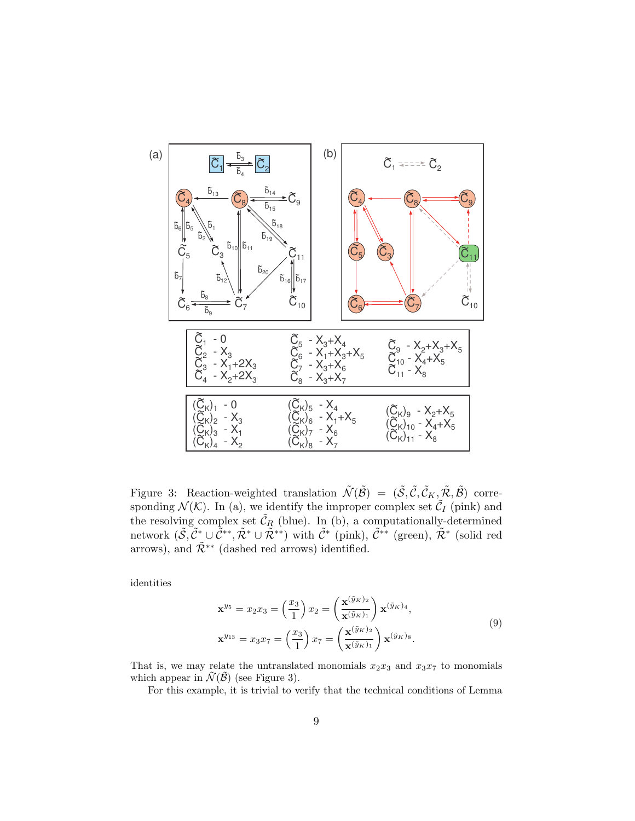

Figure 3: Reaction-weighted translation  $\tilde{\mathcal{N}}(\tilde{\mathcal{B}}) = (\tilde{\mathcal{S}}, \tilde{\mathcal{C}}, \tilde{\mathcal{C}}_K, \tilde{\mathcal{R}}, \tilde{\mathcal{B}})$  corresponding  $\mathcal{N}(\mathcal{K})$ . In (a), we identify the improper complex set  $\tilde{\mathcal{C}}_I$  (pink) and the resolving complex set  $\tilde{\mathcal{C}}_R$  (blue). In (b), a computationally-determined network  $(\tilde{\mathcal{S}}, \tilde{\mathcal{C}}^*_\sim \cup \tilde{\mathcal{C}}^{**}, \tilde{\mathcal{R}}^* \cup \tilde{\mathcal{R}}^{**})$  with  $\tilde{\mathcal{C}}^*$  (pink),  $\tilde{\mathcal{C}}^{**}$  (green),  $\tilde{\mathcal{R}}^*$  (solid red arrows), and  $\tilde{\mathcal{R}}^{**}$  (dashed red arrows) identified.

identities

$$
\mathbf{x}^{y_5} = x_2 x_3 = \left(\frac{x_3}{1}\right) x_2 = \left(\frac{\mathbf{x}^{(\tilde{y}_K)_2}}{\mathbf{x}^{(\tilde{y}_K)_1}}\right) \mathbf{x}^{(\tilde{y}_K)_4},
$$
  

$$
\mathbf{x}^{y_{13}} = x_3 x_7 = \left(\frac{x_3}{1}\right) x_7 = \left(\frac{\mathbf{x}^{(\tilde{y}_K)_2}}{\mathbf{x}^{(\tilde{y}_K)_1}}\right) \mathbf{x}^{(\tilde{y}_K)_8}.
$$

$$
(9)
$$

That is, we may relate the untranslated monomials  $x_2x_3$  and  $x_3x_7$  to monomials which appear in  $\tilde{\mathcal{N}}(\tilde{\mathcal{B}})$  (see Figure 3).

For this example, it is trivial to verify that the technical conditions of Lemma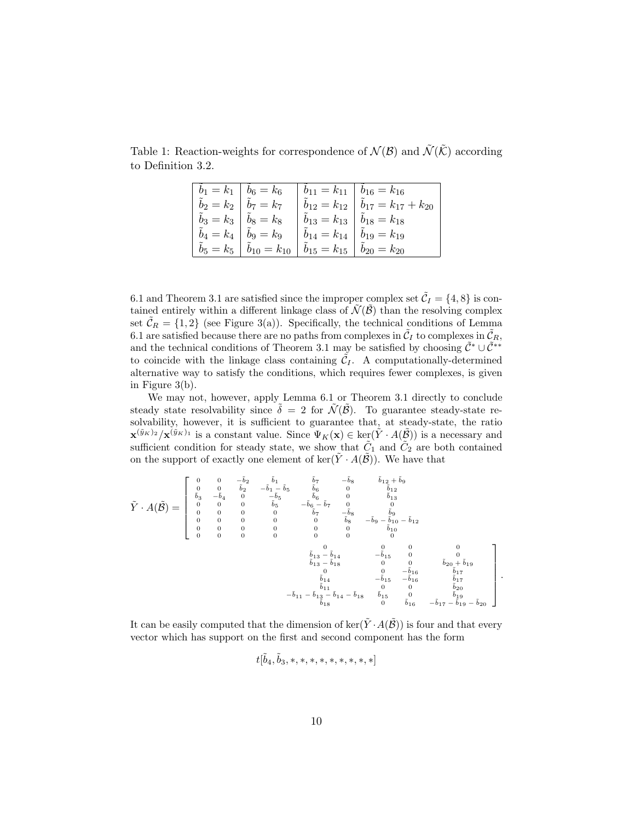|                                                     | $b_1 = k_1 \mid b_6 = k_6 \mid b_{11} = k_{11} \mid b_{16} = k_{16}$                                       |                                                                                                                     |                                                        |
|-----------------------------------------------------|------------------------------------------------------------------------------------------------------------|---------------------------------------------------------------------------------------------------------------------|--------------------------------------------------------|
| $\tilde{b}_2=k_2\bigm \tilde{b}_7=k_7$              |                                                                                                            |                                                                                                                     | $\hat{b}_{12} = k_{12} \hat{b}_{17} = k_{17} + k_{20}$ |
| $\tilde{b}_3 = k_3 \mid \tilde{b}_8 = k_8$          |                                                                                                            | $\hat{b}_{13} = k_{13} \mid \tilde{b}_{18} = k_{18}$                                                                |                                                        |
| $\tilde{b}_4=k_4\,\left \,\,\tilde{b}_9=k_9\right $ |                                                                                                            | $\left \begin{array}{c} \tilde{b}_{14}=k_{14} \end{array}\right \begin{array}{c} \tilde{b}_{19}=k_{19} \end{array}$ |                                                        |
|                                                     | $\tilde{b}_5 = k_5 \mid \tilde{b}_{10} = k_{10} \mid \tilde{b}_{15} = k_{15} \mid \tilde{b}_{20} = k_{20}$ |                                                                                                                     |                                                        |
|                                                     |                                                                                                            |                                                                                                                     |                                                        |

Table 1: Reaction-weights for correspondence of  $\mathcal{N}(\mathcal{B})$  and  $\tilde{\mathcal{N}}(\tilde{\mathcal{K}})$  according to Definition 3.2.

6.1 and Theorem 3.1 are satisfied since the improper complex set  $\tilde{C}_I = \{4, 8\}$  is contained entirely within a different linkage class of  $\tilde{\mathcal{N}}(\tilde{\mathcal{B}})$  than the resolving complex set  $\tilde{\mathcal{C}}_R = \{1,2\}$  (see Figure 3(a)). Specifically, the technical conditions of Lemma 6.1 are satisfied because there are no paths from complexes in  $\tilde{C}_I$  to complexes in  $\tilde{C}_R$ , and the technical conditions of Theorem 3.1 may be satisfied by choosing  $\tilde{C}^* \cup \tilde{C}^{**}$ to coincide with the linkage class containing  $\tilde{C}_I$ . A computationally-determined alternative way to satisfy the conditions, which requires fewer complexes, is given in Figure 3(b).

We may not, however, apply Lemma 6.1 or Theorem 3.1 directly to conclude steady state resolvability since  $\delta = 2$  for  $\mathcal{N}(\mathcal{B})$ . To guarantee steady-state resolvability, however, it is sufficient to guarantee that, at steady-state, the ratio  $\mathbf{x}^{(\tilde{y}_K)_2}/\mathbf{x}^{(\tilde{y}_K)_1}$  is a constant value. Since  $\Psi_K(\mathbf{x}) \in \text{ker}(\tilde{Y} \cdot A(\tilde{\mathcal{B}}))$  is a necessary and sufficient condition for steady state, we show that  $\tilde{C}_1$  and  $\tilde{C}_2$  are both contained on the support of exactly one element of ker $(\tilde{Y} \cdot A(\tilde{\mathcal{B}}))$ . We have that

$$
\tilde{Y} \cdot A(\tilde{\mathcal{B}}) = \begin{bmatrix} 0 & 0 & -\tilde{b}_2 & \tilde{b}_1 & \tilde{b}_7 & -\tilde{b}_8 & \tilde{b}_{12} + \tilde{b}_9 \\ 0 & 0 & \tilde{b}_2 & -\tilde{b}_1 - \tilde{b}_5 & \tilde{b}_6 & 0 & \tilde{b}_{12} \\ \tilde{b}_3 & -\tilde{b}_4 & 0 & -\tilde{b}_5 & \tilde{b}_6 & 0 & \tilde{b}_{13} \\ 0 & 0 & 0 & \tilde{b}_5 & -\tilde{b}_6 - \tilde{b}_7 & 0 & 0 \\ 0 & 0 & 0 & 0 & \tilde{b}_7 & -\tilde{b}_8 & \tilde{b}_9 \\ 0 & 0 & 0 & 0 & 0 & \tilde{b}_8 & -\tilde{b}_9 - \tilde{b}_{10} - \tilde{b}_{12} \\ 0 & 0 & 0 & 0 & 0 & 0 & \tilde{b}_{10} & 0 \\ 0 & 0 & 0 & 0 & 0 & 0 & 0 & 0 \\ 0 & 0 & 0 & 0 & 0 & 0 & 0 & 0 \\ \tilde{b}_{13} - \tilde{b}_{14} & \tilde{b}_{14} & -\tilde{b}_{15} & 0 & 0 & 0 \\ \tilde{b}_{13} - \tilde{b}_{18} & 0 & 0 & -\tilde{b}_{16} & \tilde{b}_{17} \\ \tilde{b}_{14} & -\tilde{b}_{15} & -\tilde{b}_{16} & \tilde{b}_{17} & \tilde{b}_{18} & \tilde{b}_{19} & 0 \\ 0 & 0 & \tilde{b}_{20} + \tilde{b}_{19} & \tilde{b}_{18} & 0 & \tilde{b}_{20} & 0 \\ \tilde{b}_{11} - \tilde{b}_{12} - \tilde{b}_{14} - \tilde{b}_{18} & \tilde{b}_{15} & 0 & \tilde{b}_{19} & \tilde{b}_{19} \\ \tilde{b}_{18} & \tilde{b}_{14} - \tilde{b}_{18} & \tilde{b}_{15} & 0 & \tilde{b}_{19} & \tilde{b}_{19} & 0 \\ 0 & \tilde{b}_{10} &
$$

It can be easily computed that the dimension of  $\ker(\tilde{Y} \cdot A(\tilde{\mathcal{B}}))$  is four and that every vector which has support on the first and second component has the form

$$
t[\tilde b_4, \tilde b_3, *, *, *, *, *, *, *, *, *]
$$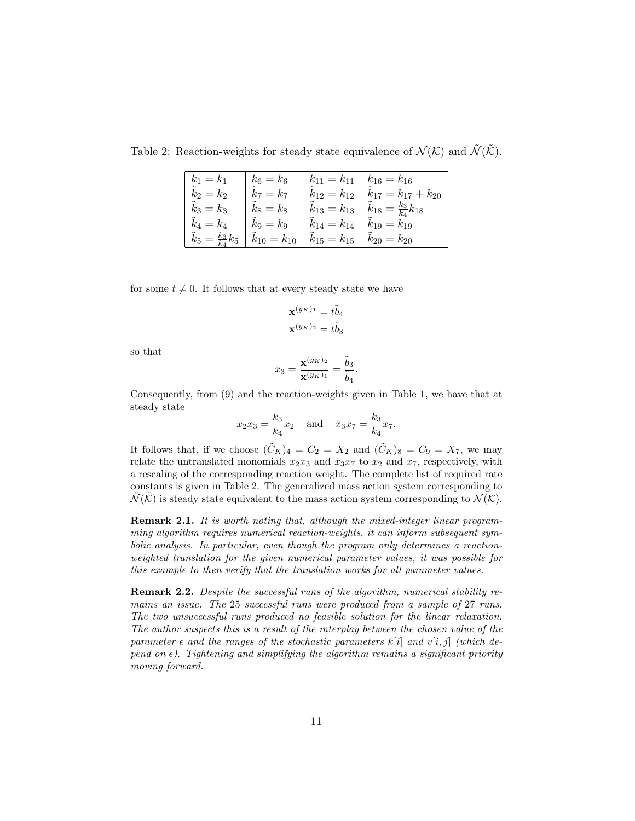Table 2: Reaction-weights for steady state equivalence of  $\mathcal{N}(\mathcal{K})$  and  $\tilde{\mathcal{N}}(\tilde{\mathcal{K}})$ .

| $k_1 = k_1$                         | $k_6 = k_6$       | $k_{11} = k_{11}$         | $k_{16} = k_{16}$                         |
|-------------------------------------|-------------------|---------------------------|-------------------------------------------|
| $k_2 = k_2$                         | $k_7 = k_7$       | $k_{12} = k_{12}$         | $k_{17} = k_{17} + k_{20}$                |
| $k_3 = k_3$                         | $k_8 = k_8$       | $k_{13} = k_{13}$         | $\tilde{k}_{18} = \frac{k_3}{k_4} k_{18}$ |
| $k_4 = k_4$                         | $k_9 = k_9$       | $\tilde{k}_{14} = k_{14}$ | $k_{19} = k_{19}$                         |
| $\tilde{k}_5 = \frac{k_3}{k_4} k_5$ | $k_{10} = k_{10}$ |                           | $k_{15} = k_{15}   k_{20} = k_{20}$       |

for some  $t \neq 0$ . It follows that at every steady state we have

$$
\mathbf{x}^{(y_K)_1} = t\tilde{b}_4
$$

$$
\mathbf{x}^{(y_K)_2} = t\tilde{b}_3
$$

so that

$$
x_3 = \frac{\mathbf{x}^{(\tilde{y}_K)_2}}{\mathbf{x}^{(\tilde{y}_K)_1}} = \frac{\tilde{b}_3}{\tilde{b}_4}.
$$

Consequently, from (9) and the reaction-weights given in Table 1, we have that at steady state

$$
x_2 x_3 = \frac{k_3}{k_4} x_2
$$
 and  $x_3 x_7 = \frac{k_3}{k_4} x_7$ .

It follows that, if we choose  $(\tilde{C}_K)_4 = C_2 = X_2$  and  $(\tilde{C}_K)_8 = C_9 = X_7$ , we may relate the untranslated monomials  $x_2x_3$  and  $x_3x_7$  to  $x_2$  and  $x_7$ , respectively, with a rescaling of the corresponding reaction weight. The complete list of required rate constants is given in Table 2. The generalized mass action system corresponding to  $\mathcal{N}(\mathcal{K})$  is steady state equivalent to the mass action system corresponding to  $\mathcal{N}(\mathcal{K})$ .

Remark 2.1. It is worth noting that, although the mixed-integer linear programming algorithm requires numerical reaction-weights, it can inform subsequent symbolic analysis. In particular, even though the program only determines a reactionweighted translation for the given numerical parameter values, it was possible for this example to then verify that the translation works for all parameter values.

Remark 2.2. Despite the successful runs of the algorithm, numerical stability remains an issue. The 25 successful runs were produced from a sample of 27 runs. The two unsuccessful runs produced no feasible solution for the linear relaxation. The author suspects this is a result of the interplay between the chosen value of the parameter  $\epsilon$  and the ranges of the stochastic parameters k[i] and v[i, j] (which depend on  $\epsilon$ ). Tightening and simplifying the algorithm remains a significant priority moving forward.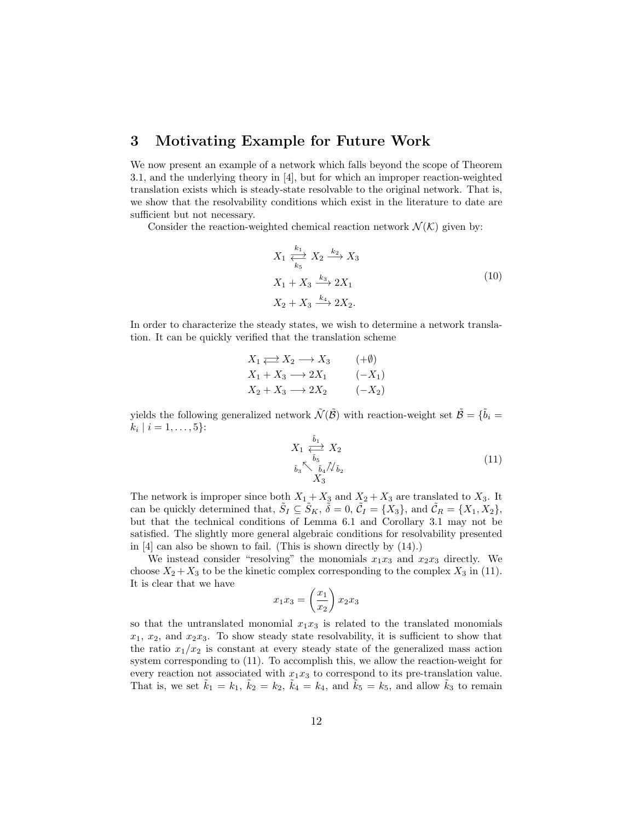# 3 Motivating Example for Future Work

We now present an example of a network which falls beyond the scope of Theorem 3.1, and the underlying theory in [4], but for which an improper reaction-weighted translation exists which is steady-state resolvable to the original network. That is, we show that the resolvability conditions which exist in the literature to date are sufficient but not necessary.

Consider the reaction-weighted chemical reaction network  $\mathcal{N}(\mathcal{K})$  given by:

$$
X_1 \xleftrightarrow{\frac{k_1}{k_5}} X_2 \xrightarrow{k_2} X_3
$$
  
\n
$$
X_1 + X_3 \xrightarrow{k_3} 2X_1
$$
  
\n
$$
X_2 + X_3 \xrightarrow{k_4} 2X_2.
$$
  
\n(10)

In order to characterize the steady states, we wish to determine a network translation. It can be quickly verified that the translation scheme

$$
X_1 \rightleftarrows X_2 \longrightarrow X_3 \qquad (+\emptyset)
$$
  
\n
$$
X_1 + X_3 \longrightarrow 2X_1 \qquad (-X_1)
$$
  
\n
$$
X_2 + X_3 \longrightarrow 2X_2 \qquad (-X_2)
$$

yields the following generalized network  $\tilde{\mathcal{N}}(\tilde{\mathcal{B}})$  with reaction-weight set  $\tilde{\mathcal{B}} = \{\tilde{b}_i =$  $k_i | i = 1, \ldots, 5\}$ :

$$
X_1 \xleftrightarrow{\tilde{b}_1 \atop \tilde{b}_3} X_2
$$
  
\n
$$
\tilde{b}_3 \xrightarrow{\tilde{b}_5} \tilde{b}_4 \tilde{\mathcal{N}} \tilde{b}_2
$$
  
\n
$$
X_3
$$
\n(11)

The network is improper since both  $X_1 + X_3$  and  $X_2 + X_3$  are translated to  $X_3$ . It can be quickly determined that,  $\tilde{S}_I \subseteq \tilde{S}_K$ ,  $\tilde{\delta} = 0$ ,  $\tilde{C}_I = \{X_3\}$ , and  $\tilde{C}_R = \{X_1, X_2\}$ , but that the technical conditions of Lemma 6.1 and Corollary 3.1 may not be satisfied. The slightly more general algebraic conditions for resolvability presented in [4] can also be shown to fail. (This is shown directly by (14).)

We instead consider "resolving" the monomials  $x_1x_3$  and  $x_2x_3$  directly. We choose  $X_2 + X_3$  to be the kinetic complex corresponding to the complex  $X_3$  in (11). It is clear that we have

$$
x_1 x_3 = \left(\frac{x_1}{x_2}\right) x_2 x_3
$$

so that the untranslated monomial  $x_1x_3$  is related to the translated monomials  $x_1, x_2,$  and  $x_2x_3$ . To show steady state resolvability, it is sufficient to show that the ratio  $x_1/x_2$  is constant at every steady state of the generalized mass action system corresponding to (11). To accomplish this, we allow the reaction-weight for every reaction not associated with  $x_1x_3$  to correspond to its pre-translation value. That is, we set  $\tilde{k}_1 = k_1$ ,  $\tilde{k}_2 = k_2$ ,  $\tilde{k}_4 = k_4$ , and  $\tilde{k}_5 = k_5$ , and allow  $\tilde{k}_3$  to remain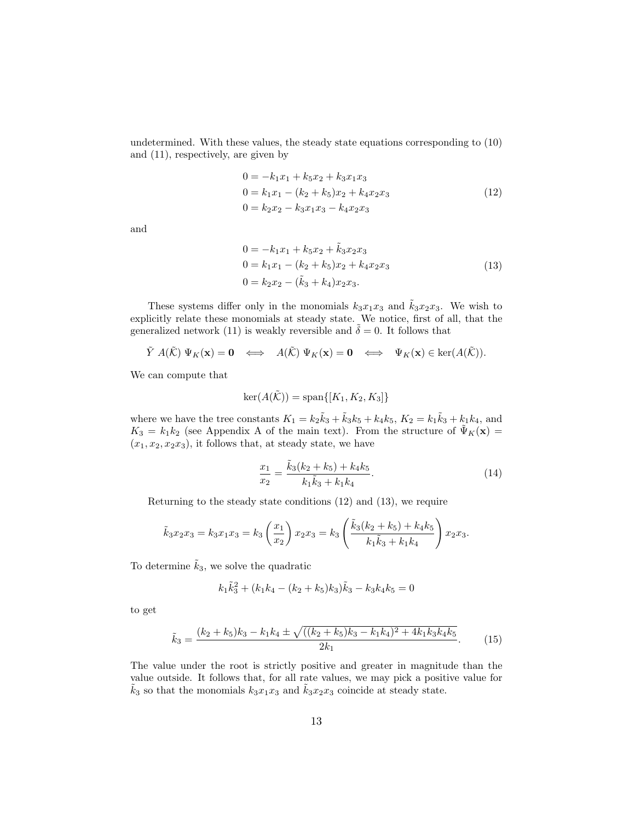undetermined. With these values, the steady state equations corresponding to (10) and (11), respectively, are given by

$$
0 = -k_1 x_1 + k_5 x_2 + k_3 x_1 x_3
$$
  
\n
$$
0 = k_1 x_1 - (k_2 + k_5) x_2 + k_4 x_2 x_3
$$
  
\n
$$
0 = k_2 x_2 - k_3 x_1 x_3 - k_4 x_2 x_3
$$
\n(12)

and

$$
0 = -k_1 x_1 + k_5 x_2 + \tilde{k}_3 x_2 x_3
$$
  
\n
$$
0 = k_1 x_1 - (k_2 + k_5) x_2 + k_4 x_2 x_3
$$
  
\n
$$
0 = k_2 x_2 - (\tilde{k}_3 + k_4) x_2 x_3.
$$
\n(13)

These systems differ only in the monomials  $k_3x_1x_3$  and  $\tilde{k}_3x_2x_3$ . We wish to explicitly relate these monomials at steady state. We notice, first of all, that the generalized network (11) is weakly reversible and  $\tilde{\delta} = 0$ . It follows that

$$
\tilde{Y} \; A(\tilde{\mathcal{K}}) \; \Psi_K(\mathbf{x}) = \mathbf{0} \quad \Longleftrightarrow \quad A(\tilde{\mathcal{K}}) \; \Psi_K(\mathbf{x}) = \mathbf{0} \quad \Longleftrightarrow \quad \Psi_K(\mathbf{x}) \in \ker(A(\tilde{\mathcal{K}})).
$$

We can compute that

$$
\ker(A(\tilde{\mathcal{K}})) = \mathrm{span}\{[K_1, K_2, K_3]\}
$$

where we have the tree constants  $K_1 = k_2 \tilde{k}_3 + \tilde{k}_3 k_5 + k_4 k_5$ ,  $K_2 = k_1 \tilde{k}_3 + k_1 k_4$ , and  $K_3 = k_1 k_2$  (see Appendix A of the main text). From the structure of  $\tilde{\Psi}_K(\mathbf{x}) =$  $(x_1, x_2, x_2x_3)$ , it follows that, at steady state, we have

$$
\frac{x_1}{x_2} = \frac{\tilde{k}_3(k_2 + k_5) + k_4 k_5}{k_1 \tilde{k}_3 + k_1 k_4}.
$$
\n(14)

Returning to the steady state conditions (12) and (13), we require

$$
\tilde{k}_3x_2x_3 = k_3x_1x_3 = k_3\left(\frac{x_1}{x_2}\right)x_2x_3 = k_3\left(\frac{\tilde{k}_3(k_2 + k_5) + k_4k_5}{k_1\tilde{k}_3 + k_1k_4}\right)x_2x_3.
$$

To determine  $\tilde{k}_3$ , we solve the quadratic

$$
k_1 \tilde{k}_3^2 + (k_1 k_4 - (k_2 + k_5) k_3) \tilde{k}_3 - k_3 k_4 k_5 = 0
$$

to get

$$
\tilde{k}_3 = \frac{(k_2 + k_5)k_3 - k_1k_4 \pm \sqrt{((k_2 + k_5)k_3 - k_1k_4)^2 + 4k_1k_3k_4k_5}}{2k_1}.
$$
(15)

The value under the root is strictly positive and greater in magnitude than the value outside. It follows that, for all rate values, we may pick a positive value for  $\tilde{k}_3$  so that the monomials  $k_3x_1x_3$  and  $\tilde{k}_3x_2x_3$  coincide at steady state.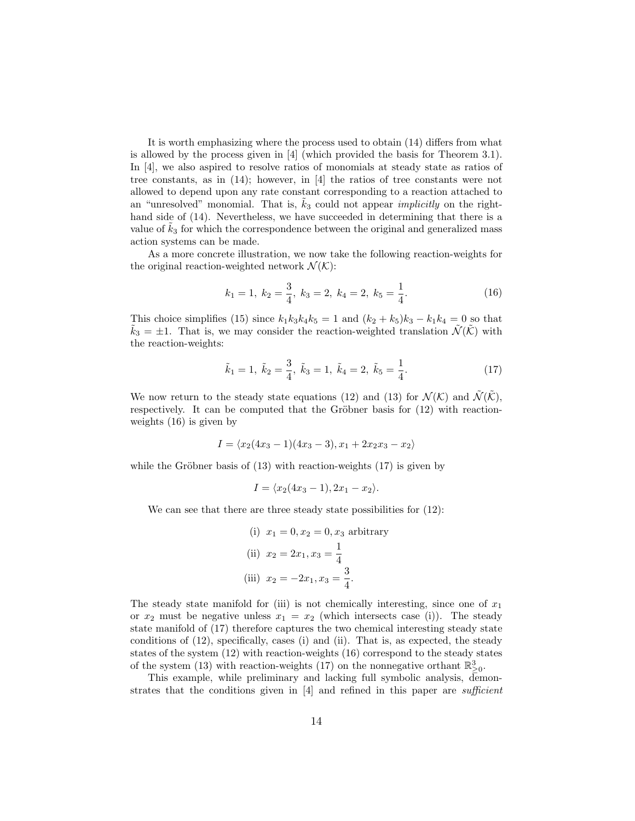It is worth emphasizing where the process used to obtain (14) differs from what is allowed by the process given in [4] (which provided the basis for Theorem 3.1). In [4], we also aspired to resolve ratios of monomials at steady state as ratios of tree constants, as in (14); however, in [4] the ratios of tree constants were not allowed to depend upon any rate constant corresponding to a reaction attached to an "unresolved" monomial. That is,  $k_3$  could not appear *implicitly* on the righthand side of (14). Nevertheless, we have succeeded in determining that there is a value of  $k<sub>3</sub>$  for which the correspondence between the original and generalized mass action systems can be made.

As a more concrete illustration, we now take the following reaction-weights for the original reaction-weighted network  $\mathcal{N}(\mathcal{K})$ :

$$
k_1 = 1, k_2 = \frac{3}{4}, k_3 = 2, k_4 = 2, k_5 = \frac{1}{4}.
$$
 (16)

This choice simplifies (15) since  $k_1k_3k_4k_5 = 1$  and  $(k_2 + k_5)k_3 - k_1k_4 = 0$  so that  $k_3 = \pm 1$ . That is, we may consider the reaction-weighted translation  $\mathcal{N}(\mathcal{K})$  with the reaction-weights:

$$
\tilde{k}_1 = 1, \ \tilde{k}_2 = \frac{3}{4}, \ \tilde{k}_3 = 1, \ \tilde{k}_4 = 2, \ \tilde{k}_5 = \frac{1}{4}.
$$
\n(17)

We now return to the steady state equations (12) and (13) for  $\mathcal{N}(\mathcal{K})$  and  $\mathcal{N}(\mathcal{K})$ , respectively. It can be computed that the Gröbner basis for  $(12)$  with reactionweights (16) is given by

$$
I = \langle x_2(4x_3 - 1)(4x_3 - 3), x_1 + 2x_2x_3 - x_2 \rangle
$$

while the Gröbner basis of  $(13)$  with reaction-weights  $(17)$  is given by

$$
I = \langle x_2(4x_3-1), 2x_1-x_2 \rangle.
$$

We can see that there are three steady state possibilities for  $(12)$ :

(i) 
$$
x_1 = 0, x_2 = 0, x_3
$$
 arbitrary  
(ii)  $x_2 = 2x_1, x_3 = \frac{1}{4}$   
(iii)  $x_2 = -2x_1, x_3 = \frac{3}{4}$ .

The steady state manifold for (iii) is not chemically interesting, since one of  $x_1$ or  $x_2$  must be negative unless  $x_1 = x_2$  (which intersects case (i)). The steady state manifold of (17) therefore captures the two chemical interesting steady state conditions of (12), specifically, cases (i) and (ii). That is, as expected, the steady states of the system (12) with reaction-weights (16) correspond to the steady states of the system (13) with reaction-weights (17) on the nonnegative orthant  $\mathbb{R}^3_{\geq 0}$ .

This example, while preliminary and lacking full symbolic analysis, demonstrates that the conditions given in  $[4]$  and refined in this paper are *sufficient*